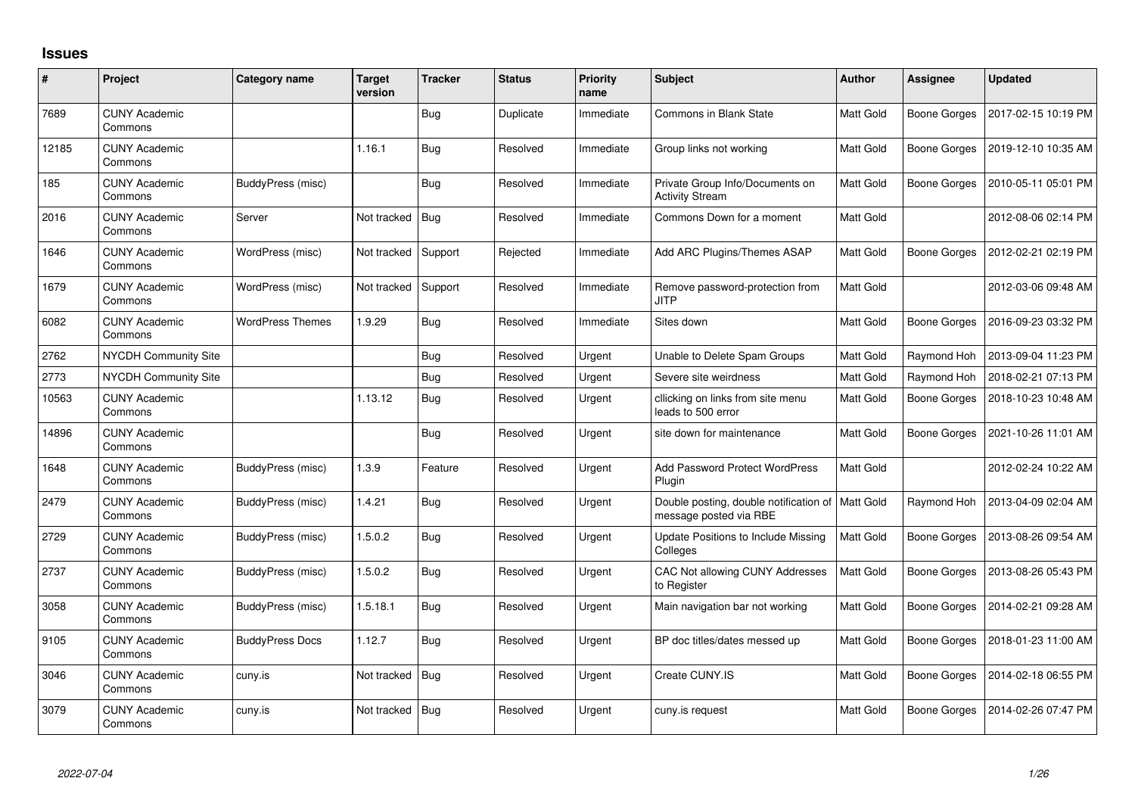## **Issues**

| #     | Project                         | Category name           | Target<br>version | <b>Tracker</b> | <b>Status</b> | <b>Priority</b><br>name | <b>Subject</b>                                                               | <b>Author</b>    | <b>Assignee</b> | <b>Updated</b>      |
|-------|---------------------------------|-------------------------|-------------------|----------------|---------------|-------------------------|------------------------------------------------------------------------------|------------------|-----------------|---------------------|
| 7689  | <b>CUNY Academic</b><br>Commons |                         |                   | <b>Bug</b>     | Duplicate     | Immediate               | <b>Commons in Blank State</b>                                                | Matt Gold        | Boone Gorges    | 2017-02-15 10:19 PM |
| 12185 | <b>CUNY Academic</b><br>Commons |                         | 1.16.1            | <b>Bug</b>     | Resolved      | Immediate               | Group links not working                                                      | Matt Gold        | Boone Gorges    | 2019-12-10 10:35 AM |
| 185   | <b>CUNY Academic</b><br>Commons | BuddyPress (misc)       |                   | Bug            | Resolved      | Immediate               | Private Group Info/Documents on<br><b>Activity Stream</b>                    | Matt Gold        | Boone Gorges    | 2010-05-11 05:01 PM |
| 2016  | <b>CUNY Academic</b><br>Commons | Server                  | Not tracked       | Bug            | Resolved      | Immediate               | Commons Down for a moment                                                    | <b>Matt Gold</b> |                 | 2012-08-06 02:14 PM |
| 1646  | <b>CUNY Academic</b><br>Commons | WordPress (misc)        | Not tracked       | Support        | Rejected      | Immediate               | Add ARC Plugins/Themes ASAP                                                  | <b>Matt Gold</b> | Boone Gorges    | 2012-02-21 02:19 PM |
| 1679  | <b>CUNY Academic</b><br>Commons | WordPress (misc)        | Not tracked       | Support        | Resolved      | Immediate               | Remove password-protection from<br><b>JITP</b>                               | <b>Matt Gold</b> |                 | 2012-03-06 09:48 AM |
| 6082  | <b>CUNY Academic</b><br>Commons | <b>WordPress Themes</b> | 1.9.29            | <b>Bug</b>     | Resolved      | Immediate               | Sites down                                                                   | <b>Matt Gold</b> | Boone Gorges    | 2016-09-23 03:32 PM |
| 2762  | <b>NYCDH Community Site</b>     |                         |                   | <b>Bug</b>     | Resolved      | Urgent                  | Unable to Delete Spam Groups                                                 | Matt Gold        | Raymond Hoh     | 2013-09-04 11:23 PM |
| 2773  | NYCDH Community Site            |                         |                   | <b>Bug</b>     | Resolved      | Urgent                  | Severe site weirdness                                                        | <b>Matt Gold</b> | Raymond Hoh     | 2018-02-21 07:13 PM |
| 10563 | <b>CUNY Academic</b><br>Commons |                         | 1.13.12           | <b>Bug</b>     | Resolved      | Urgent                  | cllicking on links from site menu<br>leads to 500 error                      | Matt Gold        | Boone Gorges    | 2018-10-23 10:48 AM |
| 14896 | <b>CUNY Academic</b><br>Commons |                         |                   | <b>Bug</b>     | Resolved      | Urgent                  | site down for maintenance                                                    | Matt Gold        | Boone Gorges    | 2021-10-26 11:01 AM |
| 1648  | <b>CUNY Academic</b><br>Commons | BuddyPress (misc)       | 1.3.9             | Feature        | Resolved      | Urgent                  | <b>Add Password Protect WordPress</b><br>Plugin                              | Matt Gold        |                 | 2012-02-24 10:22 AM |
| 2479  | <b>CUNY Academic</b><br>Commons | BuddyPress (misc)       | 1.4.21            | <b>Bug</b>     | Resolved      | Urgent                  | Double posting, double notification of   Matt Gold<br>message posted via RBE |                  | Raymond Hoh     | 2013-04-09 02:04 AM |
| 2729  | <b>CUNY Academic</b><br>Commons | BuddyPress (misc)       | 1.5.0.2           | <b>Bug</b>     | Resolved      | Urgent                  | Update Positions to Include Missing<br>Colleges                              | <b>Matt Gold</b> | Boone Gorges    | 2013-08-26 09:54 AM |
| 2737  | <b>CUNY Academic</b><br>Commons | BuddyPress (misc)       | 1.5.0.2           | <b>Bug</b>     | Resolved      | Urgent                  | CAC Not allowing CUNY Addresses<br>to Register                               | <b>Matt Gold</b> | Boone Gorges    | 2013-08-26 05:43 PM |
| 3058  | <b>CUNY Academic</b><br>Commons | BuddyPress (misc)       | 1.5.18.1          | <b>Bug</b>     | Resolved      | Urgent                  | Main navigation bar not working                                              | <b>Matt Gold</b> | Boone Gorges    | 2014-02-21 09:28 AM |
| 9105  | <b>CUNY Academic</b><br>Commons | <b>BuddyPress Docs</b>  | 1.12.7            | <b>Bug</b>     | Resolved      | Urgent                  | BP doc titles/dates messed up                                                | Matt Gold        | Boone Gorges    | 2018-01-23 11:00 AM |
| 3046  | <b>CUNY Academic</b><br>Commons | cuny.is                 | Not tracked       | Bug            | Resolved      | Urgent                  | Create CUNY.IS                                                               | Matt Gold        | Boone Gorges    | 2014-02-18 06:55 PM |
| 3079  | <b>CUNY Academic</b><br>Commons | cuny.is                 | Not tracked       | Bug            | Resolved      | Urgent                  | cuny.is request                                                              | Matt Gold        | Boone Gorges    | 2014-02-26 07:47 PM |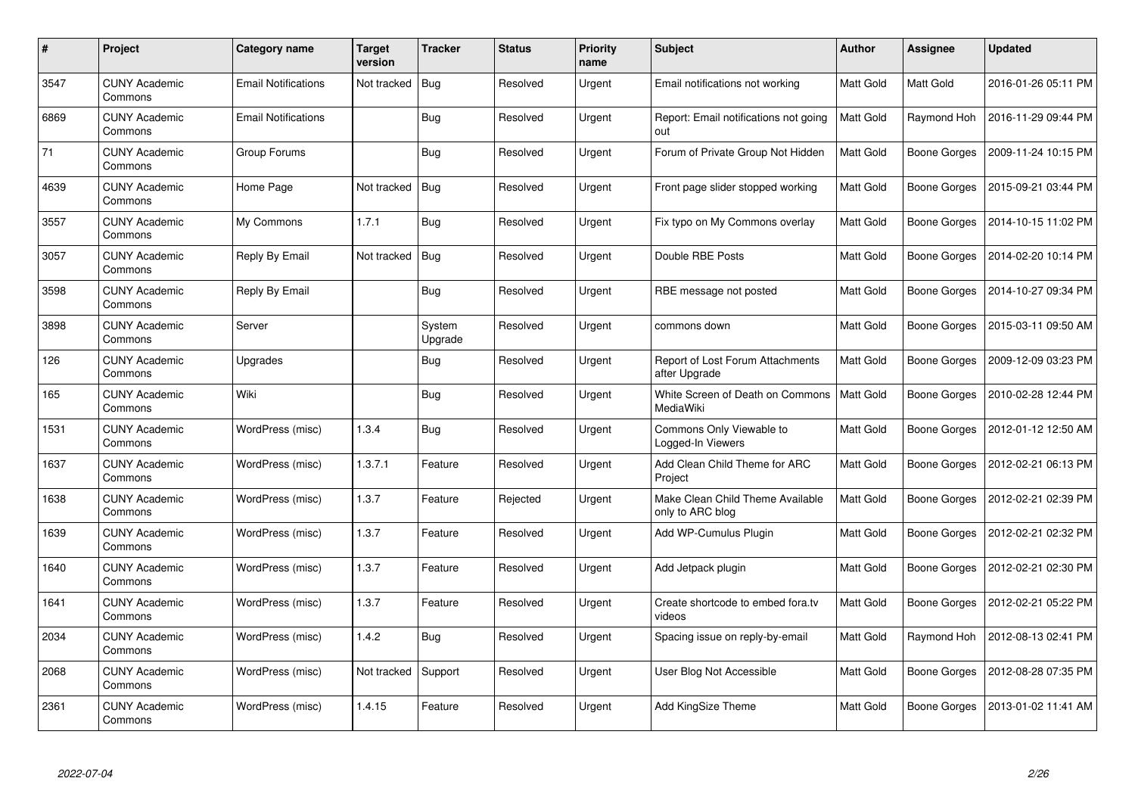| #    | Project                         | <b>Category name</b>       | Target<br>version | <b>Tracker</b>    | <b>Status</b> | <b>Priority</b><br>name | <b>Subject</b>                                       | <b>Author</b> | <b>Assignee</b>     | <b>Updated</b>      |
|------|---------------------------------|----------------------------|-------------------|-------------------|---------------|-------------------------|------------------------------------------------------|---------------|---------------------|---------------------|
| 3547 | <b>CUNY Academic</b><br>Commons | <b>Email Notifications</b> | Not tracked       | Bug               | Resolved      | Urgent                  | Email notifications not working                      | Matt Gold     | Matt Gold           | 2016-01-26 05:11 PM |
| 6869 | <b>CUNY Academic</b><br>Commons | <b>Email Notifications</b> |                   | <b>Bug</b>        | Resolved      | Urgent                  | Report: Email notifications not going<br>out         | Matt Gold     | Raymond Hoh         | 2016-11-29 09:44 PM |
| 71   | <b>CUNY Academic</b><br>Commons | Group Forums               |                   | <b>Bug</b>        | Resolved      | Urgent                  | Forum of Private Group Not Hidden                    | Matt Gold     | <b>Boone Gorges</b> | 2009-11-24 10:15 PM |
| 4639 | <b>CUNY Academic</b><br>Commons | Home Page                  | Not tracked       | Bug               | Resolved      | Urgent                  | Front page slider stopped working                    | Matt Gold     | Boone Gorges        | 2015-09-21 03:44 PM |
| 3557 | <b>CUNY Academic</b><br>Commons | My Commons                 | 1.7.1             | <b>Bug</b>        | Resolved      | Urgent                  | Fix typo on My Commons overlay                       | Matt Gold     | <b>Boone Gorges</b> | 2014-10-15 11:02 PM |
| 3057 | <b>CUNY Academic</b><br>Commons | Reply By Email             | Not tracked       | Bug               | Resolved      | Urgent                  | Double RBE Posts                                     | Matt Gold     | <b>Boone Gorges</b> | 2014-02-20 10:14 PM |
| 3598 | <b>CUNY Academic</b><br>Commons | Reply By Email             |                   | <b>Bug</b>        | Resolved      | Urgent                  | RBE message not posted                               | Matt Gold     | Boone Gorges        | 2014-10-27 09:34 PM |
| 3898 | <b>CUNY Academic</b><br>Commons | Server                     |                   | System<br>Upgrade | Resolved      | Urgent                  | commons down                                         | Matt Gold     | <b>Boone Gorges</b> | 2015-03-11 09:50 AM |
| 126  | <b>CUNY Academic</b><br>Commons | Upgrades                   |                   | Bug               | Resolved      | Urgent                  | Report of Lost Forum Attachments<br>after Upgrade    | Matt Gold     | <b>Boone Gorges</b> | 2009-12-09 03:23 PM |
| 165  | <b>CUNY Academic</b><br>Commons | Wiki                       |                   | Bug               | Resolved      | Urgent                  | White Screen of Death on Commons<br>MediaWiki        | Matt Gold     | Boone Gorges        | 2010-02-28 12:44 PM |
| 1531 | <b>CUNY Academic</b><br>Commons | WordPress (misc)           | 1.3.4             | <b>Bug</b>        | Resolved      | Urgent                  | Commons Only Viewable to<br>Logged-In Viewers        | Matt Gold     | Boone Gorges        | 2012-01-12 12:50 AM |
| 1637 | <b>CUNY Academic</b><br>Commons | WordPress (misc)           | 1.3.7.1           | Feature           | Resolved      | Urgent                  | Add Clean Child Theme for ARC<br>Project             | Matt Gold     | Boone Gorges        | 2012-02-21 06:13 PM |
| 1638 | <b>CUNY Academic</b><br>Commons | WordPress (misc)           | 1.3.7             | Feature           | Rejected      | Urgent                  | Make Clean Child Theme Available<br>only to ARC blog | Matt Gold     | Boone Gorges        | 2012-02-21 02:39 PM |
| 1639 | <b>CUNY Academic</b><br>Commons | WordPress (misc)           | 1.3.7             | Feature           | Resolved      | Urgent                  | Add WP-Cumulus Plugin                                | Matt Gold     | <b>Boone Gorges</b> | 2012-02-21 02:32 PM |
| 1640 | <b>CUNY Academic</b><br>Commons | WordPress (misc)           | 1.3.7             | Feature           | Resolved      | Urgent                  | Add Jetpack plugin                                   | Matt Gold     | Boone Gorges        | 2012-02-21 02:30 PM |
| 1641 | <b>CUNY Academic</b><br>Commons | WordPress (misc)           | 1.3.7             | Feature           | Resolved      | Urgent                  | Create shortcode to embed fora.tv<br>videos          | Matt Gold     | Boone Gorges        | 2012-02-21 05:22 PM |
| 2034 | <b>CUNY Academic</b><br>Commons | WordPress (misc)           | 1.4.2             | <b>Bug</b>        | Resolved      | Urgent                  | Spacing issue on reply-by-email                      | Matt Gold     | Raymond Hoh         | 2012-08-13 02:41 PM |
| 2068 | <b>CUNY Academic</b><br>Commons | WordPress (misc)           | Not tracked       | Support           | Resolved      | Urgent                  | User Blog Not Accessible                             | Matt Gold     | Boone Gorges        | 2012-08-28 07:35 PM |
| 2361 | <b>CUNY Academic</b><br>Commons | WordPress (misc)           | 1.4.15            | Feature           | Resolved      | Urgent                  | <b>Add KingSize Theme</b>                            | Matt Gold     | Boone Gorges        | 2013-01-02 11:41 AM |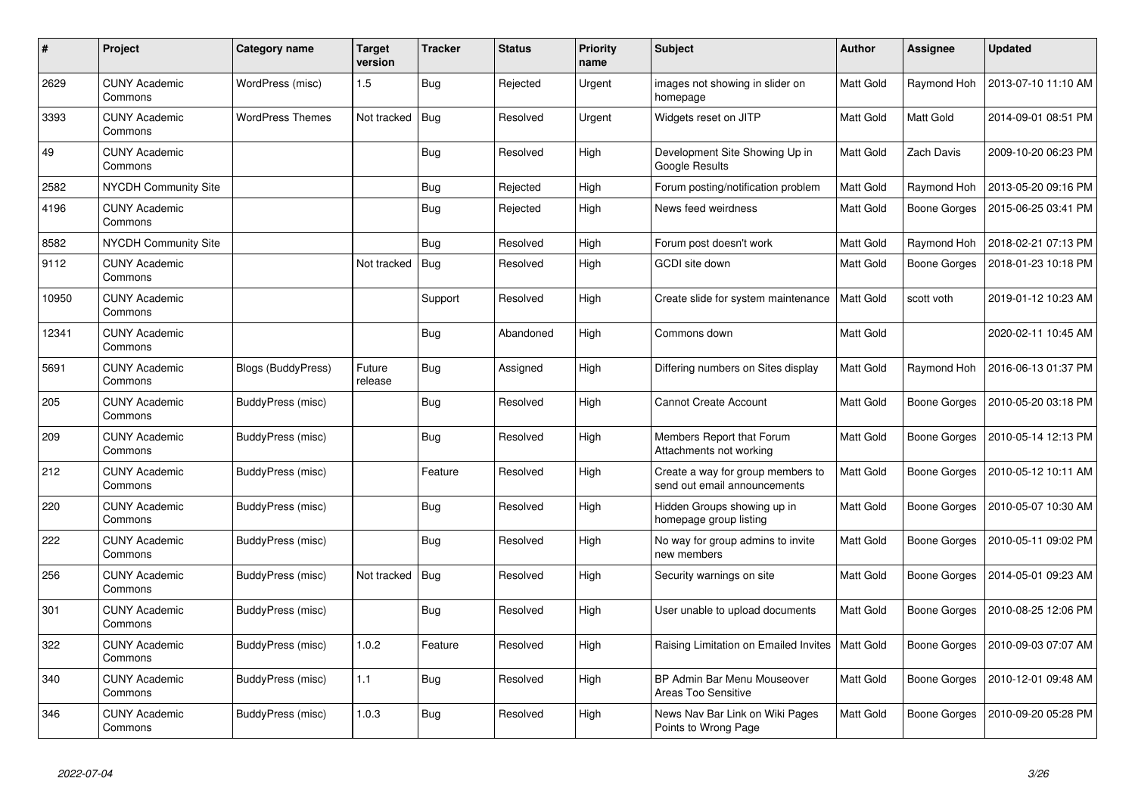| $\#$  | Project                         | <b>Category name</b>      | <b>Target</b><br>version | <b>Tracker</b> | <b>Status</b> | <b>Priority</b><br>name | <b>Subject</b>                                                    | <b>Author</b>    | <b>Assignee</b>     | <b>Updated</b>      |
|-------|---------------------------------|---------------------------|--------------------------|----------------|---------------|-------------------------|-------------------------------------------------------------------|------------------|---------------------|---------------------|
| 2629  | <b>CUNY Academic</b><br>Commons | WordPress (misc)          | 1.5                      | <b>Bug</b>     | Rejected      | Urgent                  | images not showing in slider on<br>homepage                       | Matt Gold        | Raymond Hoh         | 2013-07-10 11:10 AM |
| 3393  | <b>CUNY Academic</b><br>Commons | <b>WordPress Themes</b>   | Not tracked              | Bug            | Resolved      | Urgent                  | Widgets reset on JITP                                             | Matt Gold        | Matt Gold           | 2014-09-01 08:51 PM |
| 49    | <b>CUNY Academic</b><br>Commons |                           |                          | <b>Bug</b>     | Resolved      | High                    | Development Site Showing Up in<br>Google Results                  | Matt Gold        | Zach Davis          | 2009-10-20 06:23 PM |
| 2582  | NYCDH Community Site            |                           |                          | <b>Bug</b>     | Rejected      | High                    | Forum posting/notification problem                                | Matt Gold        | Raymond Hoh         | 2013-05-20 09:16 PM |
| 4196  | <b>CUNY Academic</b><br>Commons |                           |                          | <b>Bug</b>     | Rejected      | High                    | News feed weirdness                                               | Matt Gold        | <b>Boone Gorges</b> | 2015-06-25 03:41 PM |
| 8582  | NYCDH Community Site            |                           |                          | <b>Bug</b>     | Resolved      | High                    | Forum post doesn't work                                           | Matt Gold        | Raymond Hoh         | 2018-02-21 07:13 PM |
| 9112  | <b>CUNY Academic</b><br>Commons |                           | Not tracked              | Bug            | Resolved      | High                    | GCDI site down                                                    | Matt Gold        | <b>Boone Gorges</b> | 2018-01-23 10:18 PM |
| 10950 | <b>CUNY Academic</b><br>Commons |                           |                          | Support        | Resolved      | High                    | Create slide for system maintenance                               | <b>Matt Gold</b> | scott voth          | 2019-01-12 10:23 AM |
| 12341 | <b>CUNY Academic</b><br>Commons |                           |                          | Bug            | Abandoned     | High                    | Commons down                                                      | Matt Gold        |                     | 2020-02-11 10:45 AM |
| 5691  | <b>CUNY Academic</b><br>Commons | <b>Blogs (BuddyPress)</b> | Future<br>release        | Bug            | Assigned      | High                    | Differing numbers on Sites display                                | <b>Matt Gold</b> | Raymond Hoh         | 2016-06-13 01:37 PM |
| 205   | <b>CUNY Academic</b><br>Commons | BuddyPress (misc)         |                          | <b>Bug</b>     | Resolved      | High                    | <b>Cannot Create Account</b>                                      | Matt Gold        | Boone Gorges        | 2010-05-20 03:18 PM |
| 209   | <b>CUNY Academic</b><br>Commons | BuddyPress (misc)         |                          | <b>Bug</b>     | Resolved      | High                    | Members Report that Forum<br>Attachments not working              | <b>Matt Gold</b> | <b>Boone Gorges</b> | 2010-05-14 12:13 PM |
| 212   | <b>CUNY Academic</b><br>Commons | BuddyPress (misc)         |                          | Feature        | Resolved      | High                    | Create a way for group members to<br>send out email announcements | Matt Gold        | Boone Gorges        | 2010-05-12 10:11 AM |
| 220   | CUNY Academic<br>Commons        | BuddyPress (misc)         |                          | Bug            | Resolved      | High                    | Hidden Groups showing up in<br>homepage group listing             | Matt Gold        | Boone Gorges        | 2010-05-07 10:30 AM |
| 222   | <b>CUNY Academic</b><br>Commons | BuddyPress (misc)         |                          | <b>Bug</b>     | Resolved      | High                    | No way for group admins to invite<br>new members                  | <b>Matt Gold</b> | <b>Boone Gorges</b> | 2010-05-11 09:02 PM |
| 256   | <b>CUNY Academic</b><br>Commons | BuddyPress (misc)         | Not tracked              | Bug            | Resolved      | High                    | Security warnings on site                                         | Matt Gold        | Boone Gorges        | 2014-05-01 09:23 AM |
| 301   | <b>CUNY Academic</b><br>Commons | BuddyPress (misc)         |                          | Bug            | Resolved      | High                    | User unable to upload documents                                   | Matt Gold        | <b>Boone Gorges</b> | 2010-08-25 12:06 PM |
| 322   | <b>CUNY Academic</b><br>Commons | BuddyPress (misc)         | 1.0.2                    | Feature        | Resolved      | High                    | Raising Limitation on Emailed Invites                             | Matt Gold        | Boone Gorges        | 2010-09-03 07:07 AM |
| 340   | <b>CUNY Academic</b><br>Commons | BuddyPress (misc)         | 1.1                      | Bug            | Resolved      | High                    | BP Admin Bar Menu Mouseover<br>Areas Too Sensitive                | <b>Matt Gold</b> | <b>Boone Gorges</b> | 2010-12-01 09:48 AM |
| 346   | <b>CUNY Academic</b><br>Commons | BuddyPress (misc)         | 1.0.3                    | <b>Bug</b>     | Resolved      | High                    | News Nav Bar Link on Wiki Pages<br>Points to Wrong Page           | Matt Gold        | Boone Gorges        | 2010-09-20 05:28 PM |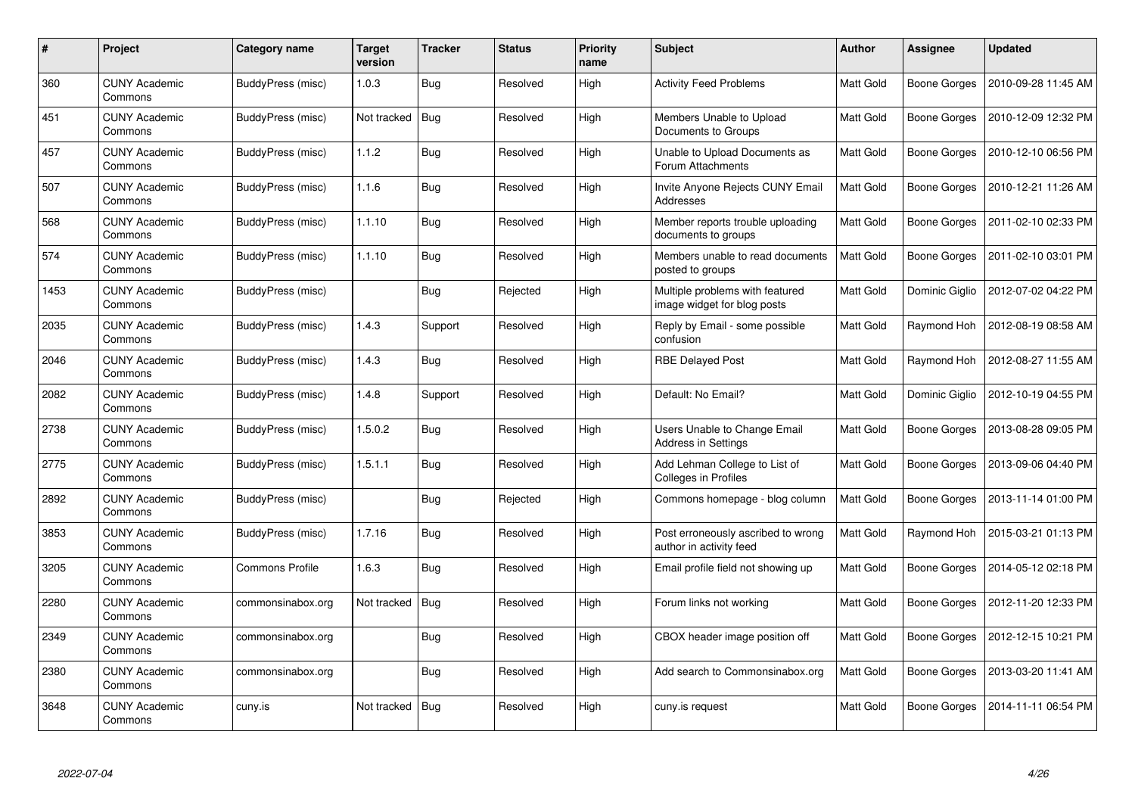| #    | Project                         | Category name          | <b>Target</b><br>version | <b>Tracker</b> | <b>Status</b> | <b>Priority</b><br>name | Subject                                                        | <b>Author</b> | Assignee            | <b>Updated</b>      |
|------|---------------------------------|------------------------|--------------------------|----------------|---------------|-------------------------|----------------------------------------------------------------|---------------|---------------------|---------------------|
| 360  | <b>CUNY Academic</b><br>Commons | BuddyPress (misc)      | 1.0.3                    | <b>Bug</b>     | Resolved      | High                    | <b>Activity Feed Problems</b>                                  | Matt Gold     | <b>Boone Gorges</b> | 2010-09-28 11:45 AM |
| 451  | <b>CUNY Academic</b><br>Commons | BuddyPress (misc)      | Not tracked              | Bug            | Resolved      | High                    | Members Unable to Upload<br>Documents to Groups                | Matt Gold     | Boone Gorges        | 2010-12-09 12:32 PM |
| 457  | <b>CUNY Academic</b><br>Commons | BuddyPress (misc)      | 1.1.2                    | <b>Bug</b>     | Resolved      | High                    | Unable to Upload Documents as<br>Forum Attachments             | Matt Gold     | Boone Gorges        | 2010-12-10 06:56 PM |
| 507  | <b>CUNY Academic</b><br>Commons | BuddyPress (misc)      | 1.1.6                    | <b>Bug</b>     | Resolved      | High                    | Invite Anyone Rejects CUNY Email<br>Addresses                  | Matt Gold     | Boone Gorges        | 2010-12-21 11:26 AM |
| 568  | <b>CUNY Academic</b><br>Commons | BuddyPress (misc)      | 1.1.10                   | <b>Bug</b>     | Resolved      | High                    | Member reports trouble uploading<br>documents to groups        | Matt Gold     | Boone Gorges        | 2011-02-10 02:33 PM |
| 574  | <b>CUNY Academic</b><br>Commons | BuddyPress (misc)      | 1.1.10                   | Bug            | Resolved      | High                    | Members unable to read documents<br>posted to groups           | Matt Gold     | Boone Gorges        | 2011-02-10 03:01 PM |
| 1453 | <b>CUNY Academic</b><br>Commons | BuddyPress (misc)      |                          | <b>Bug</b>     | Rejected      | High                    | Multiple problems with featured<br>image widget for blog posts | Matt Gold     | Dominic Giglio      | 2012-07-02 04:22 PM |
| 2035 | <b>CUNY Academic</b><br>Commons | BuddyPress (misc)      | 1.4.3                    | Support        | Resolved      | High                    | Reply by Email - some possible<br>confusion                    | Matt Gold     | Raymond Hoh         | 2012-08-19 08:58 AM |
| 2046 | <b>CUNY Academic</b><br>Commons | BuddyPress (misc)      | 1.4.3                    | Bug            | Resolved      | High                    | <b>RBE Delayed Post</b>                                        | Matt Gold     | Raymond Hoh         | 2012-08-27 11:55 AM |
| 2082 | <b>CUNY Academic</b><br>Commons | BuddyPress (misc)      | 1.4.8                    | Support        | Resolved      | High                    | Default: No Email?                                             | Matt Gold     | Dominic Giglio      | 2012-10-19 04:55 PM |
| 2738 | <b>CUNY Academic</b><br>Commons | BuddyPress (misc)      | 1.5.0.2                  | <b>Bug</b>     | Resolved      | High                    | Users Unable to Change Email<br><b>Address in Settings</b>     | Matt Gold     | <b>Boone Gorges</b> | 2013-08-28 09:05 PM |
| 2775 | <b>CUNY Academic</b><br>Commons | BuddyPress (misc)      | 1.5.1.1                  | <b>Bug</b>     | Resolved      | High                    | Add Lehman College to List of<br>Colleges in Profiles          | Matt Gold     | Boone Gorges        | 2013-09-06 04:40 PM |
| 2892 | <b>CUNY Academic</b><br>Commons | BuddyPress (misc)      |                          | <b>Bug</b>     | Rejected      | High                    | Commons homepage - blog column                                 | Matt Gold     | Boone Gorges        | 2013-11-14 01:00 PM |
| 3853 | <b>CUNY Academic</b><br>Commons | BuddyPress (misc)      | 1.7.16                   | Bug            | Resolved      | High                    | Post erroneously ascribed to wrong<br>author in activity feed  | Matt Gold     | Raymond Hoh         | 2015-03-21 01:13 PM |
| 3205 | <b>CUNY Academic</b><br>Commons | <b>Commons Profile</b> | 1.6.3                    | <b>Bug</b>     | Resolved      | High                    | Email profile field not showing up                             | Matt Gold     | <b>Boone Gorges</b> | 2014-05-12 02:18 PM |
| 2280 | <b>CUNY Academic</b><br>Commons | commonsinabox.org      | Not tracked              | Bug            | Resolved      | High                    | Forum links not working                                        | Matt Gold     | <b>Boone Gorges</b> | 2012-11-20 12:33 PM |
| 2349 | <b>CUNY Academic</b><br>Commons | commonsinabox.org      |                          | Bug            | Resolved      | High                    | CBOX header image position off                                 | Matt Gold     | Boone Gorges        | 2012-12-15 10:21 PM |
| 2380 | <b>CUNY Academic</b><br>Commons | commonsinabox.org      |                          | Bug            | Resolved      | High                    | Add search to Commonsinabox.org                                | Matt Gold     | Boone Gorges        | 2013-03-20 11:41 AM |
| 3648 | <b>CUNY Academic</b><br>Commons | cuny.is                | Not tracked              | <b>Bug</b>     | Resolved      | High                    | cuny.is request                                                | Matt Gold     | Boone Gorges        | 2014-11-11 06:54 PM |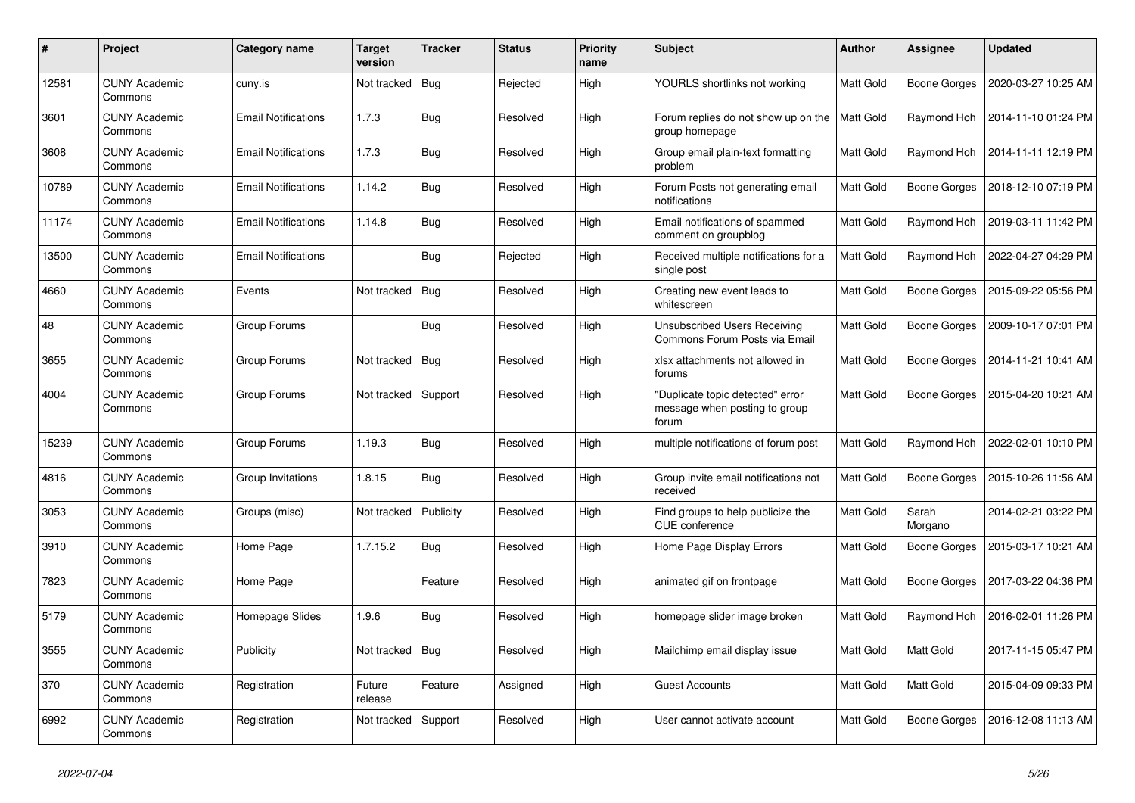| #     | Project                         | Category name              | <b>Target</b><br>version | <b>Tracker</b> | <b>Status</b> | <b>Priority</b><br>name | <b>Subject</b>                                                             | Author           | Assignee            | <b>Updated</b>      |
|-------|---------------------------------|----------------------------|--------------------------|----------------|---------------|-------------------------|----------------------------------------------------------------------------|------------------|---------------------|---------------------|
| 12581 | <b>CUNY Academic</b><br>Commons | cuny.is                    | Not tracked              | Bug            | Rejected      | High                    | YOURLS shortlinks not working                                              | Matt Gold        | <b>Boone Gorges</b> | 2020-03-27 10:25 AM |
| 3601  | <b>CUNY Academic</b><br>Commons | <b>Email Notifications</b> | 1.7.3                    | <b>Bug</b>     | Resolved      | High                    | Forum replies do not show up on the<br>group homepage                      | <b>Matt Gold</b> | Raymond Hoh         | 2014-11-10 01:24 PM |
| 3608  | <b>CUNY Academic</b><br>Commons | <b>Email Notifications</b> | 1.7.3                    | Bug            | Resolved      | High                    | Group email plain-text formatting<br>problem                               | Matt Gold        | Raymond Hoh         | 2014-11-11 12:19 PM |
| 10789 | <b>CUNY Academic</b><br>Commons | <b>Email Notifications</b> | 1.14.2                   | Bug            | Resolved      | High                    | Forum Posts not generating email<br>notifications                          | Matt Gold        | Boone Gorges        | 2018-12-10 07:19 PM |
| 11174 | <b>CUNY Academic</b><br>Commons | <b>Email Notifications</b> | 1.14.8                   | <b>Bug</b>     | Resolved      | High                    | Email notifications of spammed<br>comment on groupblog                     | Matt Gold        | Raymond Hoh         | 2019-03-11 11:42 PM |
| 13500 | <b>CUNY Academic</b><br>Commons | <b>Email Notifications</b> |                          | Bug            | Rejected      | High                    | Received multiple notifications for a<br>single post                       | Matt Gold        | Raymond Hoh         | 2022-04-27 04:29 PM |
| 4660  | <b>CUNY Academic</b><br>Commons | Events                     | Not tracked              | Bug            | Resolved      | High                    | Creating new event leads to<br>whitescreen                                 | Matt Gold        | <b>Boone Gorges</b> | 2015-09-22 05:56 PM |
| 48    | <b>CUNY Academic</b><br>Commons | Group Forums               |                          | <b>Bug</b>     | Resolved      | High                    | <b>Unsubscribed Users Receiving</b><br>Commons Forum Posts via Email       | <b>Matt Gold</b> | <b>Boone Gorges</b> | 2009-10-17 07:01 PM |
| 3655  | <b>CUNY Academic</b><br>Commons | Group Forums               | Not tracked              | Bug            | Resolved      | High                    | xlsx attachments not allowed in<br>forums                                  | Matt Gold        | Boone Gorges        | 2014-11-21 10:41 AM |
| 4004  | <b>CUNY Academic</b><br>Commons | Group Forums               | Not tracked              | Support        | Resolved      | High                    | 'Duplicate topic detected" error<br>message when posting to group<br>forum | Matt Gold        | <b>Boone Gorges</b> | 2015-04-20 10:21 AM |
| 15239 | <b>CUNY Academic</b><br>Commons | Group Forums               | 1.19.3                   | <b>Bug</b>     | Resolved      | High                    | multiple notifications of forum post                                       | Matt Gold        | Raymond Hoh         | 2022-02-01 10:10 PM |
| 4816  | <b>CUNY Academic</b><br>Commons | Group Invitations          | 1.8.15                   | Bug            | Resolved      | High                    | Group invite email notifications not<br>received                           | Matt Gold        | <b>Boone Gorges</b> | 2015-10-26 11:56 AM |
| 3053  | <b>CUNY Academic</b><br>Commons | Groups (misc)              | Not tracked              | Publicity      | Resolved      | High                    | Find groups to help publicize the<br><b>CUE</b> conference                 | Matt Gold        | Sarah<br>Morgano    | 2014-02-21 03:22 PM |
| 3910  | <b>CUNY Academic</b><br>Commons | Home Page                  | 1.7.15.2                 | Bug            | Resolved      | High                    | Home Page Display Errors                                                   | Matt Gold        | Boone Gorges        | 2015-03-17 10:21 AM |
| 7823  | <b>CUNY Academic</b><br>Commons | Home Page                  |                          | Feature        | Resolved      | High                    | animated gif on frontpage                                                  | Matt Gold        | <b>Boone Gorges</b> | 2017-03-22 04:36 PM |
| 5179  | <b>CUNY Academic</b><br>Commons | Homepage Slides            | 1.9.6                    | <b>Bug</b>     | Resolved      | High                    | homepage slider image broken                                               | Matt Gold        | Raymond Hoh         | 2016-02-01 11:26 PM |
| 3555  | <b>CUNY Academic</b><br>Commons | Publicity                  | Not tracked              | Bug            | Resolved      | High                    | Mailchimp email display issue                                              | Matt Gold        | Matt Gold           | 2017-11-15 05:47 PM |
| 370   | <b>CUNY Academic</b><br>Commons | Registration               | Future<br>release        | Feature        | Assigned      | High                    | <b>Guest Accounts</b>                                                      | Matt Gold        | Matt Gold           | 2015-04-09 09:33 PM |
| 6992  | <b>CUNY Academic</b><br>Commons | Registration               | Not tracked              | Support        | Resolved      | High                    | User cannot activate account                                               | Matt Gold        | <b>Boone Gorges</b> | 2016-12-08 11:13 AM |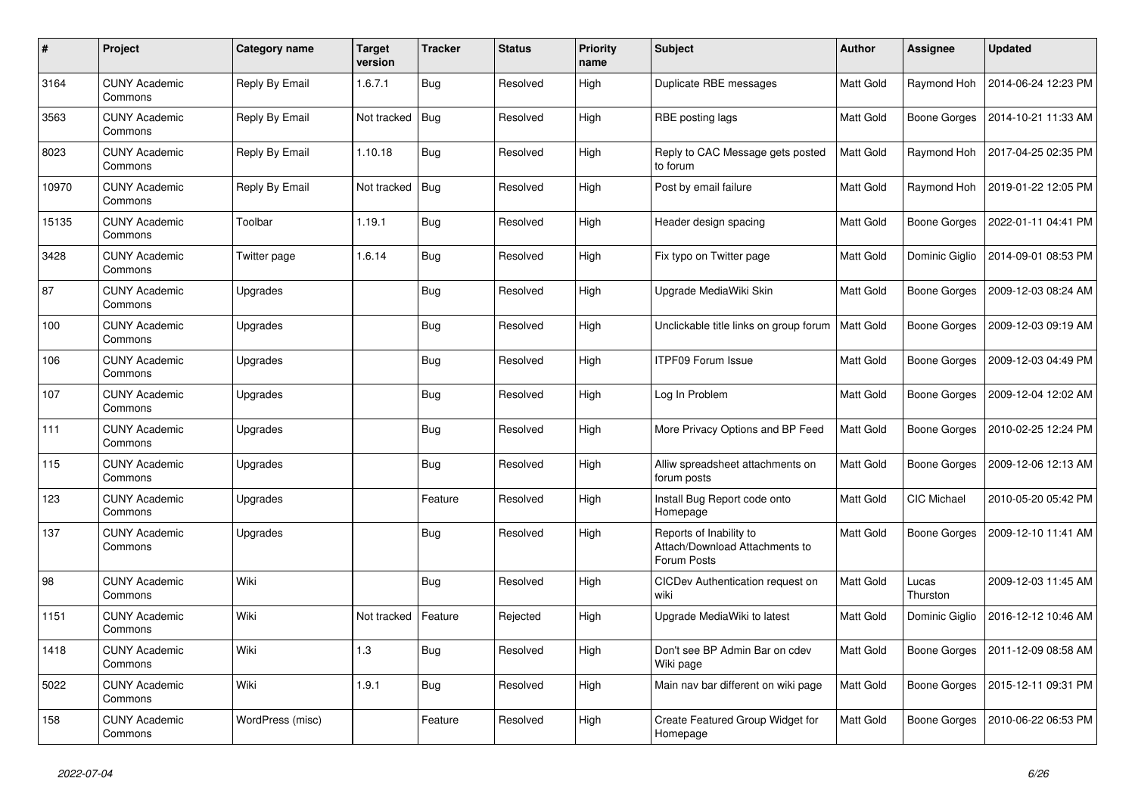| $\#$  | Project                         | Category name    | <b>Target</b><br>version | <b>Tracker</b> | <b>Status</b> | <b>Priority</b><br>name | <b>Subject</b>                                                           | <b>Author</b>    | <b>Assignee</b>     | <b>Updated</b>      |
|-------|---------------------------------|------------------|--------------------------|----------------|---------------|-------------------------|--------------------------------------------------------------------------|------------------|---------------------|---------------------|
| 3164  | <b>CUNY Academic</b><br>Commons | Reply By Email   | 1.6.7.1                  | <b>Bug</b>     | Resolved      | High                    | Duplicate RBE messages                                                   | Matt Gold        | Raymond Hoh         | 2014-06-24 12:23 PM |
| 3563  | <b>CUNY Academic</b><br>Commons | Reply By Email   | Not tracked              | Bug            | Resolved      | High                    | RBE posting lags                                                         | Matt Gold        | <b>Boone Gorges</b> | 2014-10-21 11:33 AM |
| 8023  | <b>CUNY Academic</b><br>Commons | Reply By Email   | 1.10.18                  | <b>Bug</b>     | Resolved      | High                    | Reply to CAC Message gets posted<br>to forum                             | Matt Gold        | Raymond Hoh         | 2017-04-25 02:35 PM |
| 10970 | <b>CUNY Academic</b><br>Commons | Reply By Email   | Not tracked              | Bug            | Resolved      | High                    | Post by email failure                                                    | Matt Gold        | Raymond Hoh         | 2019-01-22 12:05 PM |
| 15135 | <b>CUNY Academic</b><br>Commons | Toolbar          | 1.19.1                   | <b>Bug</b>     | Resolved      | High                    | Header design spacing                                                    | Matt Gold        | <b>Boone Gorges</b> | 2022-01-11 04:41 PM |
| 3428  | <b>CUNY Academic</b><br>Commons | Twitter page     | 1.6.14                   | <b>Bug</b>     | Resolved      | High                    | Fix typo on Twitter page                                                 | Matt Gold        | Dominic Giglio      | 2014-09-01 08:53 PM |
| 87    | <b>CUNY Academic</b><br>Commons | Upgrades         |                          | <b>Bug</b>     | Resolved      | High                    | Upgrade MediaWiki Skin                                                   | <b>Matt Gold</b> | Boone Gorges        | 2009-12-03 08:24 AM |
| 100   | <b>CUNY Academic</b><br>Commons | Upgrades         |                          | Bug            | Resolved      | High                    | Unclickable title links on group forum                                   | Matt Gold        | <b>Boone Gorges</b> | 2009-12-03 09:19 AM |
| 106   | <b>CUNY Academic</b><br>Commons | Upgrades         |                          | Bug            | Resolved      | High                    | <b>ITPF09 Forum Issue</b>                                                | Matt Gold        | Boone Gorges        | 2009-12-03 04:49 PM |
| 107   | <b>CUNY Academic</b><br>Commons | Upgrades         |                          | <b>Bug</b>     | Resolved      | High                    | Log In Problem                                                           | Matt Gold        | <b>Boone Gorges</b> | 2009-12-04 12:02 AM |
| 111   | <b>CUNY Academic</b><br>Commons | Upgrades         |                          | <b>Bug</b>     | Resolved      | High                    | More Privacy Options and BP Feed                                         | <b>Matt Gold</b> | <b>Boone Gorges</b> | 2010-02-25 12:24 PM |
| 115   | <b>CUNY Academic</b><br>Commons | Upgrades         |                          | Bug            | Resolved      | High                    | Alliw spreadsheet attachments on<br>forum posts                          | <b>Matt Gold</b> | <b>Boone Gorges</b> | 2009-12-06 12:13 AM |
| 123   | <b>CUNY Academic</b><br>Commons | Upgrades         |                          | Feature        | Resolved      | High                    | Install Bug Report code onto<br>Homepage                                 | Matt Gold        | CIC Michael         | 2010-05-20 05:42 PM |
| 137   | <b>CUNY Academic</b><br>Commons | Upgrades         |                          | <b>Bug</b>     | Resolved      | High                    | Reports of Inability to<br>Attach/Download Attachments to<br>Forum Posts | Matt Gold        | <b>Boone Gorges</b> | 2009-12-10 11:41 AM |
| 98    | <b>CUNY Academic</b><br>Commons | Wiki             |                          | <b>Bug</b>     | Resolved      | High                    | CICDev Authentication request on<br>wiki                                 | Matt Gold        | Lucas<br>Thurston   | 2009-12-03 11:45 AM |
| 1151  | <b>CUNY Academic</b><br>Commons | Wiki             | Not tracked              | Feature        | Rejected      | High                    | Upgrade MediaWiki to latest                                              | Matt Gold        | Dominic Giglio      | 2016-12-12 10:46 AM |
| 1418  | <b>CUNY Academic</b><br>Commons | Wiki             | 1.3                      | Bug            | Resolved      | High                    | Don't see BP Admin Bar on cdev<br>Wiki page                              | Matt Gold        | Boone Gorges        | 2011-12-09 08:58 AM |
| 5022  | <b>CUNY Academic</b><br>Commons | Wiki             | 1.9.1                    | <b>Bug</b>     | Resolved      | High                    | Main nav bar different on wiki page                                      | Matt Gold        | Boone Gorges        | 2015-12-11 09:31 PM |
| 158   | <b>CUNY Academic</b><br>Commons | WordPress (misc) |                          | Feature        | Resolved      | High                    | Create Featured Group Widget for<br>Homepage                             | <b>Matt Gold</b> | Boone Gorges        | 2010-06-22 06:53 PM |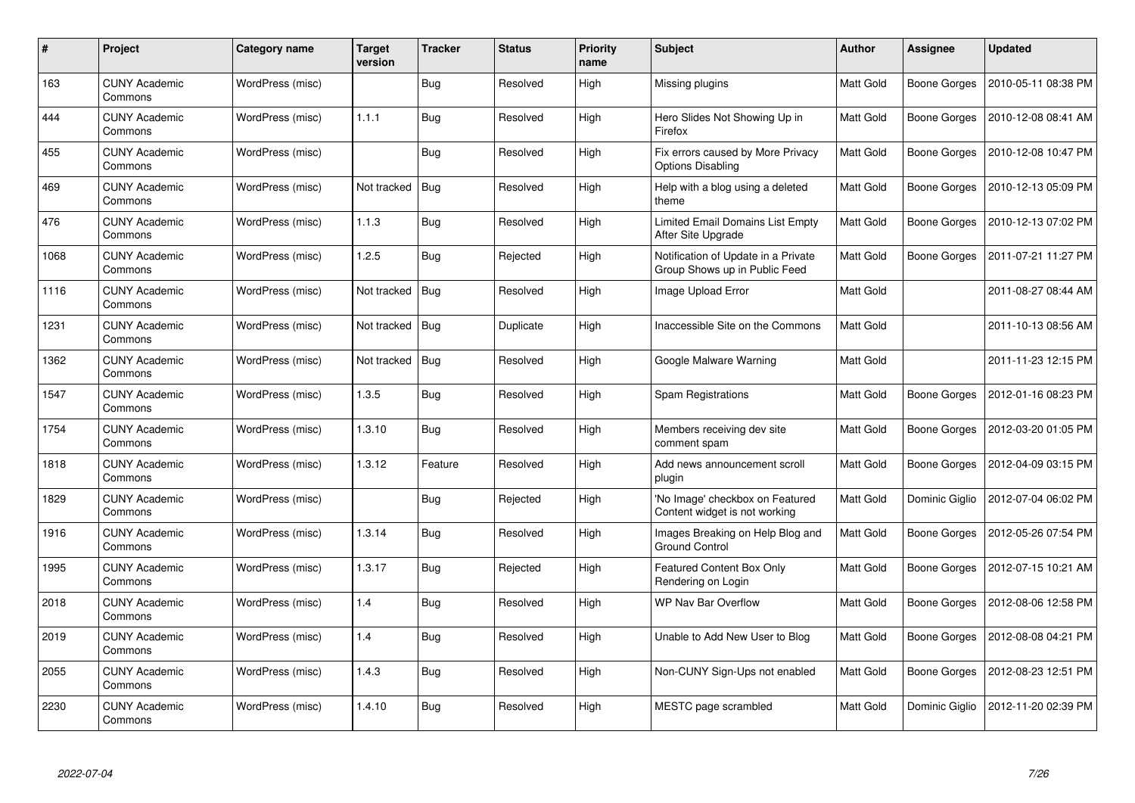| #    | Project                         | <b>Category name</b> | <b>Target</b><br>version | <b>Tracker</b> | <b>Status</b> | <b>Priority</b><br>name | <b>Subject</b>                                                       | <b>Author</b>    | <b>Assignee</b>     | <b>Updated</b>      |
|------|---------------------------------|----------------------|--------------------------|----------------|---------------|-------------------------|----------------------------------------------------------------------|------------------|---------------------|---------------------|
| 163  | <b>CUNY Academic</b><br>Commons | WordPress (misc)     |                          | <b>Bug</b>     | Resolved      | High                    | Missing plugins                                                      | <b>Matt Gold</b> | <b>Boone Gorges</b> | 2010-05-11 08:38 PM |
| 444  | <b>CUNY Academic</b><br>Commons | WordPress (misc)     | 1.1.1                    | Bug            | Resolved      | High                    | Hero Slides Not Showing Up in<br>Firefox                             | Matt Gold        | Boone Gorges        | 2010-12-08 08:41 AM |
| 455  | <b>CUNY Academic</b><br>Commons | WordPress (misc)     |                          | Bug            | Resolved      | High                    | Fix errors caused by More Privacy<br>Options Disabling               | <b>Matt Gold</b> | Boone Gorges        | 2010-12-08 10:47 PM |
| 469  | <b>CUNY Academic</b><br>Commons | WordPress (misc)     | Not tracked              | Bug            | Resolved      | High                    | Help with a blog using a deleted<br>theme                            | Matt Gold        | Boone Gorges        | 2010-12-13 05:09 PM |
| 476  | <b>CUNY Academic</b><br>Commons | WordPress (misc)     | 1.1.3                    | Bug            | Resolved      | High                    | Limited Email Domains List Empty<br>After Site Upgrade               | Matt Gold        | <b>Boone Gorges</b> | 2010-12-13 07:02 PM |
| 1068 | <b>CUNY Academic</b><br>Commons | WordPress (misc)     | 1.2.5                    | Bug            | Rejected      | High                    | Notification of Update in a Private<br>Group Shows up in Public Feed | Matt Gold        | <b>Boone Gorges</b> | 2011-07-21 11:27 PM |
| 1116 | <b>CUNY Academic</b><br>Commons | WordPress (misc)     | Not tracked              | Bug            | Resolved      | High                    | Image Upload Error                                                   | Matt Gold        |                     | 2011-08-27 08:44 AM |
| 1231 | <b>CUNY Academic</b><br>Commons | WordPress (misc)     | Not tracked              | Bug            | Duplicate     | High                    | Inaccessible Site on the Commons                                     | Matt Gold        |                     | 2011-10-13 08:56 AM |
| 1362 | <b>CUNY Academic</b><br>Commons | WordPress (misc)     | Not tracked              | Bug            | Resolved      | High                    | Google Malware Warning                                               | <b>Matt Gold</b> |                     | 2011-11-23 12:15 PM |
| 1547 | <b>CUNY Academic</b><br>Commons | WordPress (misc)     | 1.3.5                    | Bug            | Resolved      | High                    | Spam Registrations                                                   | Matt Gold        | Boone Gorges        | 2012-01-16 08:23 PM |
| 1754 | <b>CUNY Academic</b><br>Commons | WordPress (misc)     | 1.3.10                   | Bug            | Resolved      | High                    | Members receiving dev site<br>comment spam                           | Matt Gold        | Boone Gorges        | 2012-03-20 01:05 PM |
| 1818 | <b>CUNY Academic</b><br>Commons | WordPress (misc)     | 1.3.12                   | Feature        | Resolved      | High                    | Add news announcement scroll<br>plugin                               | Matt Gold        | <b>Boone Gorges</b> | 2012-04-09 03:15 PM |
| 1829 | <b>CUNY Academic</b><br>Commons | WordPress (misc)     |                          | Bug            | Rejected      | High                    | 'No Image' checkbox on Featured<br>Content widget is not working     | Matt Gold        | Dominic Giglio      | 2012-07-04 06:02 PM |
| 1916 | <b>CUNY Academic</b><br>Commons | WordPress (misc)     | 1.3.14                   | Bug            | Resolved      | High                    | Images Breaking on Help Blog and<br><b>Ground Control</b>            | Matt Gold        | <b>Boone Gorges</b> | 2012-05-26 07:54 PM |
| 1995 | <b>CUNY Academic</b><br>Commons | WordPress (misc)     | 1.3.17                   | <b>Bug</b>     | Rejected      | High                    | Featured Content Box Only<br>Rendering on Login                      | Matt Gold        | Boone Gorges        | 2012-07-15 10:21 AM |
| 2018 | <b>CUNY Academic</b><br>Commons | WordPress (misc)     | 1.4                      | Bug            | Resolved      | High                    | <b>WP Nav Bar Overflow</b>                                           | Matt Gold        | Boone Gorges        | 2012-08-06 12:58 PM |
| 2019 | <b>CUNY Academic</b><br>Commons | WordPress (misc)     | 1.4                      | Bug            | Resolved      | High                    | Unable to Add New User to Blog                                       | Matt Gold        | <b>Boone Gorges</b> | 2012-08-08 04:21 PM |
| 2055 | <b>CUNY Academic</b><br>Commons | WordPress (misc)     | 1.4.3                    | <b>Bug</b>     | Resolved      | High                    | Non-CUNY Sign-Ups not enabled                                        | Matt Gold        | Boone Gorges        | 2012-08-23 12:51 PM |
| 2230 | <b>CUNY Academic</b><br>Commons | WordPress (misc)     | 1.4.10                   | Bug            | Resolved      | High                    | MESTC page scrambled                                                 | Matt Gold        | Dominic Giglio      | 2012-11-20 02:39 PM |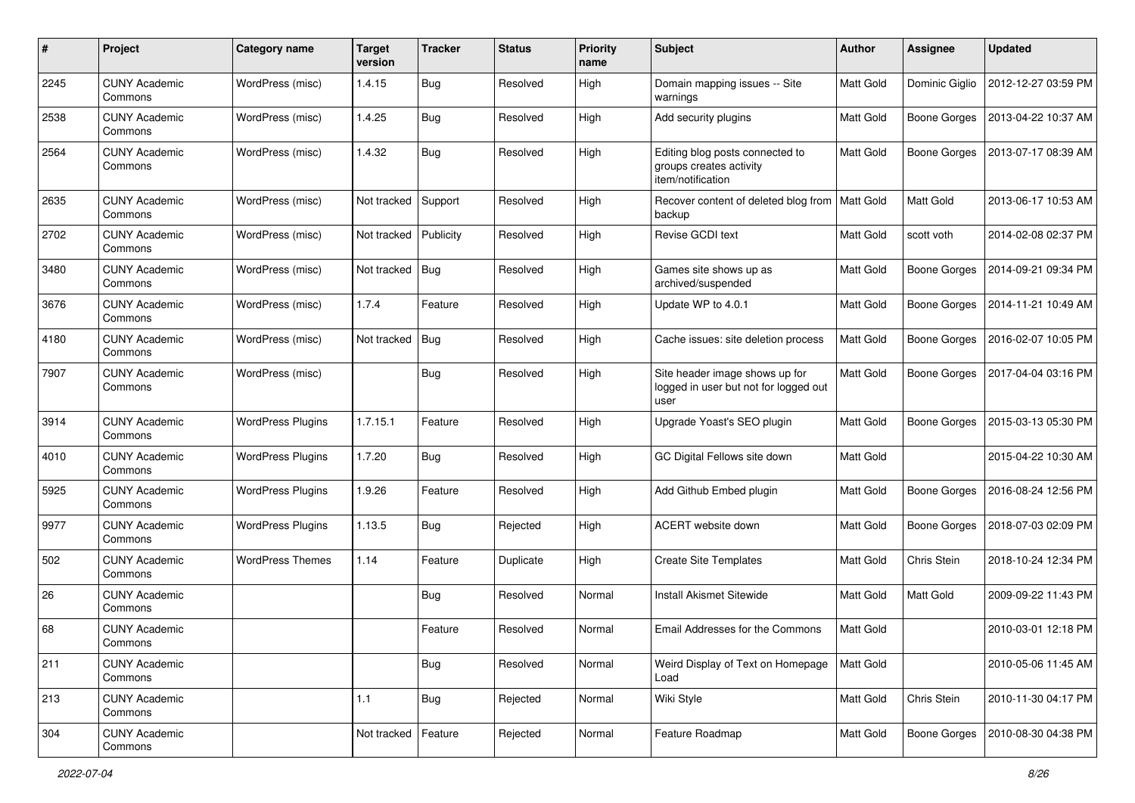| #    | Project                         | Category name            | <b>Target</b><br>version | <b>Tracker</b> | <b>Status</b> | <b>Priority</b><br>name | <b>Subject</b>                                                                  | <b>Author</b>    | <b>Assignee</b>     | <b>Updated</b>      |
|------|---------------------------------|--------------------------|--------------------------|----------------|---------------|-------------------------|---------------------------------------------------------------------------------|------------------|---------------------|---------------------|
| 2245 | <b>CUNY Academic</b><br>Commons | WordPress (misc)         | 1.4.15                   | Bug            | Resolved      | High                    | Domain mapping issues -- Site<br>warnings                                       | <b>Matt Gold</b> | Dominic Giglio      | 2012-12-27 03:59 PM |
| 2538 | <b>CUNY Academic</b><br>Commons | WordPress (misc)         | 1.4.25                   | Bug            | Resolved      | High                    | Add security plugins                                                            | Matt Gold        | <b>Boone Gorges</b> | 2013-04-22 10:37 AM |
| 2564 | <b>CUNY Academic</b><br>Commons | WordPress (misc)         | 1.4.32                   | Bug            | Resolved      | High                    | Editing blog posts connected to<br>groups creates activity<br>item/notification | Matt Gold        | <b>Boone Gorges</b> | 2013-07-17 08:39 AM |
| 2635 | <b>CUNY Academic</b><br>Commons | WordPress (misc)         | Not tracked              | Support        | Resolved      | High                    | Recover content of deleted blog from<br>backup                                  | <b>Matt Gold</b> | Matt Gold           | 2013-06-17 10:53 AM |
| 2702 | <b>CUNY Academic</b><br>Commons | WordPress (misc)         | Not tracked              | Publicity      | Resolved      | High                    | Revise GCDI text                                                                | <b>Matt Gold</b> | scott voth          | 2014-02-08 02:37 PM |
| 3480 | <b>CUNY Academic</b><br>Commons | WordPress (misc)         | Not tracked              | Bug            | Resolved      | High                    | Games site shows up as<br>archived/suspended                                    | <b>Matt Gold</b> | <b>Boone Gorges</b> | 2014-09-21 09:34 PM |
| 3676 | <b>CUNY Academic</b><br>Commons | WordPress (misc)         | 1.7.4                    | Feature        | Resolved      | High                    | Update WP to 4.0.1                                                              | Matt Gold        | <b>Boone Gorges</b> | 2014-11-21 10:49 AM |
| 4180 | <b>CUNY Academic</b><br>Commons | WordPress (misc)         | Not tracked              | Bug            | Resolved      | High                    | Cache issues: site deletion process                                             | Matt Gold        | <b>Boone Gorges</b> | 2016-02-07 10:05 PM |
| 7907 | <b>CUNY Academic</b><br>Commons | WordPress (misc)         |                          | Bug            | Resolved      | High                    | Site header image shows up for<br>logged in user but not for logged out<br>user | Matt Gold        | <b>Boone Gorges</b> | 2017-04-04 03:16 PM |
| 3914 | <b>CUNY Academic</b><br>Commons | <b>WordPress Plugins</b> | 1.7.15.1                 | Feature        | Resolved      | High                    | Upgrade Yoast's SEO plugin                                                      | Matt Gold        | <b>Boone Gorges</b> | 2015-03-13 05:30 PM |
| 4010 | <b>CUNY Academic</b><br>Commons | <b>WordPress Plugins</b> | 1.7.20                   | <b>Bug</b>     | Resolved      | High                    | GC Digital Fellows site down                                                    | Matt Gold        |                     | 2015-04-22 10:30 AM |
| 5925 | <b>CUNY Academic</b><br>Commons | <b>WordPress Plugins</b> | 1.9.26                   | Feature        | Resolved      | High                    | Add Github Embed plugin                                                         | Matt Gold        | <b>Boone Gorges</b> | 2016-08-24 12:56 PM |
| 9977 | <b>CUNY Academic</b><br>Commons | <b>WordPress Plugins</b> | 1.13.5                   | Bug            | Rejected      | High                    | <b>ACERT</b> website down                                                       | <b>Matt Gold</b> | <b>Boone Gorges</b> | 2018-07-03 02:09 PM |
| 502  | <b>CUNY Academic</b><br>Commons | <b>WordPress Themes</b>  | 1.14                     | Feature        | Duplicate     | High                    | <b>Create Site Templates</b>                                                    | <b>Matt Gold</b> | Chris Stein         | 2018-10-24 12:34 PM |
| 26   | <b>CUNY Academic</b><br>Commons |                          |                          | <b>Bug</b>     | Resolved      | Normal                  | <b>Install Akismet Sitewide</b>                                                 | <b>Matt Gold</b> | Matt Gold           | 2009-09-22 11:43 PM |
| 68   | <b>CUNY Academic</b><br>Commons |                          |                          | Feature        | Resolved      | Normal                  | Email Addresses for the Commons                                                 | Matt Gold        |                     | 2010-03-01 12:18 PM |
| 211  | <b>CUNY Academic</b><br>Commons |                          |                          | <b>Bug</b>     | Resolved      | Normal                  | Weird Display of Text on Homepage<br>Load                                       | <b>Matt Gold</b> |                     | 2010-05-06 11:45 AM |
| 213  | <b>CUNY Academic</b><br>Commons |                          | 1.1                      | <b>Bug</b>     | Rejected      | Normal                  | Wiki Style                                                                      | Matt Gold        | Chris Stein         | 2010-11-30 04:17 PM |
| 304  | <b>CUNY Academic</b><br>Commons |                          | Not tracked              | Feature        | Rejected      | Normal                  | Feature Roadmap                                                                 | Matt Gold        | <b>Boone Gorges</b> | 2010-08-30 04:38 PM |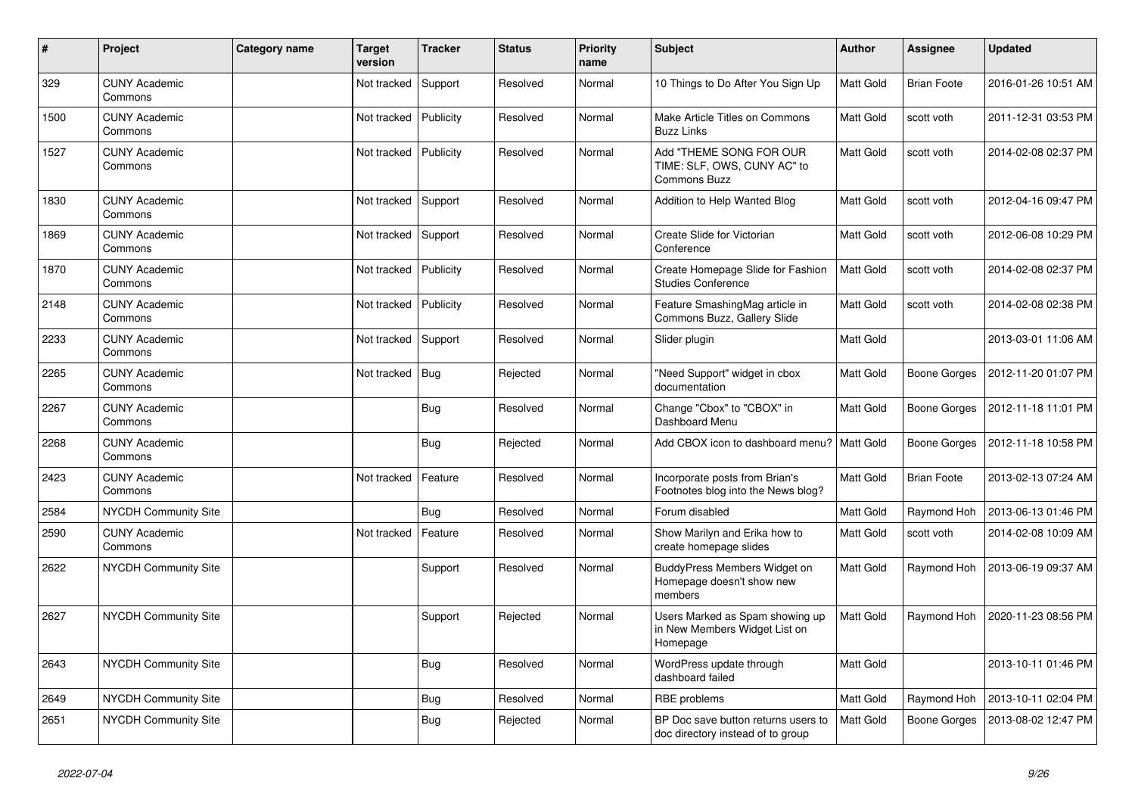| $\vert$ # | Project                         | Category name | Target<br>version | <b>Tracker</b> | <b>Status</b> | <b>Priority</b><br>name | <b>Subject</b>                                                                | <b>Author</b>    | <b>Assignee</b>     | <b>Updated</b>      |
|-----------|---------------------------------|---------------|-------------------|----------------|---------------|-------------------------|-------------------------------------------------------------------------------|------------------|---------------------|---------------------|
| 329       | <b>CUNY Academic</b><br>Commons |               | Not tracked       | Support        | Resolved      | Normal                  | 10 Things to Do After You Sign Up                                             | <b>Matt Gold</b> | <b>Brian Foote</b>  | 2016-01-26 10:51 AM |
| 1500      | <b>CUNY Academic</b><br>Commons |               | Not tracked       | Publicity      | Resolved      | Normal                  | Make Article Titles on Commons<br><b>Buzz Links</b>                           | Matt Gold        | scott voth          | 2011-12-31 03:53 PM |
| 1527      | <b>CUNY Academic</b><br>Commons |               | Not tracked       | Publicity      | Resolved      | Normal                  | Add "THEME SONG FOR OUR<br>TIME: SLF, OWS, CUNY AC" to<br><b>Commons Buzz</b> | <b>Matt Gold</b> | scott voth          | 2014-02-08 02:37 PM |
| 1830      | <b>CUNY Academic</b><br>Commons |               | Not tracked       | Support        | Resolved      | Normal                  | Addition to Help Wanted Blog                                                  | <b>Matt Gold</b> | scott voth          | 2012-04-16 09:47 PM |
| 1869      | <b>CUNY Academic</b><br>Commons |               | Not tracked       | Support        | Resolved      | Normal                  | Create Slide for Victorian<br>Conference                                      | Matt Gold        | scott voth          | 2012-06-08 10:29 PM |
| 1870      | <b>CUNY Academic</b><br>Commons |               | Not tracked       | Publicity      | Resolved      | Normal                  | Create Homepage Slide for Fashion<br><b>Studies Conference</b>                | <b>Matt Gold</b> | scott voth          | 2014-02-08 02:37 PM |
| 2148      | <b>CUNY Academic</b><br>Commons |               | Not tracked       | Publicity      | Resolved      | Normal                  | Feature SmashingMag article in<br>Commons Buzz, Gallery Slide                 | <b>Matt Gold</b> | scott voth          | 2014-02-08 02:38 PM |
| 2233      | <b>CUNY Academic</b><br>Commons |               | Not tracked       | Support        | Resolved      | Normal                  | Slider plugin                                                                 | Matt Gold        |                     | 2013-03-01 11:06 AM |
| 2265      | <b>CUNY Academic</b><br>Commons |               | Not tracked       | <b>Bug</b>     | Rejected      | Normal                  | "Need Support" widget in cbox<br>documentation                                | <b>Matt Gold</b> | <b>Boone Gorges</b> | 2012-11-20 01:07 PM |
| 2267      | <b>CUNY Academic</b><br>Commons |               |                   | <b>Bug</b>     | Resolved      | Normal                  | Change "Cbox" to "CBOX" in<br>Dashboard Menu                                  | <b>Matt Gold</b> | <b>Boone Gorges</b> | 2012-11-18 11:01 PM |
| 2268      | <b>CUNY Academic</b><br>Commons |               |                   | Bug            | Rejected      | Normal                  | Add CBOX icon to dashboard menu?                                              | Matt Gold        | Boone Gorges        | 2012-11-18 10:58 PM |
| 2423      | <b>CUNY Academic</b><br>Commons |               | Not tracked       | Feature        | Resolved      | Normal                  | Incorporate posts from Brian's<br>Footnotes blog into the News blog?          | Matt Gold        | <b>Brian Foote</b>  | 2013-02-13 07:24 AM |
| 2584      | <b>NYCDH Community Site</b>     |               |                   | <b>Bug</b>     | Resolved      | Normal                  | Forum disabled                                                                | Matt Gold        | Raymond Hoh         | 2013-06-13 01:46 PM |
| 2590      | <b>CUNY Academic</b><br>Commons |               | Not tracked       | Feature        | Resolved      | Normal                  | Show Marilyn and Erika how to<br>create homepage slides                       | <b>Matt Gold</b> | scott voth          | 2014-02-08 10:09 AM |
| 2622      | NYCDH Community Site            |               |                   | Support        | Resolved      | Normal                  | BuddyPress Members Widget on<br>Homepage doesn't show new<br>members          | <b>Matt Gold</b> | Raymond Hoh         | 2013-06-19 09:37 AM |
| 2627      | <b>NYCDH Community Site</b>     |               |                   | Support        | Rejected      | Normal                  | Users Marked as Spam showing up<br>in New Members Widget List on<br>Homepage  | Matt Gold        | Raymond Hoh         | 2020-11-23 08:56 PM |
| 2643      | <b>NYCDH Community Site</b>     |               |                   | <b>Bug</b>     | Resolved      | Normal                  | WordPress update through<br>dashboard failed                                  | Matt Gold        |                     | 2013-10-11 01:46 PM |
| 2649      | <b>NYCDH Community Site</b>     |               |                   | <b>Bug</b>     | Resolved      | Normal                  | RBE problems                                                                  | Matt Gold        | Raymond Hoh         | 2013-10-11 02:04 PM |
| 2651      | <b>NYCDH Community Site</b>     |               |                   | <b>Bug</b>     | Rejected      | Normal                  | BP Doc save button returns users to<br>doc directory instead of to group      | <b>Matt Gold</b> | <b>Boone Gorges</b> | 2013-08-02 12:47 PM |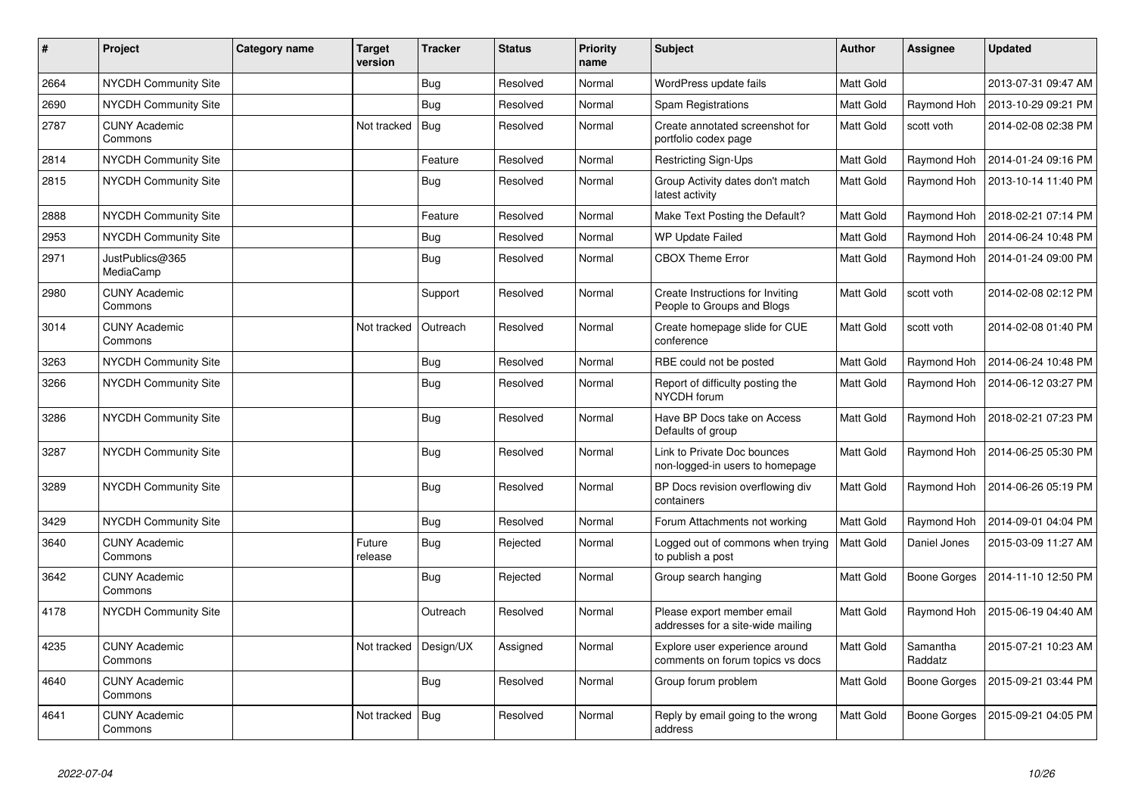| $\#$ | Project                         | Category name | Target<br>version | <b>Tracker</b> | <b>Status</b> | <b>Priority</b><br>name | <b>Subject</b>                                                     | <b>Author</b>    | <b>Assignee</b>     | <b>Updated</b>      |
|------|---------------------------------|---------------|-------------------|----------------|---------------|-------------------------|--------------------------------------------------------------------|------------------|---------------------|---------------------|
| 2664 | <b>NYCDH Community Site</b>     |               |                   | <b>Bug</b>     | Resolved      | Normal                  | WordPress update fails                                             | <b>Matt Gold</b> |                     | 2013-07-31 09:47 AM |
| 2690 | NYCDH Community Site            |               |                   | <b>Bug</b>     | Resolved      | Normal                  | Spam Registrations                                                 | <b>Matt Gold</b> | Raymond Hoh         | 2013-10-29 09:21 PM |
| 2787 | <b>CUNY Academic</b><br>Commons |               | Not tracked       | Bug            | Resolved      | Normal                  | Create annotated screenshot for<br>portfolio codex page            | Matt Gold        | scott voth          | 2014-02-08 02:38 PM |
| 2814 | NYCDH Community Site            |               |                   | Feature        | Resolved      | Normal                  | Restricting Sign-Ups                                               | Matt Gold        | Raymond Hoh         | 2014-01-24 09:16 PM |
| 2815 | <b>NYCDH Community Site</b>     |               |                   | <b>Bug</b>     | Resolved      | Normal                  | Group Activity dates don't match<br>latest activity                | <b>Matt Gold</b> | Raymond Hoh         | 2013-10-14 11:40 PM |
| 2888 | NYCDH Community Site            |               |                   | Feature        | Resolved      | Normal                  | Make Text Posting the Default?                                     | Matt Gold        | Raymond Hoh         | 2018-02-21 07:14 PM |
| 2953 | NYCDH Community Site            |               |                   | <b>Bug</b>     | Resolved      | Normal                  | WP Update Failed                                                   | Matt Gold        | Raymond Hoh         | 2014-06-24 10:48 PM |
| 2971 | JustPublics@365<br>MediaCamp    |               |                   | Bug            | Resolved      | Normal                  | <b>CBOX Theme Error</b>                                            | <b>Matt Gold</b> | Raymond Hoh         | 2014-01-24 09:00 PM |
| 2980 | <b>CUNY Academic</b><br>Commons |               |                   | Support        | Resolved      | Normal                  | Create Instructions for Inviting<br>People to Groups and Blogs     | Matt Gold        | scott voth          | 2014-02-08 02:12 PM |
| 3014 | <b>CUNY Academic</b><br>Commons |               | Not tracked       | Outreach       | Resolved      | Normal                  | Create homepage slide for CUE<br>conference                        | Matt Gold        | scott voth          | 2014-02-08 01:40 PM |
| 3263 | NYCDH Community Site            |               |                   | <b>Bug</b>     | Resolved      | Normal                  | RBE could not be posted                                            | Matt Gold        | Raymond Hoh         | 2014-06-24 10:48 PM |
| 3266 | NYCDH Community Site            |               |                   | <b>Bug</b>     | Resolved      | Normal                  | Report of difficulty posting the<br>NYCDH forum                    | Matt Gold        | Raymond Hoh         | 2014-06-12 03:27 PM |
| 3286 | <b>NYCDH Community Site</b>     |               |                   | Bug            | Resolved      | Normal                  | Have BP Docs take on Access<br>Defaults of group                   | Matt Gold        | Raymond Hoh         | 2018-02-21 07:23 PM |
| 3287 | <b>NYCDH Community Site</b>     |               |                   | <b>Bug</b>     | Resolved      | Normal                  | Link to Private Doc bounces<br>non-logged-in users to homepage     | <b>Matt Gold</b> | Raymond Hoh         | 2014-06-25 05:30 PM |
| 3289 | NYCDH Community Site            |               |                   | <b>Bug</b>     | Resolved      | Normal                  | BP Docs revision overflowing div<br>containers                     | Matt Gold        | Raymond Hoh         | 2014-06-26 05:19 PM |
| 3429 | NYCDH Community Site            |               |                   | Bug            | Resolved      | Normal                  | Forum Attachments not working                                      | <b>Matt Gold</b> | Raymond Hoh         | 2014-09-01 04:04 PM |
| 3640 | <b>CUNY Academic</b><br>Commons |               | Future<br>release | <b>Bug</b>     | Rejected      | Normal                  | Logged out of commons when trying<br>to publish a post             | <b>Matt Gold</b> | Daniel Jones        | 2015-03-09 11:27 AM |
| 3642 | <b>CUNY Academic</b><br>Commons |               |                   | <b>Bug</b>     | Rejected      | Normal                  | Group search hanging                                               | <b>Matt Gold</b> | Boone Gorges        | 2014-11-10 12:50 PM |
| 4178 | <b>NYCDH Community Site</b>     |               |                   | Outreach       | Resolved      | Normal                  | Please export member email<br>addresses for a site-wide mailing    | Matt Gold        | Raymond Hoh         | 2015-06-19 04:40 AM |
| 4235 | <b>CUNY Academic</b><br>Commons |               | Not tracked       | Design/UX      | Assigned      | Normal                  | Explore user experience around<br>comments on forum topics vs docs | <b>Matt Gold</b> | Samantha<br>Raddatz | 2015-07-21 10:23 AM |
| 4640 | <b>CUNY Academic</b><br>Commons |               |                   | <b>Bug</b>     | Resolved      | Normal                  | Group forum problem                                                | Matt Gold        | Boone Gorges        | 2015-09-21 03:44 PM |
| 4641 | <b>CUNY Academic</b><br>Commons |               | Not tracked       | Bug            | Resolved      | Normal                  | Reply by email going to the wrong<br>address                       | <b>Matt Gold</b> | Boone Gorges        | 2015-09-21 04:05 PM |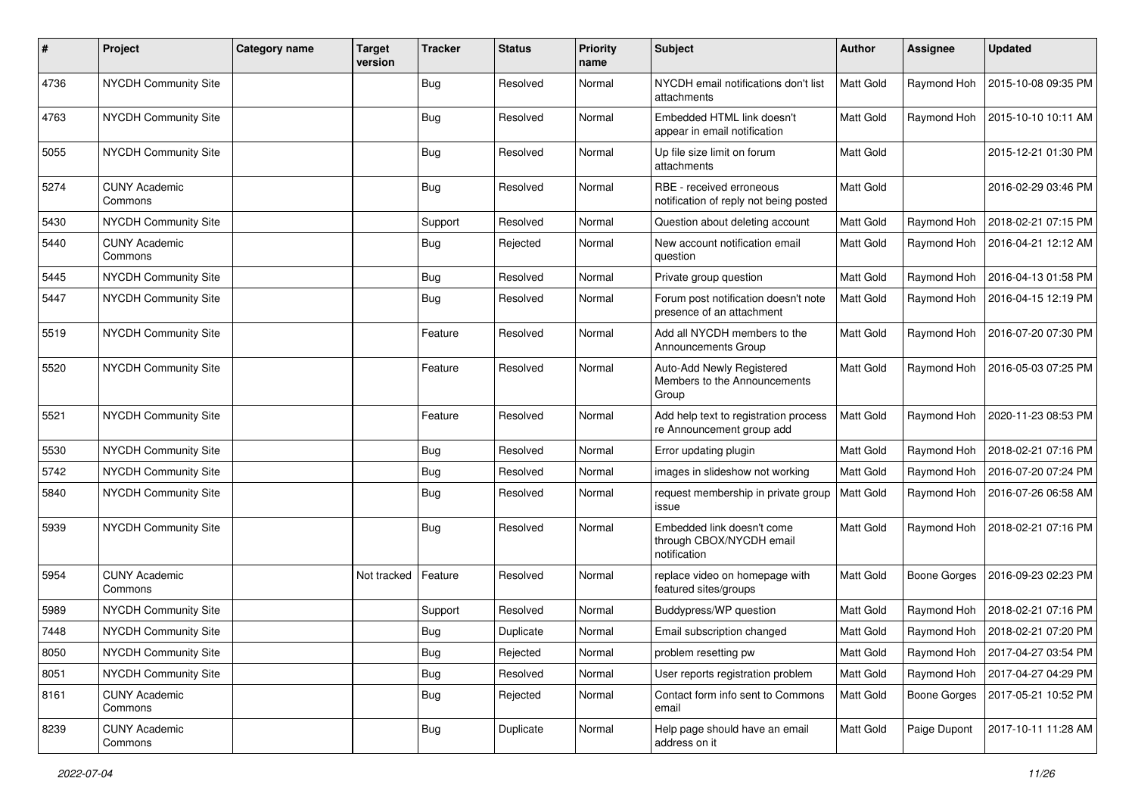| $\sharp$ | Project                         | <b>Category name</b> | <b>Target</b><br>version | <b>Tracker</b> | <b>Status</b> | <b>Priority</b><br>name | <b>Subject</b>                                                         | Author           | <b>Assignee</b>     | <b>Updated</b>      |
|----------|---------------------------------|----------------------|--------------------------|----------------|---------------|-------------------------|------------------------------------------------------------------------|------------------|---------------------|---------------------|
| 4736     | NYCDH Community Site            |                      |                          | Bug            | Resolved      | Normal                  | NYCDH email notifications don't list<br>attachments                    | Matt Gold        | Raymond Hoh         | 2015-10-08 09:35 PM |
| 4763     | <b>NYCDH Community Site</b>     |                      |                          | <b>Bug</b>     | Resolved      | Normal                  | Embedded HTML link doesn't<br>appear in email notification             | Matt Gold        | Raymond Hoh         | 2015-10-10 10:11 AM |
| 5055     | NYCDH Community Site            |                      |                          | Bug            | Resolved      | Normal                  | Up file size limit on forum<br>attachments                             | Matt Gold        |                     | 2015-12-21 01:30 PM |
| 5274     | <b>CUNY Academic</b><br>Commons |                      |                          | Bug            | Resolved      | Normal                  | RBE - received erroneous<br>notification of reply not being posted     | <b>Matt Gold</b> |                     | 2016-02-29 03:46 PM |
| 5430     | NYCDH Community Site            |                      |                          | Support        | Resolved      | Normal                  | Question about deleting account                                        | Matt Gold        | Raymond Hoh         | 2018-02-21 07:15 PM |
| 5440     | <b>CUNY Academic</b><br>Commons |                      |                          | Bug            | Rejected      | Normal                  | New account notification email<br>question                             | Matt Gold        | Raymond Hoh         | 2016-04-21 12:12 AM |
| 5445     | NYCDH Community Site            |                      |                          | <b>Bug</b>     | Resolved      | Normal                  | Private group question                                                 | Matt Gold        | Raymond Hoh         | 2016-04-13 01:58 PM |
| 5447     | NYCDH Community Site            |                      |                          | Bug            | Resolved      | Normal                  | Forum post notification doesn't note<br>presence of an attachment      | Matt Gold        | Raymond Hoh         | 2016-04-15 12:19 PM |
| 5519     | NYCDH Community Site            |                      |                          | Feature        | Resolved      | Normal                  | Add all NYCDH members to the<br>Announcements Group                    | <b>Matt Gold</b> | Raymond Hoh         | 2016-07-20 07:30 PM |
| 5520     | NYCDH Community Site            |                      |                          | Feature        | Resolved      | Normal                  | Auto-Add Newly Registered<br>Members to the Announcements<br>Group     | <b>Matt Gold</b> | Raymond Hoh         | 2016-05-03 07:25 PM |
| 5521     | <b>NYCDH Community Site</b>     |                      |                          | Feature        | Resolved      | Normal                  | Add help text to registration process<br>re Announcement group add     | <b>Matt Gold</b> | Raymond Hoh         | 2020-11-23 08:53 PM |
| 5530     | NYCDH Community Site            |                      |                          | <b>Bug</b>     | Resolved      | Normal                  | Error updating plugin                                                  | Matt Gold        | Raymond Hoh         | 2018-02-21 07:16 PM |
| 5742     | NYCDH Community Site            |                      |                          | <b>Bug</b>     | Resolved      | Normal                  | images in slideshow not working                                        | Matt Gold        | Raymond Hoh         | 2016-07-20 07:24 PM |
| 5840     | NYCDH Community Site            |                      |                          | <b>Bug</b>     | Resolved      | Normal                  | request membership in private group<br>issue                           | <b>Matt Gold</b> | Raymond Hoh         | 2016-07-26 06:58 AM |
| 5939     | NYCDH Community Site            |                      |                          | Bug            | Resolved      | Normal                  | Embedded link doesn't come<br>through CBOX/NYCDH email<br>notification | Matt Gold        | Raymond Hoh         | 2018-02-21 07:16 PM |
| 5954     | <b>CUNY Academic</b><br>Commons |                      | Not tracked              | Feature        | Resolved      | Normal                  | replace video on homepage with<br>featured sites/groups                | Matt Gold        | <b>Boone Gorges</b> | 2016-09-23 02:23 PM |
| 5989     | NYCDH Community Site            |                      |                          | Support        | Resolved      | Normal                  | Buddypress/WP question                                                 | Matt Gold        | Raymond Hoh         | 2018-02-21 07:16 PM |
| 7448     | NYCDH Community Site            |                      |                          | <b>Bug</b>     | Duplicate     | Normal                  | Email subscription changed                                             | Matt Gold        | Raymond Hoh         | 2018-02-21 07:20 PM |
| 8050     | <b>NYCDH Community Site</b>     |                      |                          | Bug            | Rejected      | Normal                  | problem resetting pw                                                   | Matt Gold        | Raymond Hoh         | 2017-04-27 03:54 PM |
| 8051     | NYCDH Community Site            |                      |                          | <b>Bug</b>     | Resolved      | Normal                  | User reports registration problem                                      | Matt Gold        | Raymond Hoh         | 2017-04-27 04:29 PM |
| 8161     | <b>CUNY Academic</b><br>Commons |                      |                          | <b>Bug</b>     | Rejected      | Normal                  | Contact form info sent to Commons<br>email                             | Matt Gold        | Boone Gorges        | 2017-05-21 10:52 PM |
| 8239     | <b>CUNY Academic</b><br>Commons |                      |                          | <b>Bug</b>     | Duplicate     | Normal                  | Help page should have an email<br>address on it                        | Matt Gold        | Paige Dupont        | 2017-10-11 11:28 AM |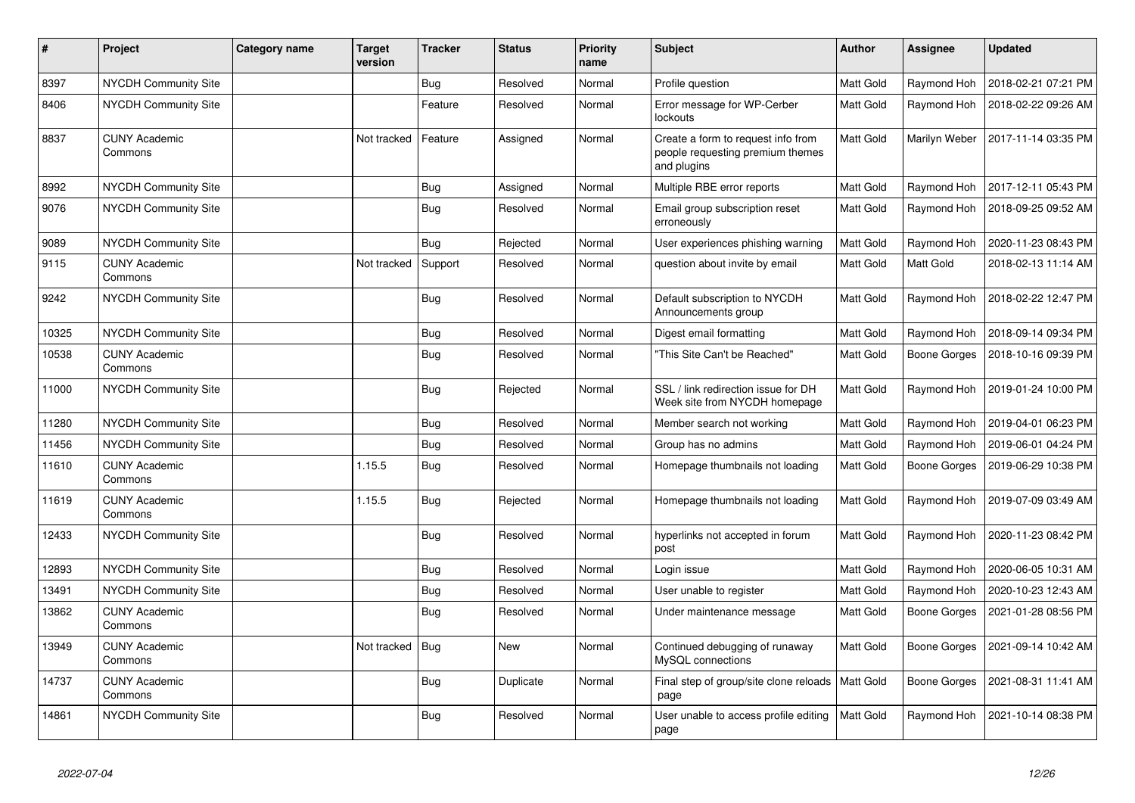| $\pmb{\sharp}$ | Project                         | Category name | <b>Target</b><br>version | <b>Tracker</b> | <b>Status</b> | <b>Priority</b><br>name | <b>Subject</b>                                                                        | <b>Author</b>    | Assignee      | <b>Updated</b>        |
|----------------|---------------------------------|---------------|--------------------------|----------------|---------------|-------------------------|---------------------------------------------------------------------------------------|------------------|---------------|-----------------------|
| 8397           | NYCDH Community Site            |               |                          | Bug            | Resolved      | Normal                  | Profile question                                                                      | <b>Matt Gold</b> | Raymond Hoh   | 2018-02-21 07:21 PM   |
| 8406           | NYCDH Community Site            |               |                          | Feature        | Resolved      | Normal                  | Error message for WP-Cerber<br>lockouts                                               | <b>Matt Gold</b> | Raymond Hoh   | 2018-02-22 09:26 AM   |
| 8837           | <b>CUNY Academic</b><br>Commons |               | Not tracked              | Feature        | Assigned      | Normal                  | Create a form to request info from<br>people requesting premium themes<br>and plugins | <b>Matt Gold</b> | Marilyn Weber | l 2017-11-14 03:35 PM |
| 8992           | <b>NYCDH Community Site</b>     |               |                          | Bug            | Assigned      | Normal                  | Multiple RBE error reports                                                            | <b>Matt Gold</b> | Raymond Hoh   | 2017-12-11 05:43 PM   |
| 9076           | NYCDH Community Site            |               |                          | <b>Bug</b>     | Resolved      | Normal                  | Email group subscription reset<br>erroneously                                         | Matt Gold        | Raymond Hoh   | 2018-09-25 09:52 AM   |
| 9089           | NYCDH Community Site            |               |                          | Bug            | Rejected      | Normal                  | User experiences phishing warning                                                     | Matt Gold        | Raymond Hoh   | 2020-11-23 08:43 PM   |
| 9115           | <b>CUNY Academic</b><br>Commons |               | Not tracked              | Support        | Resolved      | Normal                  | question about invite by email                                                        | Matt Gold        | Matt Gold     | 2018-02-13 11:14 AM   |
| 9242           | <b>NYCDH Community Site</b>     |               |                          | Bug            | Resolved      | Normal                  | Default subscription to NYCDH<br>Announcements group                                  | <b>Matt Gold</b> | Raymond Hoh   | 2018-02-22 12:47 PM   |
| 10325          | NYCDH Community Site            |               |                          | <b>Bug</b>     | Resolved      | Normal                  | Digest email formatting                                                               | Matt Gold        | Raymond Hoh   | 2018-09-14 09:34 PM   |
| 10538          | <b>CUNY Academic</b><br>Commons |               |                          | <b>Bug</b>     | Resolved      | Normal                  | 'This Site Can't be Reached"                                                          | <b>Matt Gold</b> | Boone Gorges  | 2018-10-16 09:39 PM   |
| 11000          | NYCDH Community Site            |               |                          | Bug            | Rejected      | Normal                  | SSL / link redirection issue for DH<br>Week site from NYCDH homepage                  | Matt Gold        | Raymond Hoh   | 2019-01-24 10:00 PM   |
| 11280          | NYCDH Community Site            |               |                          | Bug            | Resolved      | Normal                  | Member search not working                                                             | Matt Gold        | Raymond Hoh   | 2019-04-01 06:23 PM   |
| 11456          | NYCDH Community Site            |               |                          | Bug            | Resolved      | Normal                  | Group has no admins                                                                   | Matt Gold        | Raymond Hoh   | 2019-06-01 04:24 PM   |
| 11610          | <b>CUNY Academic</b><br>Commons |               | 1.15.5                   | Bug            | Resolved      | Normal                  | Homepage thumbnails not loading                                                       | <b>Matt Gold</b> | Boone Gorges  | 2019-06-29 10:38 PM   |
| 11619          | <b>CUNY Academic</b><br>Commons |               | 1.15.5                   | Bug            | Rejected      | Normal                  | Homepage thumbnails not loading                                                       | Matt Gold        | Raymond Hoh   | 2019-07-09 03:49 AM   |
| 12433          | NYCDH Community Site            |               |                          | Bug            | Resolved      | Normal                  | hyperlinks not accepted in forum<br>post                                              | <b>Matt Gold</b> | Raymond Hoh   | 2020-11-23 08:42 PM   |
| 12893          | <b>NYCDH Community Site</b>     |               |                          | <b>Bug</b>     | Resolved      | Normal                  | Login issue                                                                           | <b>Matt Gold</b> | Raymond Hoh   | 2020-06-05 10:31 AM   |
| 13491          | NYCDH Community Site            |               |                          | <b>Bug</b>     | Resolved      | Normal                  | User unable to register                                                               | <b>Matt Gold</b> | Raymond Hoh   | 2020-10-23 12:43 AM   |
| 13862          | <b>CUNY Academic</b><br>Commons |               |                          | <b>Bug</b>     | Resolved      | Normal                  | Under maintenance message                                                             | Matt Gold        | Boone Gorges  | 2021-01-28 08:56 PM   |
| 13949          | <b>CUNY Academic</b><br>Commons |               | Not tracked              | Bug            | New           | Normal                  | Continued debugging of runaway<br>MySQL connections                                   | Matt Gold        | Boone Gorges  | 2021-09-14 10:42 AM   |
| 14737          | <b>CUNY Academic</b><br>Commons |               |                          | Bug            | Duplicate     | Normal                  | Final step of group/site clone reloads   Matt Gold<br>page                            |                  | Boone Gorges  | 2021-08-31 11:41 AM   |
| 14861          | NYCDH Community Site            |               |                          | <b>Bug</b>     | Resolved      | Normal                  | User unable to access profile editing<br>page                                         | <b>Matt Gold</b> | Raymond Hoh   | 2021-10-14 08:38 PM   |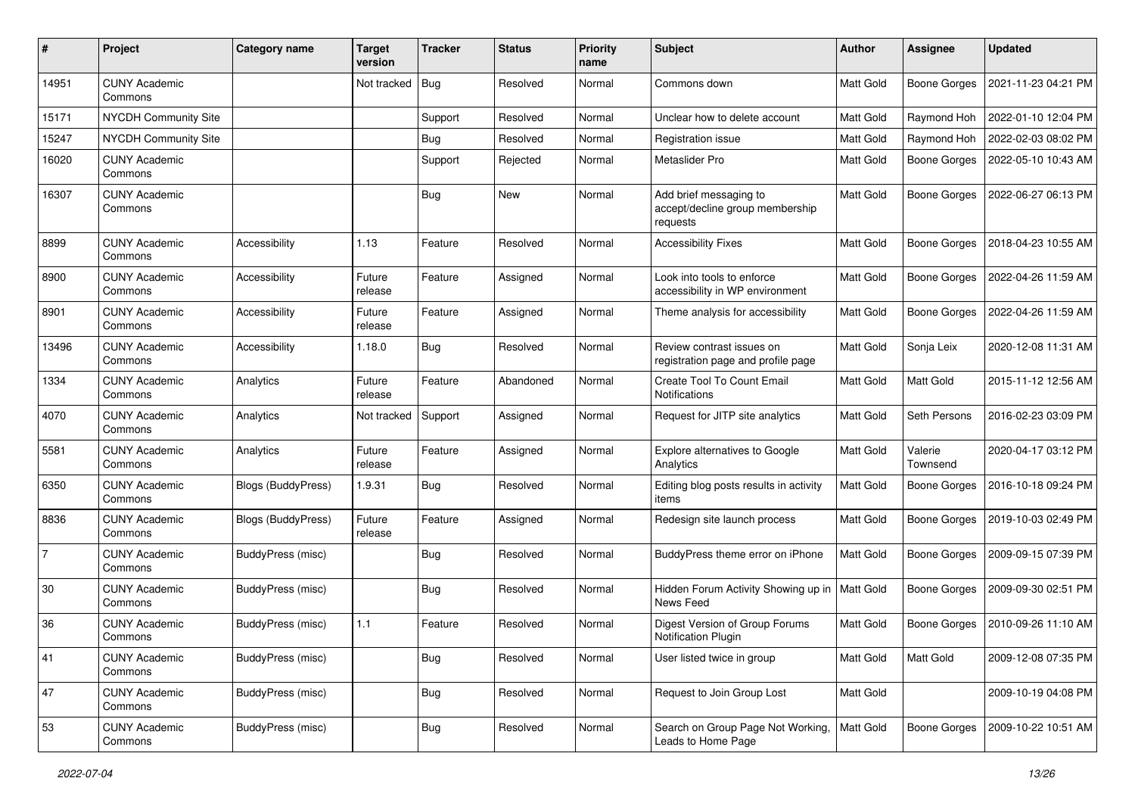| #              | Project                         | <b>Category name</b>      | <b>Target</b><br>version | <b>Tracker</b> | <b>Status</b> | <b>Priority</b><br>name | <b>Subject</b>                                                        | <b>Author</b>    | <b>Assignee</b>     | <b>Updated</b>      |
|----------------|---------------------------------|---------------------------|--------------------------|----------------|---------------|-------------------------|-----------------------------------------------------------------------|------------------|---------------------|---------------------|
| 14951          | <b>CUNY Academic</b><br>Commons |                           | Not tracked              | Bug            | Resolved      | Normal                  | Commons down                                                          | Matt Gold        | <b>Boone Gorges</b> | 2021-11-23 04:21 PM |
| 15171          | <b>NYCDH Community Site</b>     |                           |                          | Support        | Resolved      | Normal                  | Unclear how to delete account                                         | Matt Gold        | Raymond Hoh         | 2022-01-10 12:04 PM |
| 15247          | NYCDH Community Site            |                           |                          | <b>Bug</b>     | Resolved      | Normal                  | Registration issue                                                    | <b>Matt Gold</b> | Raymond Hoh         | 2022-02-03 08:02 PM |
| 16020          | <b>CUNY Academic</b><br>Commons |                           |                          | Support        | Rejected      | Normal                  | Metaslider Pro                                                        | Matt Gold        | <b>Boone Gorges</b> | 2022-05-10 10:43 AM |
| 16307          | <b>CUNY Academic</b><br>Commons |                           |                          | <b>Bug</b>     | <b>New</b>    | Normal                  | Add brief messaging to<br>accept/decline group membership<br>requests | Matt Gold        | <b>Boone Gorges</b> | 2022-06-27 06:13 PM |
| 8899           | <b>CUNY Academic</b><br>Commons | Accessibility             | 1.13                     | Feature        | Resolved      | Normal                  | <b>Accessibility Fixes</b>                                            | Matt Gold        | <b>Boone Gorges</b> | 2018-04-23 10:55 AM |
| 8900           | <b>CUNY Academic</b><br>Commons | Accessibility             | Future<br>release        | Feature        | Assigned      | Normal                  | Look into tools to enforce<br>accessibility in WP environment         | Matt Gold        | <b>Boone Gorges</b> | 2022-04-26 11:59 AM |
| 8901           | <b>CUNY Academic</b><br>Commons | Accessibility             | Future<br>release        | Feature        | Assigned      | Normal                  | Theme analysis for accessibility                                      | Matt Gold        | <b>Boone Gorges</b> | 2022-04-26 11:59 AM |
| 13496          | <b>CUNY Academic</b><br>Commons | Accessibility             | 1.18.0                   | Bug            | Resolved      | Normal                  | Review contrast issues on<br>registration page and profile page       | Matt Gold        | Sonja Leix          | 2020-12-08 11:31 AM |
| 1334           | <b>CUNY Academic</b><br>Commons | Analytics                 | Future<br>release        | Feature        | Abandoned     | Normal                  | Create Tool To Count Email<br>Notifications                           | <b>Matt Gold</b> | Matt Gold           | 2015-11-12 12:56 AM |
| 4070           | <b>CUNY Academic</b><br>Commons | Analytics                 | Not tracked              | Support        | Assigned      | Normal                  | Request for JITP site analytics                                       | Matt Gold        | Seth Persons        | 2016-02-23 03:09 PM |
| 5581           | <b>CUNY Academic</b><br>Commons | Analytics                 | Future<br>release        | Feature        | Assigned      | Normal                  | Explore alternatives to Google<br>Analytics                           | Matt Gold        | Valerie<br>Townsend | 2020-04-17 03:12 PM |
| 6350           | <b>CUNY Academic</b><br>Commons | <b>Blogs (BuddyPress)</b> | 1.9.31                   | <b>Bug</b>     | Resolved      | Normal                  | Editing blog posts results in activity<br>items                       | Matt Gold        | <b>Boone Gorges</b> | 2016-10-18 09:24 PM |
| 8836           | <b>CUNY Academic</b><br>Commons | <b>Blogs (BuddyPress)</b> | Future<br>release        | Feature        | Assigned      | Normal                  | Redesign site launch process                                          | Matt Gold        | Boone Gorges        | 2019-10-03 02:49 PM |
| $\overline{7}$ | <b>CUNY Academic</b><br>Commons | BuddyPress (misc)         |                          | Bug            | Resolved      | Normal                  | BuddyPress theme error on iPhone                                      | Matt Gold        | <b>Boone Gorges</b> | 2009-09-15 07:39 PM |
| 30             | <b>CUNY Academic</b><br>Commons | BuddyPress (misc)         |                          | <b>Bug</b>     | Resolved      | Normal                  | Hidden Forum Activity Showing up in<br>News Feed                      | Matt Gold        | <b>Boone Gorges</b> | 2009-09-30 02:51 PM |
| 36             | <b>CUNY Academic</b><br>Commons | BuddyPress (misc)         | 1.1                      | Feature        | Resolved      | Normal                  | Digest Version of Group Forums<br>Notification Plugin                 | Matt Gold        | <b>Boone Gorges</b> | 2010-09-26 11:10 AM |
| 41             | <b>CUNY Academic</b><br>Commons | BuddyPress (misc)         |                          | <b>Bug</b>     | Resolved      | Normal                  | User listed twice in group                                            | Matt Gold        | Matt Gold           | 2009-12-08 07:35 PM |
| 47             | <b>CUNY Academic</b><br>Commons | BuddyPress (misc)         |                          | <b>Bug</b>     | Resolved      | Normal                  | Request to Join Group Lost                                            | Matt Gold        |                     | 2009-10-19 04:08 PM |
| 53             | <b>CUNY Academic</b><br>Commons | BuddyPress (misc)         |                          | <b>Bug</b>     | Resolved      | Normal                  | Search on Group Page Not Working,<br>Leads to Home Page               | Matt Gold        | <b>Boone Gorges</b> | 2009-10-22 10:51 AM |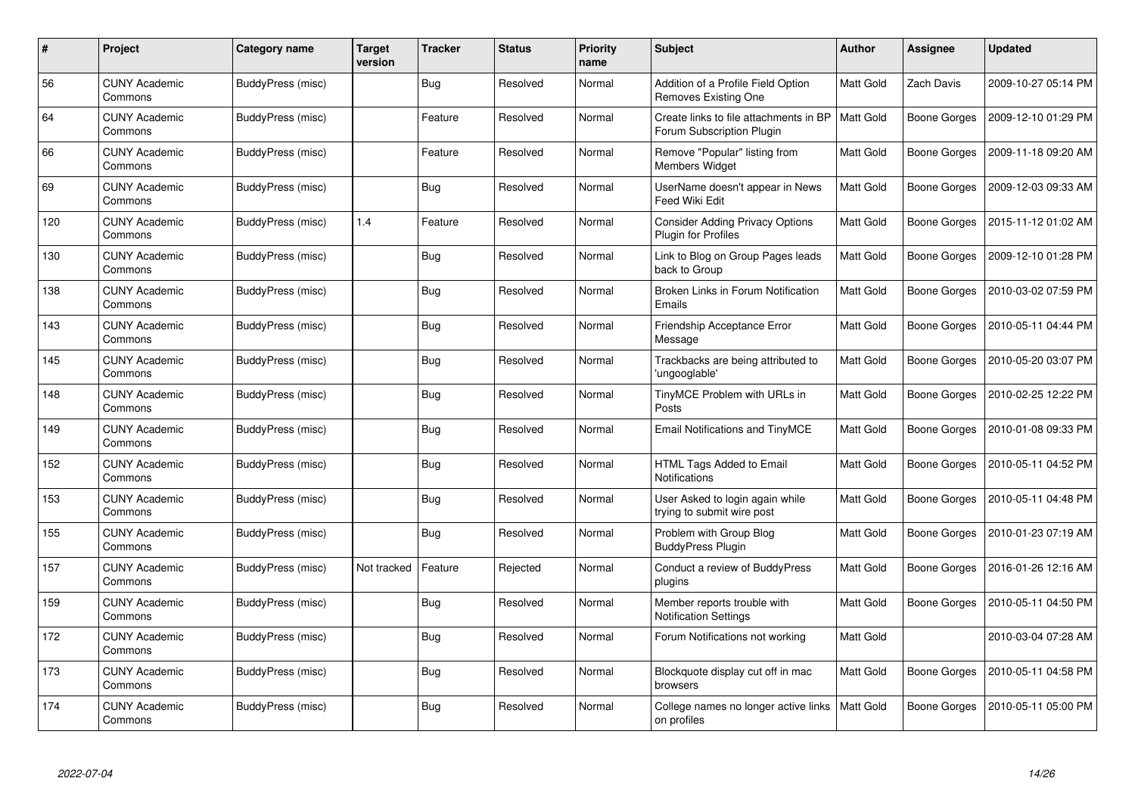| $\#$ | <b>Project</b>                  | <b>Category name</b> | <b>Target</b><br>version | <b>Tracker</b> | <b>Status</b> | <b>Priority</b><br>name | <b>Subject</b>                                                      | Author           | <b>Assignee</b>     | <b>Updated</b>      |
|------|---------------------------------|----------------------|--------------------------|----------------|---------------|-------------------------|---------------------------------------------------------------------|------------------|---------------------|---------------------|
| 56   | <b>CUNY Academic</b><br>Commons | BuddyPress (misc)    |                          | <b>Bug</b>     | Resolved      | Normal                  | Addition of a Profile Field Option<br>Removes Existing One          | <b>Matt Gold</b> | Zach Davis          | 2009-10-27 05:14 PM |
| 64   | <b>CUNY Academic</b><br>Commons | BuddyPress (misc)    |                          | Feature        | Resolved      | Normal                  | Create links to file attachments in BP<br>Forum Subscription Plugin | <b>Matt Gold</b> | <b>Boone Gorges</b> | 2009-12-10 01:29 PM |
| 66   | <b>CUNY Academic</b><br>Commons | BuddyPress (misc)    |                          | Feature        | Resolved      | Normal                  | Remove "Popular" listing from<br><b>Members Widget</b>              | Matt Gold        | <b>Boone Gorges</b> | 2009-11-18 09:20 AM |
| 69   | <b>CUNY Academic</b><br>Commons | BuddyPress (misc)    |                          | Bug            | Resolved      | Normal                  | UserName doesn't appear in News<br><b>Feed Wiki Edit</b>            | Matt Gold        | <b>Boone Gorges</b> | 2009-12-03 09:33 AM |
| 120  | <b>CUNY Academic</b><br>Commons | BuddyPress (misc)    | 1.4                      | Feature        | Resolved      | Normal                  | <b>Consider Adding Privacy Options</b><br>Plugin for Profiles       | Matt Gold        | <b>Boone Gorges</b> | 2015-11-12 01:02 AM |
| 130  | <b>CUNY Academic</b><br>Commons | BuddyPress (misc)    |                          | Bug            | Resolved      | Normal                  | Link to Blog on Group Pages leads<br>back to Group                  | Matt Gold        | <b>Boone Gorges</b> | 2009-12-10 01:28 PM |
| 138  | <b>CUNY Academic</b><br>Commons | BuddyPress (misc)    |                          | <b>Bug</b>     | Resolved      | Normal                  | Broken Links in Forum Notification<br>Emails                        | <b>Matt Gold</b> | <b>Boone Gorges</b> | 2010-03-02 07:59 PM |
| 143  | <b>CUNY Academic</b><br>Commons | BuddyPress (misc)    |                          | Bug            | Resolved      | Normal                  | Friendship Acceptance Error<br>Message                              | Matt Gold        | Boone Gorges        | 2010-05-11 04:44 PM |
| 145  | <b>CUNY Academic</b><br>Commons | BuddyPress (misc)    |                          | <b>Bug</b>     | Resolved      | Normal                  | Trackbacks are being attributed to<br>'ungooglable'                 | Matt Gold        | <b>Boone Gorges</b> | 2010-05-20 03:07 PM |
| 148  | <b>CUNY Academic</b><br>Commons | BuddyPress (misc)    |                          | Bug            | Resolved      | Normal                  | TinyMCE Problem with URLs in<br>Posts                               | <b>Matt Gold</b> | Boone Gorges        | 2010-02-25 12:22 PM |
| 149  | <b>CUNY Academic</b><br>Commons | BuddyPress (misc)    |                          | <b>Bug</b>     | Resolved      | Normal                  | <b>Email Notifications and TinyMCE</b>                              | Matt Gold        | <b>Boone Gorges</b> | 2010-01-08 09:33 PM |
| 152  | <b>CUNY Academic</b><br>Commons | BuddyPress (misc)    |                          | <b>Bug</b>     | Resolved      | Normal                  | HTML Tags Added to Email<br><b>Notifications</b>                    | Matt Gold        | Boone Gorges        | 2010-05-11 04:52 PM |
| 153  | <b>CUNY Academic</b><br>Commons | BuddyPress (misc)    |                          | <b>Bug</b>     | Resolved      | Normal                  | User Asked to login again while<br>trying to submit wire post       | <b>Matt Gold</b> | <b>Boone Gorges</b> | 2010-05-11 04:48 PM |
| 155  | <b>CUNY Academic</b><br>Commons | BuddyPress (misc)    |                          | Bug            | Resolved      | Normal                  | Problem with Group Blog<br><b>BuddyPress Plugin</b>                 | Matt Gold        | <b>Boone Gorges</b> | 2010-01-23 07:19 AM |
| 157  | <b>CUNY Academic</b><br>Commons | BuddyPress (misc)    | Not tracked              | Feature        | Rejected      | Normal                  | Conduct a review of BuddyPress<br>plugins                           | Matt Gold        | Boone Gorges        | 2016-01-26 12:16 AM |
| 159  | <b>CUNY Academic</b><br>Commons | BuddyPress (misc)    |                          | Bug            | Resolved      | Normal                  | Member reports trouble with<br><b>Notification Settings</b>         | Matt Gold        | Boone Gorges        | 2010-05-11 04:50 PM |
| 172  | <b>CUNY Academic</b><br>Commons | BuddyPress (misc)    |                          | <b>Bug</b>     | Resolved      | Normal                  | Forum Notifications not working                                     | <b>Matt Gold</b> |                     | 2010-03-04 07:28 AM |
| 173  | <b>CUNY Academic</b><br>Commons | BuddyPress (misc)    |                          | <b>Bug</b>     | Resolved      | Normal                  | Blockquote display cut off in mac<br>browsers                       | Matt Gold        | <b>Boone Gorges</b> | 2010-05-11 04:58 PM |
| 174  | <b>CUNY Academic</b><br>Commons | BuddyPress (misc)    |                          | <b>Bug</b>     | Resolved      | Normal                  | College names no longer active links<br>on profiles                 | <b>Matt Gold</b> | Boone Gorges        | 2010-05-11 05:00 PM |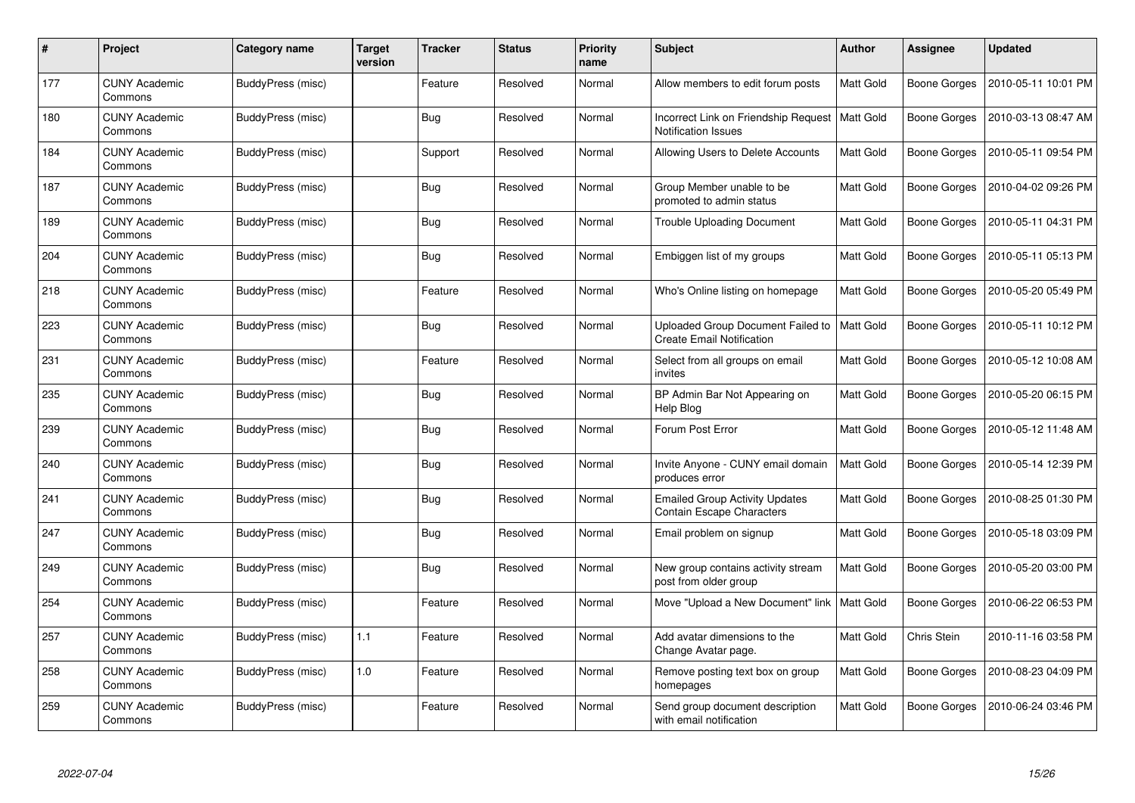| #   | Project                         | <b>Category name</b> | <b>Target</b><br>version | <b>Tracker</b> | <b>Status</b> | <b>Priority</b><br>name | <b>Subject</b>                                                            | <b>Author</b>    | <b>Assignee</b>     | <b>Updated</b>      |
|-----|---------------------------------|----------------------|--------------------------|----------------|---------------|-------------------------|---------------------------------------------------------------------------|------------------|---------------------|---------------------|
| 177 | <b>CUNY Academic</b><br>Commons | BuddyPress (misc)    |                          | Feature        | Resolved      | Normal                  | Allow members to edit forum posts                                         | Matt Gold        | <b>Boone Gorges</b> | 2010-05-11 10:01 PM |
| 180 | <b>CUNY Academic</b><br>Commons | BuddyPress (misc)    |                          | <b>Bug</b>     | Resolved      | Normal                  | Incorrect Link on Friendship Request<br><b>Notification Issues</b>        | <b>Matt Gold</b> | <b>Boone Gorges</b> | 2010-03-13 08:47 AM |
| 184 | <b>CUNY Academic</b><br>Commons | BuddyPress (misc)    |                          | Support        | Resolved      | Normal                  | Allowing Users to Delete Accounts                                         | <b>Matt Gold</b> | Boone Gorges        | 2010-05-11 09:54 PM |
| 187 | <b>CUNY Academic</b><br>Commons | BuddyPress (misc)    |                          | <b>Bug</b>     | Resolved      | Normal                  | Group Member unable to be<br>promoted to admin status                     | Matt Gold        | <b>Boone Gorges</b> | 2010-04-02 09:26 PM |
| 189 | <b>CUNY Academic</b><br>Commons | BuddyPress (misc)    |                          | <b>Bug</b>     | Resolved      | Normal                  | <b>Trouble Uploading Document</b>                                         | Matt Gold        | Boone Gorges        | 2010-05-11 04:31 PM |
| 204 | <b>CUNY Academic</b><br>Commons | BuddyPress (misc)    |                          | <b>Bug</b>     | Resolved      | Normal                  | Embiggen list of my groups                                                | Matt Gold        | Boone Gorges        | 2010-05-11 05:13 PM |
| 218 | <b>CUNY Academic</b><br>Commons | BuddyPress (misc)    |                          | Feature        | Resolved      | Normal                  | Who's Online listing on homepage                                          | <b>Matt Gold</b> | <b>Boone Gorges</b> | 2010-05-20 05:49 PM |
| 223 | <b>CUNY Academic</b><br>Commons | BuddyPress (misc)    |                          | <b>Bug</b>     | Resolved      | Normal                  | Uploaded Group Document Failed to<br><b>Create Email Notification</b>     | <b>Matt Gold</b> | Boone Gorges        | 2010-05-11 10:12 PM |
| 231 | <b>CUNY Academic</b><br>Commons | BuddyPress (misc)    |                          | Feature        | Resolved      | Normal                  | Select from all groups on email<br>invites                                | Matt Gold        | <b>Boone Gorges</b> | 2010-05-12 10:08 AM |
| 235 | <b>CUNY Academic</b><br>Commons | BuddyPress (misc)    |                          | <b>Bug</b>     | Resolved      | Normal                  | BP Admin Bar Not Appearing on<br>Help Blog                                | Matt Gold        | <b>Boone Gorges</b> | 2010-05-20 06:15 PM |
| 239 | <b>CUNY Academic</b><br>Commons | BuddyPress (misc)    |                          | <b>Bug</b>     | Resolved      | Normal                  | Forum Post Error                                                          | Matt Gold        | Boone Gorges        | 2010-05-12 11:48 AM |
| 240 | <b>CUNY Academic</b><br>Commons | BuddyPress (misc)    |                          | <b>Bug</b>     | Resolved      | Normal                  | Invite Anyone - CUNY email domain<br>produces error                       | Matt Gold        | <b>Boone Gorges</b> | 2010-05-14 12:39 PM |
| 241 | <b>CUNY Academic</b><br>Commons | BuddyPress (misc)    |                          | Bug            | Resolved      | Normal                  | <b>Emailed Group Activity Updates</b><br><b>Contain Escape Characters</b> | Matt Gold        | Boone Gorges        | 2010-08-25 01:30 PM |
| 247 | <b>CUNY Academic</b><br>Commons | BuddyPress (misc)    |                          | Bug            | Resolved      | Normal                  | Email problem on signup                                                   | Matt Gold        | <b>Boone Gorges</b> | 2010-05-18 03:09 PM |
| 249 | <b>CUNY Academic</b><br>Commons | BuddyPress (misc)    |                          | <b>Bug</b>     | Resolved      | Normal                  | New group contains activity stream<br>post from older group               | Matt Gold        | Boone Gorges        | 2010-05-20 03:00 PM |
| 254 | <b>CUNY Academic</b><br>Commons | BuddyPress (misc)    |                          | Feature        | Resolved      | Normal                  | Move "Upload a New Document" link                                         | <b>Matt Gold</b> | <b>Boone Gorges</b> | 2010-06-22 06:53 PM |
| 257 | <b>CUNY Academic</b><br>Commons | BuddyPress (misc)    | 1.1                      | Feature        | Resolved      | Normal                  | Add avatar dimensions to the<br>Change Avatar page.                       | Matt Gold        | Chris Stein         | 2010-11-16 03:58 PM |
| 258 | <b>CUNY Academic</b><br>Commons | BuddyPress (misc)    | $1.0$                    | Feature        | Resolved      | Normal                  | Remove posting text box on group<br>homepages                             | Matt Gold        | Boone Gorges        | 2010-08-23 04:09 PM |
| 259 | CUNY Academic<br>Commons        | BuddyPress (misc)    |                          | Feature        | Resolved      | Normal                  | Send group document description<br>with email notification                | Matt Gold        | Boone Gorges        | 2010-06-24 03:46 PM |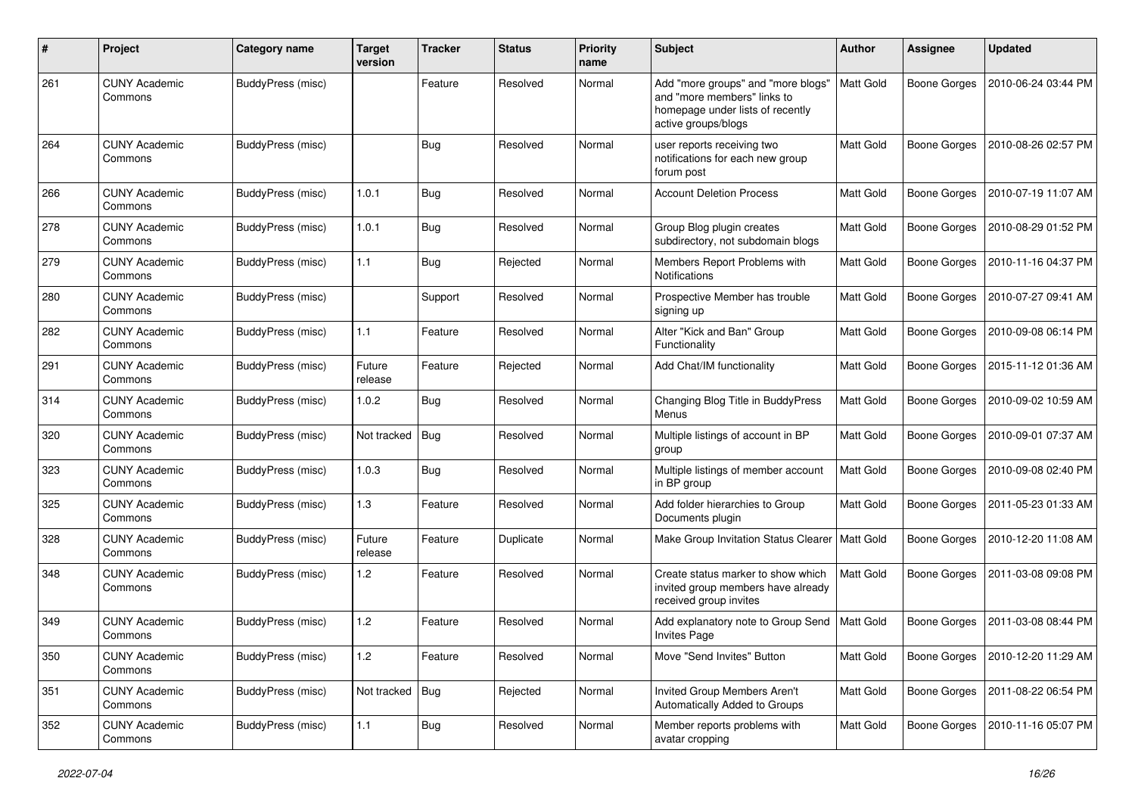| $\#$ | Project                         | <b>Category name</b> | <b>Target</b><br>version | <b>Tracker</b> | <b>Status</b> | <b>Priority</b><br>name | <b>Subject</b>                                                                                                               | Author           | <b>Assignee</b>     | <b>Updated</b>      |
|------|---------------------------------|----------------------|--------------------------|----------------|---------------|-------------------------|------------------------------------------------------------------------------------------------------------------------------|------------------|---------------------|---------------------|
| 261  | <b>CUNY Academic</b><br>Commons | BuddyPress (misc)    |                          | Feature        | Resolved      | Normal                  | Add "more groups" and "more blogs"<br>and "more members" links to<br>homepage under lists of recently<br>active groups/blogs | Matt Gold        | <b>Boone Gorges</b> | 2010-06-24 03:44 PM |
| 264  | <b>CUNY Academic</b><br>Commons | BuddyPress (misc)    |                          | <b>Bug</b>     | Resolved      | Normal                  | user reports receiving two<br>notifications for each new group<br>forum post                                                 | Matt Gold        | <b>Boone Gorges</b> | 2010-08-26 02:57 PM |
| 266  | <b>CUNY Academic</b><br>Commons | BuddyPress (misc)    | 1.0.1                    | <b>Bug</b>     | Resolved      | Normal                  | <b>Account Deletion Process</b>                                                                                              | Matt Gold        | <b>Boone Gorges</b> | 2010-07-19 11:07 AM |
| 278  | <b>CUNY Academic</b><br>Commons | BuddyPress (misc)    | 1.0.1                    | <b>Bug</b>     | Resolved      | Normal                  | Group Blog plugin creates<br>subdirectory, not subdomain blogs                                                               | Matt Gold        | <b>Boone Gorges</b> | 2010-08-29 01:52 PM |
| 279  | <b>CUNY Academic</b><br>Commons | BuddyPress (misc)    | 1.1                      | <b>Bug</b>     | Rejected      | Normal                  | Members Report Problems with<br><b>Notifications</b>                                                                         | <b>Matt Gold</b> | <b>Boone Gorges</b> | 2010-11-16 04:37 PM |
| 280  | <b>CUNY Academic</b><br>Commons | BuddyPress (misc)    |                          | Support        | Resolved      | Normal                  | Prospective Member has trouble<br>signing up                                                                                 | Matt Gold        | <b>Boone Gorges</b> | 2010-07-27 09:41 AM |
| 282  | <b>CUNY Academic</b><br>Commons | BuddyPress (misc)    | 1.1                      | Feature        | Resolved      | Normal                  | Alter "Kick and Ban" Group<br>Functionality                                                                                  | Matt Gold        | <b>Boone Gorges</b> | 2010-09-08 06:14 PM |
| 291  | <b>CUNY Academic</b><br>Commons | BuddyPress (misc)    | Future<br>release        | Feature        | Rejected      | Normal                  | Add Chat/IM functionality                                                                                                    | Matt Gold        | <b>Boone Gorges</b> | 2015-11-12 01:36 AM |
| 314  | <b>CUNY Academic</b><br>Commons | BuddyPress (misc)    | 1.0.2                    | Bug            | Resolved      | Normal                  | Changing Blog Title in BuddyPress<br>Menus                                                                                   | Matt Gold        | <b>Boone Gorges</b> | 2010-09-02 10:59 AM |
| 320  | <b>CUNY Academic</b><br>Commons | BuddyPress (misc)    | Not tracked              | Bug            | Resolved      | Normal                  | Multiple listings of account in BP<br>group                                                                                  | Matt Gold        | <b>Boone Gorges</b> | 2010-09-01 07:37 AM |
| 323  | <b>CUNY Academic</b><br>Commons | BuddyPress (misc)    | 1.0.3                    | <b>Bug</b>     | Resolved      | Normal                  | Multiple listings of member account<br>in BP group                                                                           | Matt Gold        | <b>Boone Gorges</b> | 2010-09-08 02:40 PM |
| 325  | <b>CUNY Academic</b><br>Commons | BuddyPress (misc)    | 1.3                      | Feature        | Resolved      | Normal                  | Add folder hierarchies to Group<br>Documents plugin                                                                          | Matt Gold        | <b>Boone Gorges</b> | 2011-05-23 01:33 AM |
| 328  | <b>CUNY Academic</b><br>Commons | BuddyPress (misc)    | Future<br>release        | Feature        | Duplicate     | Normal                  | Make Group Invitation Status Clearer                                                                                         | Matt Gold        | <b>Boone Gorges</b> | 2010-12-20 11:08 AM |
| 348  | <b>CUNY Academic</b><br>Commons | BuddyPress (misc)    | 1.2                      | Feature        | Resolved      | Normal                  | Create status marker to show which<br>invited group members have already<br>received group invites                           | <b>Matt Gold</b> | <b>Boone Gorges</b> | 2011-03-08 09:08 PM |
| 349  | <b>CUNY Academic</b><br>Commons | BuddyPress (misc)    | 1.2                      | Feature        | Resolved      | Normal                  | Add explanatory note to Group Send<br><b>Invites Page</b>                                                                    | Matt Gold        | <b>Boone Gorges</b> | 2011-03-08 08:44 PM |
| 350  | <b>CUNY Academic</b><br>Commons | BuddyPress (misc)    | 1.2                      | Feature        | Resolved      | Normal                  | Move "Send Invites" Button                                                                                                   | Matt Gold        | Boone Gorges        | 2010-12-20 11:29 AM |
| 351  | <b>CUNY Academic</b><br>Commons | BuddyPress (misc)    | Not tracked   Bug        |                | Rejected      | Normal                  | Invited Group Members Aren't<br>Automatically Added to Groups                                                                | Matt Gold        | <b>Boone Gorges</b> | 2011-08-22 06:54 PM |
| 352  | <b>CUNY Academic</b><br>Commons | BuddyPress (misc)    | 1.1                      | <b>Bug</b>     | Resolved      | Normal                  | Member reports problems with<br>avatar cropping                                                                              | Matt Gold        | Boone Gorges        | 2010-11-16 05:07 PM |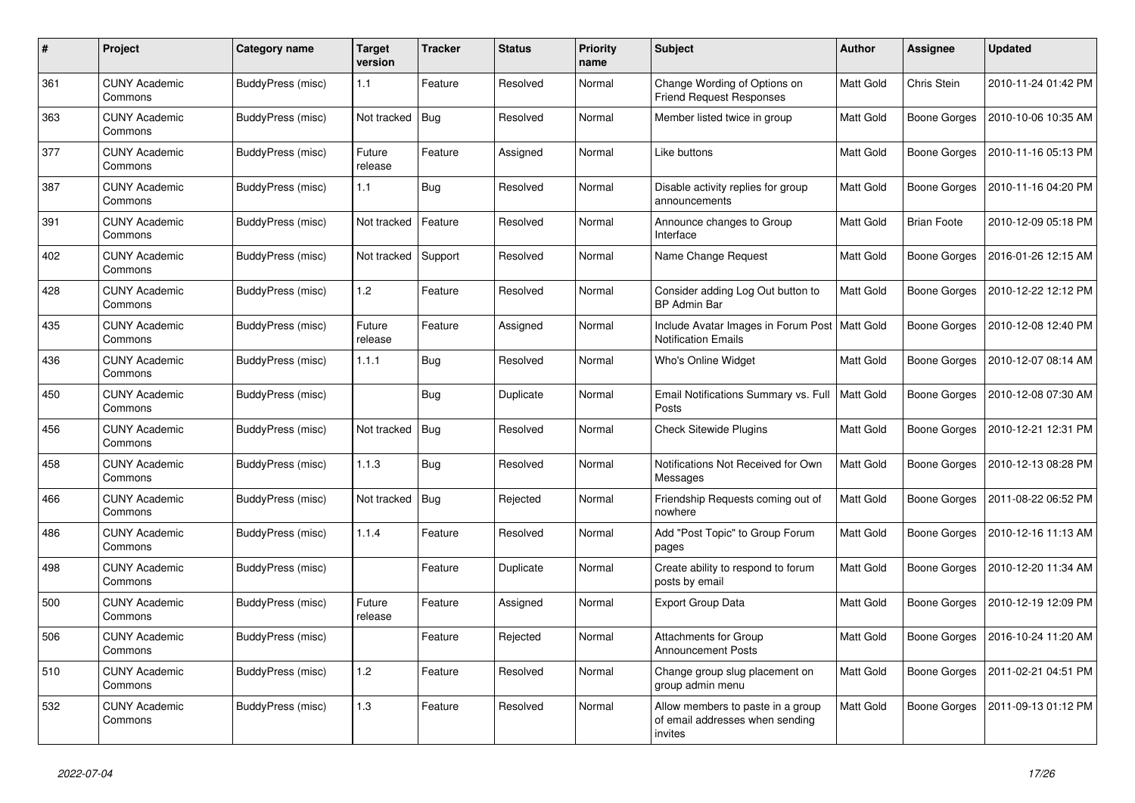| #   | Project                         | Category name     | <b>Target</b><br>version | <b>Tracker</b> | <b>Status</b> | <b>Priority</b><br>name | <b>Subject</b>                                                                  | <b>Author</b>    | Assignee            | <b>Updated</b>      |
|-----|---------------------------------|-------------------|--------------------------|----------------|---------------|-------------------------|---------------------------------------------------------------------------------|------------------|---------------------|---------------------|
| 361 | <b>CUNY Academic</b><br>Commons | BuddyPress (misc) | 1.1                      | Feature        | Resolved      | Normal                  | Change Wording of Options on<br><b>Friend Request Responses</b>                 | Matt Gold        | Chris Stein         | 2010-11-24 01:42 PM |
| 363 | <b>CUNY Academic</b><br>Commons | BuddyPress (misc) | Not tracked              | Bug            | Resolved      | Normal                  | Member listed twice in group                                                    | Matt Gold        | Boone Gorges        | 2010-10-06 10:35 AM |
| 377 | <b>CUNY Academic</b><br>Commons | BuddyPress (misc) | Future<br>release        | Feature        | Assigned      | Normal                  | Like buttons                                                                    | Matt Gold        | Boone Gorges        | 2010-11-16 05:13 PM |
| 387 | <b>CUNY Academic</b><br>Commons | BuddyPress (misc) | 1.1                      | <b>Bug</b>     | Resolved      | Normal                  | Disable activity replies for group<br>announcements                             | Matt Gold        | Boone Gorges        | 2010-11-16 04:20 PM |
| 391 | <b>CUNY Academic</b><br>Commons | BuddyPress (misc) | Not tracked              | Feature        | Resolved      | Normal                  | Announce changes to Group<br>Interface                                          | Matt Gold        | <b>Brian Foote</b>  | 2010-12-09 05:18 PM |
| 402 | <b>CUNY Academic</b><br>Commons | BuddyPress (misc) | Not tracked              | Support        | Resolved      | Normal                  | Name Change Request                                                             | Matt Gold        | Boone Gorges        | 2016-01-26 12:15 AM |
| 428 | <b>CUNY Academic</b><br>Commons | BuddyPress (misc) | 1.2                      | Feature        | Resolved      | Normal                  | Consider adding Log Out button to<br><b>BP Admin Bar</b>                        | Matt Gold        | Boone Gorges        | 2010-12-22 12:12 PM |
| 435 | <b>CUNY Academic</b><br>Commons | BuddyPress (misc) | Future<br>release        | Feature        | Assigned      | Normal                  | Include Avatar Images in Forum Post<br><b>Notification Emails</b>               | <b>Matt Gold</b> | <b>Boone Gorges</b> | 2010-12-08 12:40 PM |
| 436 | <b>CUNY Academic</b><br>Commons | BuddyPress (misc) | 1.1.1                    | <b>Bug</b>     | Resolved      | Normal                  | Who's Online Widget                                                             | Matt Gold        | <b>Boone Gorges</b> | 2010-12-07 08:14 AM |
| 450 | <b>CUNY Academic</b><br>Commons | BuddyPress (misc) |                          | Bug            | Duplicate     | Normal                  | Email Notifications Summary vs. Full<br>Posts                                   | Matt Gold        | <b>Boone Gorges</b> | 2010-12-08 07:30 AM |
| 456 | <b>CUNY Academic</b><br>Commons | BuddyPress (misc) | Not tracked              | <b>Bug</b>     | Resolved      | Normal                  | <b>Check Sitewide Plugins</b>                                                   | Matt Gold        | <b>Boone Gorges</b> | 2010-12-21 12:31 PM |
| 458 | <b>CUNY Academic</b><br>Commons | BuddyPress (misc) | 1.1.3                    | Bug            | Resolved      | Normal                  | Notifications Not Received for Own<br>Messages                                  | Matt Gold        | <b>Boone Gorges</b> | 2010-12-13 08:28 PM |
| 466 | <b>CUNY Academic</b><br>Commons | BuddyPress (misc) | Not tracked              | Bug            | Rejected      | Normal                  | Friendship Requests coming out of<br>nowhere                                    | Matt Gold        | Boone Gorges        | 2011-08-22 06:52 PM |
| 486 | <b>CUNY Academic</b><br>Commons | BuddyPress (misc) | 1.1.4                    | Feature        | Resolved      | Normal                  | Add "Post Topic" to Group Forum<br>pages                                        | Matt Gold        | <b>Boone Gorges</b> | 2010-12-16 11:13 AM |
| 498 | <b>CUNY Academic</b><br>Commons | BuddyPress (misc) |                          | Feature        | Duplicate     | Normal                  | Create ability to respond to forum<br>posts by email                            | Matt Gold        | <b>Boone Gorges</b> | 2010-12-20 11:34 AM |
| 500 | <b>CUNY Academic</b><br>Commons | BuddyPress (misc) | Future<br>release        | Feature        | Assigned      | Normal                  | <b>Export Group Data</b>                                                        | Matt Gold        | Boone Gorges        | 2010-12-19 12:09 PM |
| 506 | <b>CUNY Academic</b><br>Commons | BuddyPress (misc) |                          | Feature        | Rejected      | Normal                  | Attachments for Group<br><b>Announcement Posts</b>                              | Matt Gold        | Boone Gorges        | 2016-10-24 11:20 AM |
| 510 | <b>CUNY Academic</b><br>Commons | BuddyPress (misc) | 1.2                      | Feature        | Resolved      | Normal                  | Change group slug placement on<br>group admin menu                              | Matt Gold        | Boone Gorges        | 2011-02-21 04:51 PM |
| 532 | <b>CUNY Academic</b><br>Commons | BuddyPress (misc) | 1.3                      | Feature        | Resolved      | Normal                  | Allow members to paste in a group<br>of email addresses when sending<br>invites | Matt Gold        | Boone Gorges        | 2011-09-13 01:12 PM |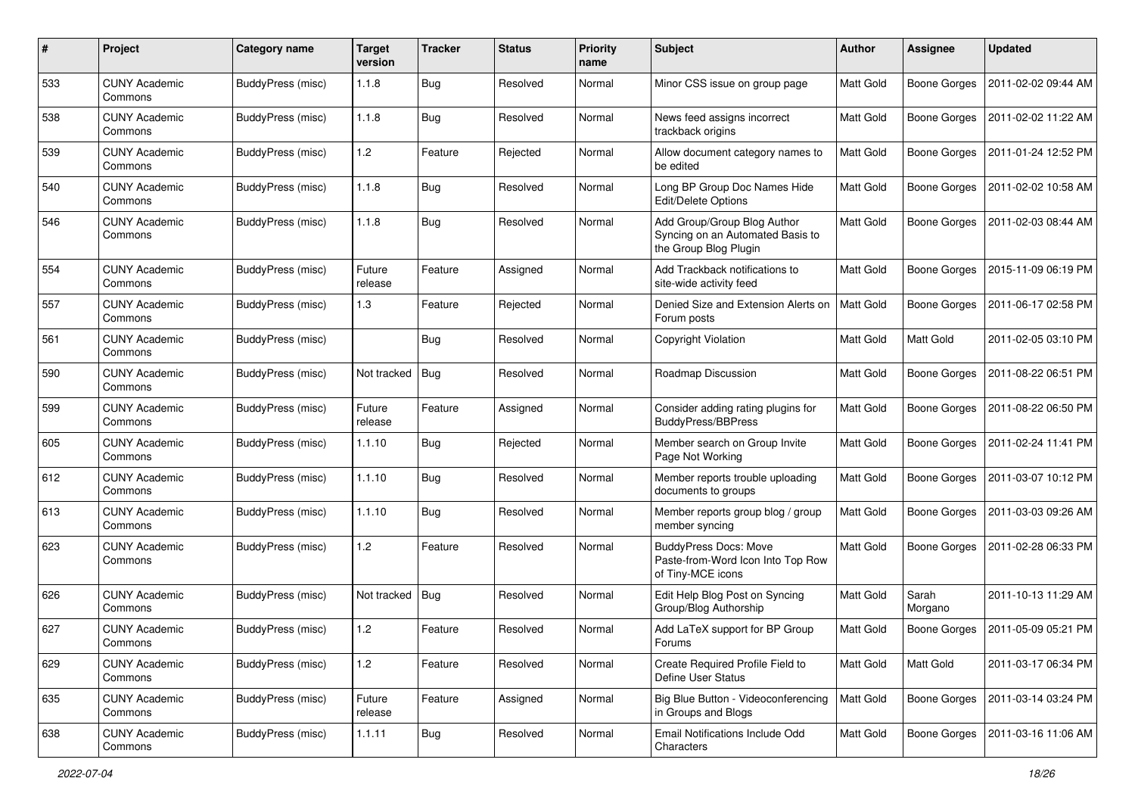| #   | Project                         | Category name     | <b>Target</b><br>version | <b>Tracker</b> | <b>Status</b> | <b>Priority</b><br>name | <b>Subject</b>                                                                           | Author           | <b>Assignee</b>     | <b>Updated</b>      |
|-----|---------------------------------|-------------------|--------------------------|----------------|---------------|-------------------------|------------------------------------------------------------------------------------------|------------------|---------------------|---------------------|
| 533 | <b>CUNY Academic</b><br>Commons | BuddyPress (misc) | 1.1.8                    | Bug            | Resolved      | Normal                  | Minor CSS issue on group page                                                            | Matt Gold        | <b>Boone Gorges</b> | 2011-02-02 09:44 AM |
| 538 | <b>CUNY Academic</b><br>Commons | BuddyPress (misc) | 1.1.8                    | <b>Bug</b>     | Resolved      | Normal                  | News feed assigns incorrect<br>trackback origins                                         | Matt Gold        | <b>Boone Gorges</b> | 2011-02-02 11:22 AM |
| 539 | <b>CUNY Academic</b><br>Commons | BuddyPress (misc) | 1.2                      | Feature        | Rejected      | Normal                  | Allow document category names to<br>be edited                                            | Matt Gold        | <b>Boone Gorges</b> | 2011-01-24 12:52 PM |
| 540 | <b>CUNY Academic</b><br>Commons | BuddyPress (misc) | 1.1.8                    | Bug            | Resolved      | Normal                  | Long BP Group Doc Names Hide<br>Edit/Delete Options                                      | <b>Matt Gold</b> | <b>Boone Gorges</b> | 2011-02-02 10:58 AM |
| 546 | <b>CUNY Academic</b><br>Commons | BuddyPress (misc) | 1.1.8                    | Bug            | Resolved      | Normal                  | Add Group/Group Blog Author<br>Syncing on an Automated Basis to<br>the Group Blog Plugin | <b>Matt Gold</b> | <b>Boone Gorges</b> | 2011-02-03 08:44 AM |
| 554 | <b>CUNY Academic</b><br>Commons | BuddyPress (misc) | Future<br>release        | Feature        | Assigned      | Normal                  | Add Trackback notifications to<br>site-wide activity feed                                | <b>Matt Gold</b> | <b>Boone Gorges</b> | 2015-11-09 06:19 PM |
| 557 | <b>CUNY Academic</b><br>Commons | BuddyPress (misc) | 1.3                      | Feature        | Rejected      | Normal                  | Denied Size and Extension Alerts on<br>Forum posts                                       | <b>Matt Gold</b> | <b>Boone Gorges</b> | 2011-06-17 02:58 PM |
| 561 | <b>CUNY Academic</b><br>Commons | BuddyPress (misc) |                          | <b>Bug</b>     | Resolved      | Normal                  | Copyright Violation                                                                      | <b>Matt Gold</b> | Matt Gold           | 2011-02-05 03:10 PM |
| 590 | <b>CUNY Academic</b><br>Commons | BuddyPress (misc) | Not tracked              | Bug            | Resolved      | Normal                  | Roadmap Discussion                                                                       | Matt Gold        | <b>Boone Gorges</b> | 2011-08-22 06:51 PM |
| 599 | <b>CUNY Academic</b><br>Commons | BuddyPress (misc) | Future<br>release        | Feature        | Assigned      | Normal                  | Consider adding rating plugins for<br><b>BuddyPress/BBPress</b>                          | <b>Matt Gold</b> | <b>Boone Gorges</b> | 2011-08-22 06:50 PM |
| 605 | <b>CUNY Academic</b><br>Commons | BuddyPress (misc) | 1.1.10                   | <b>Bug</b>     | Rejected      | Normal                  | Member search on Group Invite<br>Page Not Working                                        | Matt Gold        | <b>Boone Gorges</b> | 2011-02-24 11:41 PM |
| 612 | <b>CUNY Academic</b><br>Commons | BuddyPress (misc) | 1.1.10                   | Bug            | Resolved      | Normal                  | Member reports trouble uploading<br>documents to groups                                  | Matt Gold        | Boone Gorges        | 2011-03-07 10:12 PM |
| 613 | <b>CUNY Academic</b><br>Commons | BuddyPress (misc) | 1.1.10                   | <b>Bug</b>     | Resolved      | Normal                  | Member reports group blog / group<br>member syncing                                      | <b>Matt Gold</b> | <b>Boone Gorges</b> | 2011-03-03 09:26 AM |
| 623 | <b>CUNY Academic</b><br>Commons | BuddyPress (misc) | 1.2                      | Feature        | Resolved      | Normal                  | <b>BuddyPress Docs: Move</b><br>Paste-from-Word Icon Into Top Row<br>of Tiny-MCE icons   | <b>Matt Gold</b> | <b>Boone Gorges</b> | 2011-02-28 06:33 PM |
| 626 | <b>CUNY Academic</b><br>Commons | BuddyPress (misc) | Not tracked              | $ $ Bug        | Resolved      | Normal                  | Edit Help Blog Post on Syncing<br>Group/Blog Authorship                                  | Matt Gold        | Sarah<br>Morgano    | 2011-10-13 11:29 AM |
| 627 | <b>CUNY Academic</b><br>Commons | BuddyPress (misc) | 1.2                      | Feature        | Resolved      | Normal                  | Add LaTeX support for BP Group<br>Forums                                                 | Matt Gold        | <b>Boone Gorges</b> | 2011-05-09 05:21 PM |
| 629 | <b>CUNY Academic</b><br>Commons | BuddyPress (misc) | 1.2                      | Feature        | Resolved      | Normal                  | Create Required Profile Field to<br>Define User Status                                   | Matt Gold        | Matt Gold           | 2011-03-17 06:34 PM |
| 635 | <b>CUNY Academic</b><br>Commons | BuddyPress (misc) | Future<br>release        | Feature        | Assigned      | Normal                  | Big Blue Button - Videoconferencing<br>in Groups and Blogs                               | Matt Gold        | <b>Boone Gorges</b> | 2011-03-14 03:24 PM |
| 638 | <b>CUNY Academic</b><br>Commons | BuddyPress (misc) | 1.1.11                   | <b>Bug</b>     | Resolved      | Normal                  | Email Notifications Include Odd<br>Characters                                            | Matt Gold        | Boone Gorges        | 2011-03-16 11:06 AM |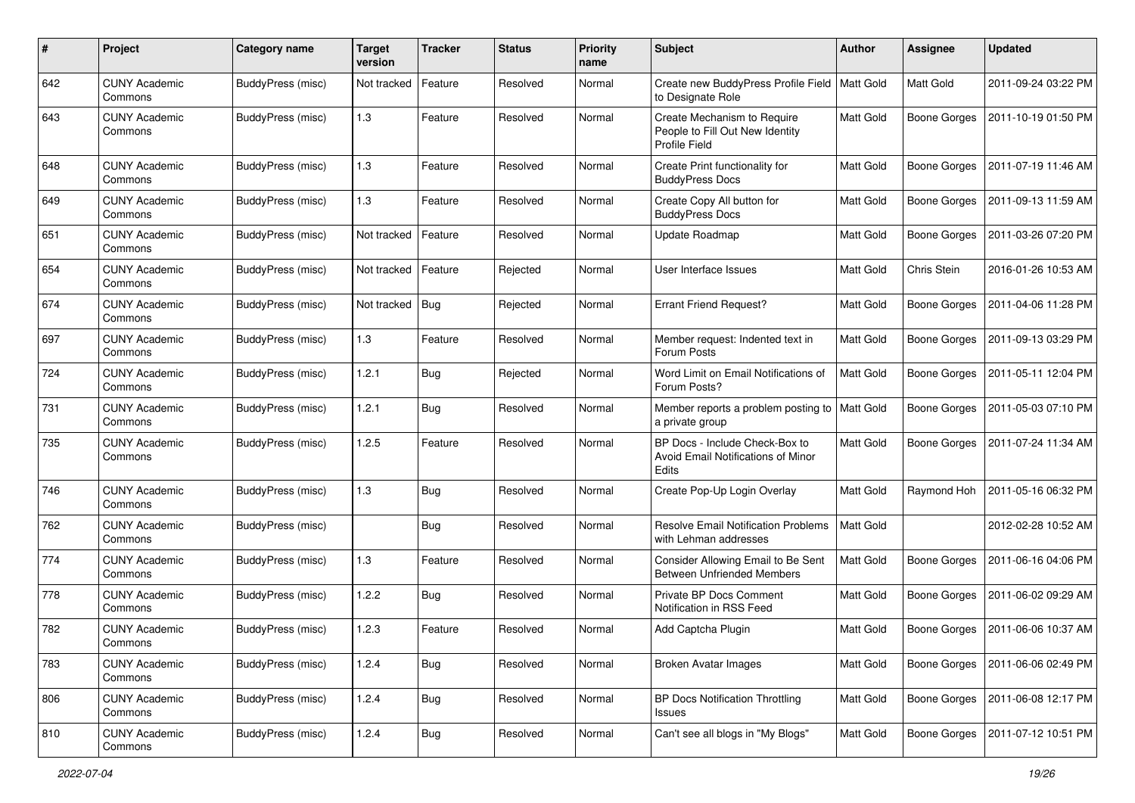| $\#$ | Project                         | Category name     | <b>Target</b><br>version | <b>Tracker</b> | <b>Status</b> | <b>Priority</b><br>name | <b>Subject</b>                                                                  | Author           | <b>Assignee</b>     | <b>Updated</b>      |
|------|---------------------------------|-------------------|--------------------------|----------------|---------------|-------------------------|---------------------------------------------------------------------------------|------------------|---------------------|---------------------|
| 642  | <b>CUNY Academic</b><br>Commons | BuddyPress (misc) | Not tracked              | Feature        | Resolved      | Normal                  | Create new BuddyPress Profile Field   Matt Gold<br>to Designate Role            |                  | Matt Gold           | 2011-09-24 03:22 PM |
| 643  | <b>CUNY Academic</b><br>Commons | BuddyPress (misc) | 1.3                      | Feature        | Resolved      | Normal                  | Create Mechanism to Require<br>People to Fill Out New Identity<br>Profile Field | Matt Gold        | <b>Boone Gorges</b> | 2011-10-19 01:50 PM |
| 648  | <b>CUNY Academic</b><br>Commons | BuddyPress (misc) | 1.3                      | Feature        | Resolved      | Normal                  | Create Print functionality for<br><b>BuddyPress Docs</b>                        | Matt Gold        | <b>Boone Gorges</b> | 2011-07-19 11:46 AM |
| 649  | <b>CUNY Academic</b><br>Commons | BuddyPress (misc) | 1.3                      | Feature        | Resolved      | Normal                  | Create Copy All button for<br><b>BuddyPress Docs</b>                            | Matt Gold        | <b>Boone Gorges</b> | 2011-09-13 11:59 AM |
| 651  | <b>CUNY Academic</b><br>Commons | BuddyPress (misc) | Not tracked              | Feature        | Resolved      | Normal                  | <b>Update Roadmap</b>                                                           | <b>Matt Gold</b> | <b>Boone Gorges</b> | 2011-03-26 07:20 PM |
| 654  | <b>CUNY Academic</b><br>Commons | BuddyPress (misc) | Not tracked              | Feature        | Rejected      | Normal                  | User Interface Issues                                                           | <b>Matt Gold</b> | Chris Stein         | 2016-01-26 10:53 AM |
| 674  | <b>CUNY Academic</b><br>Commons | BuddyPress (misc) | Not tracked              | Bug            | Rejected      | Normal                  | <b>Errant Friend Request?</b>                                                   | Matt Gold        | <b>Boone Gorges</b> | 2011-04-06 11:28 PM |
| 697  | <b>CUNY Academic</b><br>Commons | BuddyPress (misc) | 1.3                      | Feature        | Resolved      | Normal                  | Member request: Indented text in<br>Forum Posts                                 | <b>Matt Gold</b> | <b>Boone Gorges</b> | 2011-09-13 03:29 PM |
| 724  | <b>CUNY Academic</b><br>Commons | BuddyPress (misc) | 1.2.1                    | Bug            | Rejected      | Normal                  | Word Limit on Email Notifications of<br>Forum Posts?                            | Matt Gold        | <b>Boone Gorges</b> | 2011-05-11 12:04 PM |
| 731  | <b>CUNY Academic</b><br>Commons | BuddyPress (misc) | 1.2.1                    | <b>Bug</b>     | Resolved      | Normal                  | Member reports a problem posting to   Matt Gold<br>a private group              |                  | <b>Boone Gorges</b> | 2011-05-03 07:10 PM |
| 735  | <b>CUNY Academic</b><br>Commons | BuddyPress (misc) | 1.2.5                    | Feature        | Resolved      | Normal                  | BP Docs - Include Check-Box to<br>Avoid Email Notifications of Minor<br>Edits   | Matt Gold        | <b>Boone Gorges</b> | 2011-07-24 11:34 AM |
| 746  | <b>CUNY Academic</b><br>Commons | BuddyPress (misc) | 1.3                      | <b>Bug</b>     | Resolved      | Normal                  | Create Pop-Up Login Overlay                                                     | Matt Gold        | Raymond Hoh         | 2011-05-16 06:32 PM |
| 762  | <b>CUNY Academic</b><br>Commons | BuddyPress (misc) |                          | Bug            | Resolved      | Normal                  | <b>Resolve Email Notification Problems</b><br>with Lehman addresses             | Matt Gold        |                     | 2012-02-28 10:52 AM |
| 774  | <b>CUNY Academic</b><br>Commons | BuddyPress (misc) | 1.3                      | Feature        | Resolved      | Normal                  | Consider Allowing Email to Be Sent<br><b>Between Unfriended Members</b>         | Matt Gold        | <b>Boone Gorges</b> | 2011-06-16 04:06 PM |
| 778  | <b>CUNY Academic</b><br>Commons | BuddyPress (misc) | 1.2.2                    | <b>Bug</b>     | Resolved      | Normal                  | Private BP Docs Comment<br>Notification in RSS Feed                             | Matt Gold        | <b>Boone Gorges</b> | 2011-06-02 09:29 AM |
| 782  | CUNY Academic<br>Commons        | BuddyPress (misc) | 1.2.3                    | Feature        | Resolved      | Normal                  | Add Captcha Plugin                                                              | Matt Gold        | Boone Gorges        | 2011-06-06 10:37 AM |
| 783  | <b>CUNY Academic</b><br>Commons | BuddyPress (misc) | 1.2.4                    | <b>Bug</b>     | Resolved      | Normal                  | <b>Broken Avatar Images</b>                                                     | Matt Gold        | <b>Boone Gorges</b> | 2011-06-06 02:49 PM |
| 806  | <b>CUNY Academic</b><br>Commons | BuddyPress (misc) | 1.2.4                    | Bug            | Resolved      | Normal                  | <b>BP Docs Notification Throttling</b><br>Issues                                | Matt Gold        | <b>Boone Gorges</b> | 2011-06-08 12:17 PM |
| 810  | <b>CUNY Academic</b><br>Commons | BuddyPress (misc) | 1.2.4                    | <b>Bug</b>     | Resolved      | Normal                  | Can't see all blogs in "My Blogs"                                               | Matt Gold        | Boone Gorges        | 2011-07-12 10:51 PM |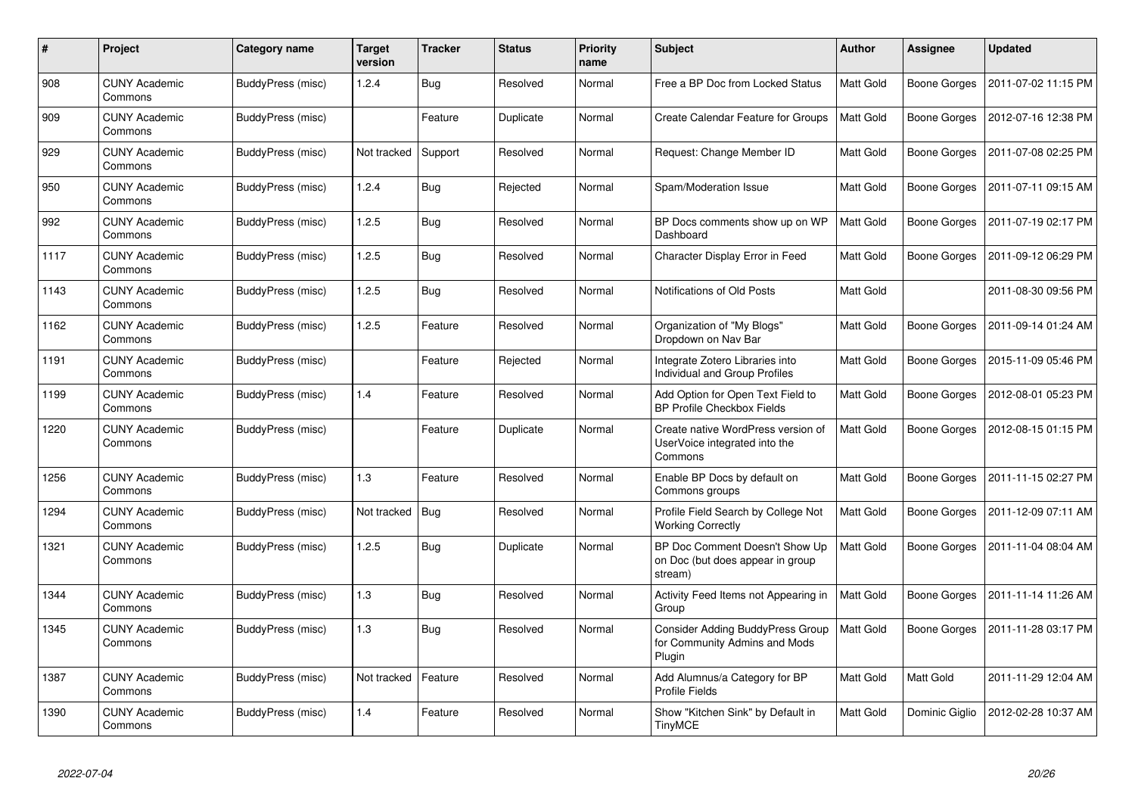| #    | Project                         | <b>Category name</b> | <b>Target</b><br>version | <b>Tracker</b> | <b>Status</b> | <b>Priority</b><br>name | <b>Subject</b>                                                                 | <b>Author</b>    | <b>Assignee</b>     | <b>Updated</b>      |
|------|---------------------------------|----------------------|--------------------------|----------------|---------------|-------------------------|--------------------------------------------------------------------------------|------------------|---------------------|---------------------|
| 908  | <b>CUNY Academic</b><br>Commons | BuddyPress (misc)    | 1.2.4                    | <b>Bug</b>     | Resolved      | Normal                  | Free a BP Doc from Locked Status                                               | <b>Matt Gold</b> | <b>Boone Gorges</b> | 2011-07-02 11:15 PM |
| 909  | CUNY Academic<br>Commons        | BuddyPress (misc)    |                          | Feature        | Duplicate     | Normal                  | Create Calendar Feature for Groups                                             | Matt Gold        | Boone Gorges        | 2012-07-16 12:38 PM |
| 929  | <b>CUNY Academic</b><br>Commons | BuddyPress (misc)    | Not tracked              | Support        | Resolved      | Normal                  | Request: Change Member ID                                                      | Matt Gold        | <b>Boone Gorges</b> | 2011-07-08 02:25 PM |
| 950  | CUNY Academic<br>Commons        | BuddyPress (misc)    | 1.2.4                    | Bug            | Rejected      | Normal                  | Spam/Moderation Issue                                                          | Matt Gold        | Boone Gorges        | 2011-07-11 09:15 AM |
| 992  | <b>CUNY Academic</b><br>Commons | BuddyPress (misc)    | 1.2.5                    | Bug            | Resolved      | Normal                  | BP Docs comments show up on WP<br>Dashboard                                    | Matt Gold        | <b>Boone Gorges</b> | 2011-07-19 02:17 PM |
| 1117 | <b>CUNY Academic</b><br>Commons | BuddyPress (misc)    | 1.2.5                    | <b>Bug</b>     | Resolved      | Normal                  | Character Display Error in Feed                                                | Matt Gold        | Boone Gorges        | 2011-09-12 06:29 PM |
| 1143 | <b>CUNY Academic</b><br>Commons | BuddyPress (misc)    | 1.2.5                    | <b>Bug</b>     | Resolved      | Normal                  | Notifications of Old Posts                                                     | Matt Gold        |                     | 2011-08-30 09:56 PM |
| 1162 | <b>CUNY Academic</b><br>Commons | BuddyPress (misc)    | 1.2.5                    | Feature        | Resolved      | Normal                  | Organization of "My Blogs"<br>Dropdown on Nav Bar                              | Matt Gold        | Boone Gorges        | 2011-09-14 01:24 AM |
| 1191 | <b>CUNY Academic</b><br>Commons | BuddyPress (misc)    |                          | Feature        | Rejected      | Normal                  | Integrate Zotero Libraries into<br><b>Individual and Group Profiles</b>        | <b>Matt Gold</b> | <b>Boone Gorges</b> | 2015-11-09 05:46 PM |
| 1199 | <b>CUNY Academic</b><br>Commons | BuddyPress (misc)    | 1.4                      | Feature        | Resolved      | Normal                  | Add Option for Open Text Field to<br><b>BP Profile Checkbox Fields</b>         | Matt Gold        | Boone Gorges        | 2012-08-01 05:23 PM |
| 1220 | <b>CUNY Academic</b><br>Commons | BuddyPress (misc)    |                          | Feature        | Duplicate     | Normal                  | Create native WordPress version of<br>UserVoice integrated into the<br>Commons | Matt Gold        | Boone Gorges        | 2012-08-15 01:15 PM |
| 1256 | <b>CUNY Academic</b><br>Commons | BuddyPress (misc)    | 1.3                      | Feature        | Resolved      | Normal                  | Enable BP Docs by default on<br>Commons groups                                 | Matt Gold        | Boone Gorges        | 2011-11-15 02:27 PM |
| 1294 | <b>CUNY Academic</b><br>Commons | BuddyPress (misc)    | Not tracked              | Bug            | Resolved      | Normal                  | Profile Field Search by College Not<br><b>Working Correctly</b>                | Matt Gold        | Boone Gorges        | 2011-12-09 07:11 AM |
| 1321 | <b>CUNY Academic</b><br>Commons | BuddyPress (misc)    | 1.2.5                    | Bug            | Duplicate     | Normal                  | BP Doc Comment Doesn't Show Up<br>on Doc (but does appear in group<br>stream)  | Matt Gold        | <b>Boone Gorges</b> | 2011-11-04 08:04 AM |
| 1344 | <b>CUNY Academic</b><br>Commons | BuddyPress (misc)    | 1.3                      | <b>Bug</b>     | Resolved      | Normal                  | Activity Feed Items not Appearing in<br>Group                                  | <b>Matt Gold</b> | <b>Boone Gorges</b> | 2011-11-14 11:26 AM |
| 1345 | <b>CUNY Academic</b><br>Commons | BuddyPress (misc)    | 1.3                      | <b>Bug</b>     | Resolved      | Normal                  | Consider Adding BuddyPress Group<br>for Community Admins and Mods<br>Plugin    | Matt Gold        | Boone Gorges        | 2011-11-28 03:17 PM |
| 1387 | <b>CUNY Academic</b><br>Commons | BuddyPress (misc)    | Not tracked              | Feature        | Resolved      | Normal                  | Add Alumnus/a Category for BP<br><b>Profile Fields</b>                         | Matt Gold        | Matt Gold           | 2011-11-29 12:04 AM |
| 1390 | <b>CUNY Academic</b><br>Commons | BuddyPress (misc)    | 1.4                      | Feature        | Resolved      | Normal                  | Show "Kitchen Sink" by Default in<br><b>TinyMCE</b>                            | Matt Gold        | Dominic Giglio      | 2012-02-28 10:37 AM |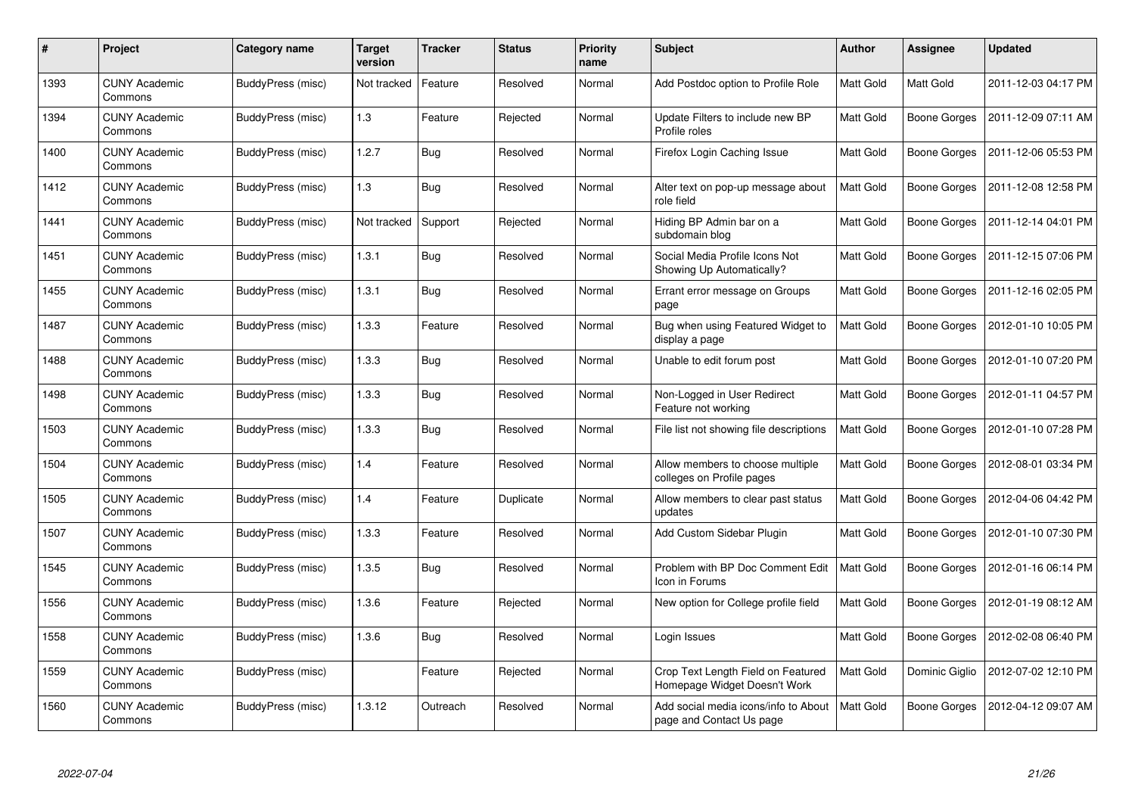| $\pmb{\#}$ | Project                         | <b>Category name</b> | <b>Target</b><br>version | <b>Tracker</b> | <b>Status</b> | <b>Priority</b><br>name | <b>Subject</b>                                                     | <b>Author</b>    | Assignee            | <b>Updated</b>      |
|------------|---------------------------------|----------------------|--------------------------|----------------|---------------|-------------------------|--------------------------------------------------------------------|------------------|---------------------|---------------------|
| 1393       | <b>CUNY Academic</b><br>Commons | BuddyPress (misc)    | Not tracked              | Feature        | Resolved      | Normal                  | Add Postdoc option to Profile Role                                 | <b>Matt Gold</b> | Matt Gold           | 2011-12-03 04:17 PM |
| 1394       | <b>CUNY Academic</b><br>Commons | BuddyPress (misc)    | 1.3                      | Feature        | Rejected      | Normal                  | Update Filters to include new BP<br>Profile roles                  | Matt Gold        | <b>Boone Gorges</b> | 2011-12-09 07:11 AM |
| 1400       | <b>CUNY Academic</b><br>Commons | BuddyPress (misc)    | 1.2.7                    | <b>Bug</b>     | Resolved      | Normal                  | Firefox Login Caching Issue                                        | <b>Matt Gold</b> | Boone Gorges        | 2011-12-06 05:53 PM |
| 1412       | <b>CUNY Academic</b><br>Commons | BuddyPress (misc)    | 1.3                      | <b>Bug</b>     | Resolved      | Normal                  | Alter text on pop-up message about<br>role field                   | Matt Gold        | Boone Gorges        | 2011-12-08 12:58 PM |
| 1441       | <b>CUNY Academic</b><br>Commons | BuddyPress (misc)    | Not tracked              | Support        | Rejected      | Normal                  | Hiding BP Admin bar on a<br>subdomain blog                         | <b>Matt Gold</b> | Boone Gorges        | 2011-12-14 04:01 PM |
| 1451       | <b>CUNY Academic</b><br>Commons | BuddyPress (misc)    | 1.3.1                    | Bug            | Resolved      | Normal                  | Social Media Profile Icons Not<br>Showing Up Automatically?        | Matt Gold        | Boone Gorges        | 2011-12-15 07:06 PM |
| 1455       | <b>CUNY Academic</b><br>Commons | BuddyPress (misc)    | 1.3.1                    | <b>Bug</b>     | Resolved      | Normal                  | Errant error message on Groups<br>page                             | Matt Gold        | <b>Boone Gorges</b> | 2011-12-16 02:05 PM |
| 1487       | <b>CUNY Academic</b><br>Commons | BuddyPress (misc)    | 1.3.3                    | Feature        | Resolved      | Normal                  | Bug when using Featured Widget to<br>display a page                | <b>Matt Gold</b> | <b>Boone Gorges</b> | 2012-01-10 10:05 PM |
| 1488       | <b>CUNY Academic</b><br>Commons | BuddyPress (misc)    | 1.3.3                    | <b>Bug</b>     | Resolved      | Normal                  | Unable to edit forum post                                          | <b>Matt Gold</b> | <b>Boone Gorges</b> | 2012-01-10 07:20 PM |
| 1498       | <b>CUNY Academic</b><br>Commons | BuddyPress (misc)    | 1.3.3                    | Bug            | Resolved      | Normal                  | Non-Logged in User Redirect<br>Feature not working                 | Matt Gold        | Boone Gorges        | 2012-01-11 04:57 PM |
| 1503       | <b>CUNY Academic</b><br>Commons | BuddyPress (misc)    | 1.3.3                    | <b>Bug</b>     | Resolved      | Normal                  | File list not showing file descriptions                            | <b>Matt Gold</b> | <b>Boone Gorges</b> | 2012-01-10 07:28 PM |
| 1504       | <b>CUNY Academic</b><br>Commons | BuddyPress (misc)    | 1.4                      | Feature        | Resolved      | Normal                  | Allow members to choose multiple<br>colleges on Profile pages      | <b>Matt Gold</b> | <b>Boone Gorges</b> | 2012-08-01 03:34 PM |
| 1505       | <b>CUNY Academic</b><br>Commons | BuddyPress (misc)    | 1.4                      | Feature        | Duplicate     | Normal                  | Allow members to clear past status<br>updates                      | Matt Gold        | Boone Gorges        | 2012-04-06 04:42 PM |
| 1507       | <b>CUNY Academic</b><br>Commons | BuddyPress (misc)    | 1.3.3                    | Feature        | Resolved      | Normal                  | Add Custom Sidebar Plugin                                          | Matt Gold        | Boone Gorges        | 2012-01-10 07:30 PM |
| 1545       | <b>CUNY Academic</b><br>Commons | BuddyPress (misc)    | 1.3.5                    | <b>Bug</b>     | Resolved      | Normal                  | Problem with BP Doc Comment Edit<br>lcon in Forums                 | <b>Matt Gold</b> | Boone Gorges        | 2012-01-16 06:14 PM |
| 1556       | <b>CUNY Academic</b><br>Commons | BuddyPress (misc)    | 1.3.6                    | Feature        | Rejected      | Normal                  | New option for College profile field                               | Matt Gold        | Boone Gorges        | 2012-01-19 08:12 AM |
| 1558       | <b>CUNY Academic</b><br>Commons | BuddyPress (misc)    | 1.3.6                    | Bug            | Resolved      | Normal                  | Login Issues                                                       | Matt Gold        | <b>Boone Gorges</b> | 2012-02-08 06:40 PM |
| 1559       | <b>CUNY Academic</b><br>Commons | BuddyPress (misc)    |                          | Feature        | Rejected      | Normal                  | Crop Text Length Field on Featured<br>Homepage Widget Doesn't Work | Matt Gold        | Dominic Giglio      | 2012-07-02 12:10 PM |
| 1560       | <b>CUNY Academic</b><br>Commons | BuddyPress (misc)    | 1.3.12                   | Outreach       | Resolved      | Normal                  | Add social media icons/info to About<br>page and Contact Us page   | <b>Matt Gold</b> | Boone Gorges        | 2012-04-12 09:07 AM |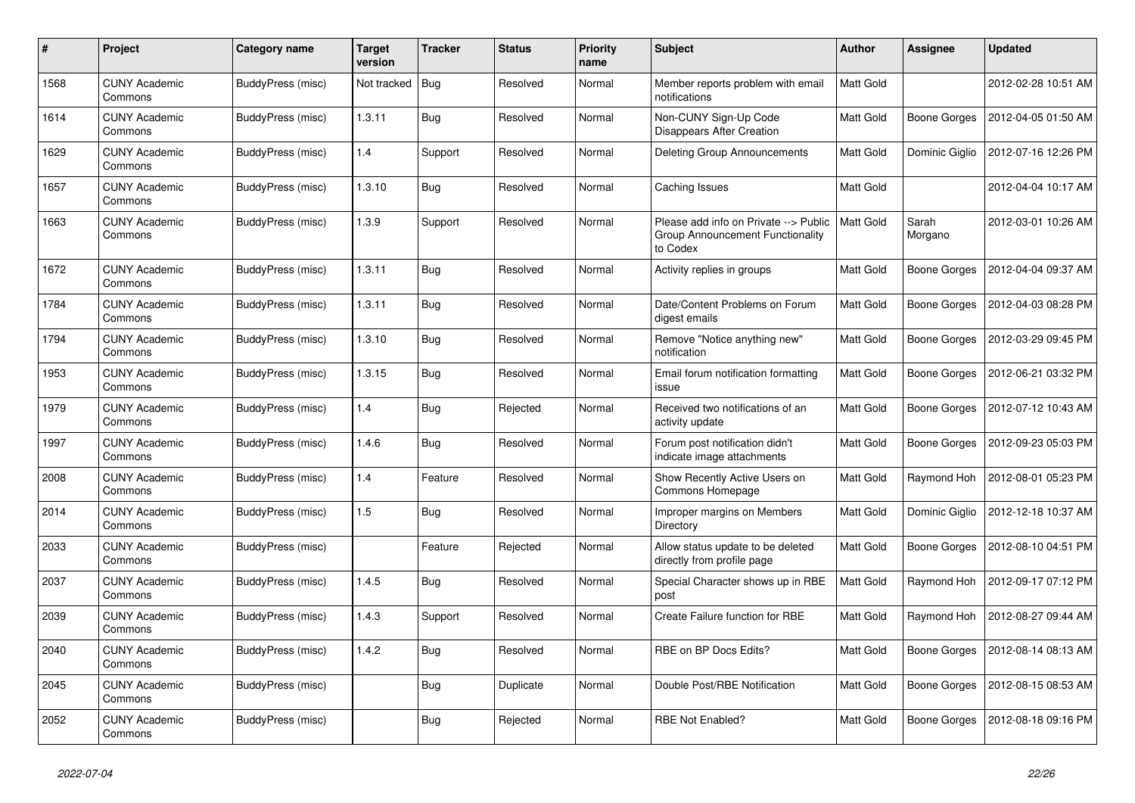| $\pmb{\#}$ | Project                         | <b>Category name</b> | <b>Target</b><br>version | <b>Tracker</b> | <b>Status</b> | <b>Priority</b><br>name | <b>Subject</b>                                                                        | <b>Author</b>    | <b>Assignee</b>     | <b>Updated</b>      |
|------------|---------------------------------|----------------------|--------------------------|----------------|---------------|-------------------------|---------------------------------------------------------------------------------------|------------------|---------------------|---------------------|
| 1568       | <b>CUNY Academic</b><br>Commons | BuddyPress (misc)    | Not tracked              | Bug            | Resolved      | Normal                  | Member reports problem with email<br>notifications                                    | <b>Matt Gold</b> |                     | 2012-02-28 10:51 AM |
| 1614       | <b>CUNY Academic</b><br>Commons | BuddyPress (misc)    | 1.3.11                   | <b>Bug</b>     | Resolved      | Normal                  | Non-CUNY Sign-Up Code<br>Disappears After Creation                                    | Matt Gold        | Boone Gorges        | 2012-04-05 01:50 AM |
| 1629       | <b>CUNY Academic</b><br>Commons | BuddyPress (misc)    | 1.4                      | Support        | Resolved      | Normal                  | Deleting Group Announcements                                                          | Matt Gold        | Dominic Giglio      | 2012-07-16 12:26 PM |
| 1657       | <b>CUNY Academic</b><br>Commons | BuddyPress (misc)    | 1.3.10                   | <b>Bug</b>     | Resolved      | Normal                  | Caching Issues                                                                        | <b>Matt Gold</b> |                     | 2012-04-04 10:17 AM |
| 1663       | <b>CUNY Academic</b><br>Commons | BuddyPress (misc)    | 1.3.9                    | Support        | Resolved      | Normal                  | Please add info on Private --> Public<br>Group Announcement Functionality<br>to Codex | <b>Matt Gold</b> | Sarah<br>Morgano    | 2012-03-01 10:26 AM |
| 1672       | <b>CUNY Academic</b><br>Commons | BuddyPress (misc)    | 1.3.11                   | Bug            | Resolved      | Normal                  | Activity replies in groups                                                            | Matt Gold        | <b>Boone Gorges</b> | 2012-04-04 09:37 AM |
| 1784       | <b>CUNY Academic</b><br>Commons | BuddyPress (misc)    | 1.3.11                   | Bug            | Resolved      | Normal                  | Date/Content Problems on Forum<br>digest emails                                       | <b>Matt Gold</b> | <b>Boone Gorges</b> | 2012-04-03 08:28 PM |
| 1794       | <b>CUNY Academic</b><br>Commons | BuddyPress (misc)    | 1.3.10                   | <b>Bug</b>     | Resolved      | Normal                  | Remove "Notice anything new"<br>notification                                          | Matt Gold        | <b>Boone Gorges</b> | 2012-03-29 09:45 PM |
| 1953       | <b>CUNY Academic</b><br>Commons | BuddyPress (misc)    | 1.3.15                   | <b>Bug</b>     | Resolved      | Normal                  | Email forum notification formatting<br>issue                                          | <b>Matt Gold</b> | <b>Boone Gorges</b> | 2012-06-21 03:32 PM |
| 1979       | <b>CUNY Academic</b><br>Commons | BuddyPress (misc)    | 1.4                      | Bug            | Rejected      | Normal                  | Received two notifications of an<br>activity update                                   | <b>Matt Gold</b> | <b>Boone Gorges</b> | 2012-07-12 10:43 AM |
| 1997       | <b>CUNY Academic</b><br>Commons | BuddyPress (misc)    | 1.4.6                    | <b>Bug</b>     | Resolved      | Normal                  | Forum post notification didn't<br>indicate image attachments                          | Matt Gold        | Boone Gorges        | 2012-09-23 05:03 PM |
| 2008       | <b>CUNY Academic</b><br>Commons | BuddyPress (misc)    | 1.4                      | Feature        | Resolved      | Normal                  | Show Recently Active Users on<br>Commons Homepage                                     | <b>Matt Gold</b> | Raymond Hoh         | 2012-08-01 05:23 PM |
| 2014       | <b>CUNY Academic</b><br>Commons | BuddyPress (misc)    | 1.5                      | <b>Bug</b>     | Resolved      | Normal                  | Improper margins on Members<br>Directory                                              | Matt Gold        | Dominic Giglio      | 2012-12-18 10:37 AM |
| 2033       | <b>CUNY Academic</b><br>Commons | BuddyPress (misc)    |                          | Feature        | Rejected      | Normal                  | Allow status update to be deleted<br>directly from profile page                       | Matt Gold        | Boone Gorges        | 2012-08-10 04:51 PM |
| 2037       | <b>CUNY Academic</b><br>Commons | BuddyPress (misc)    | 1.4.5                    | <b>Bug</b>     | Resolved      | Normal                  | Special Character shows up in RBE<br>post                                             | <b>Matt Gold</b> | Raymond Hoh         | 2012-09-17 07:12 PM |
| 2039       | <b>CUNY Academic</b><br>Commons | BuddyPress (misc)    | 1.4.3                    | Support        | Resolved      | Normal                  | Create Failure function for RBE                                                       | Matt Gold        | Raymond Hoh         | 2012-08-27 09:44 AM |
| 2040       | <b>CUNY Academic</b><br>Commons | BuddyPress (misc)    | 1.4.2                    | Bug            | Resolved      | Normal                  | RBE on BP Docs Edits?                                                                 | Matt Gold        | Boone Gorges        | 2012-08-14 08:13 AM |
| 2045       | <b>CUNY Academic</b><br>Commons | BuddyPress (misc)    |                          | <b>Bug</b>     | Duplicate     | Normal                  | Double Post/RBE Notification                                                          | Matt Gold        | <b>Boone Gorges</b> | 2012-08-15 08:53 AM |
| 2052       | <b>CUNY Academic</b><br>Commons | BuddyPress (misc)    |                          | Bug            | Rejected      | Normal                  | RBE Not Enabled?                                                                      | Matt Gold        | <b>Boone Gorges</b> | 2012-08-18 09:16 PM |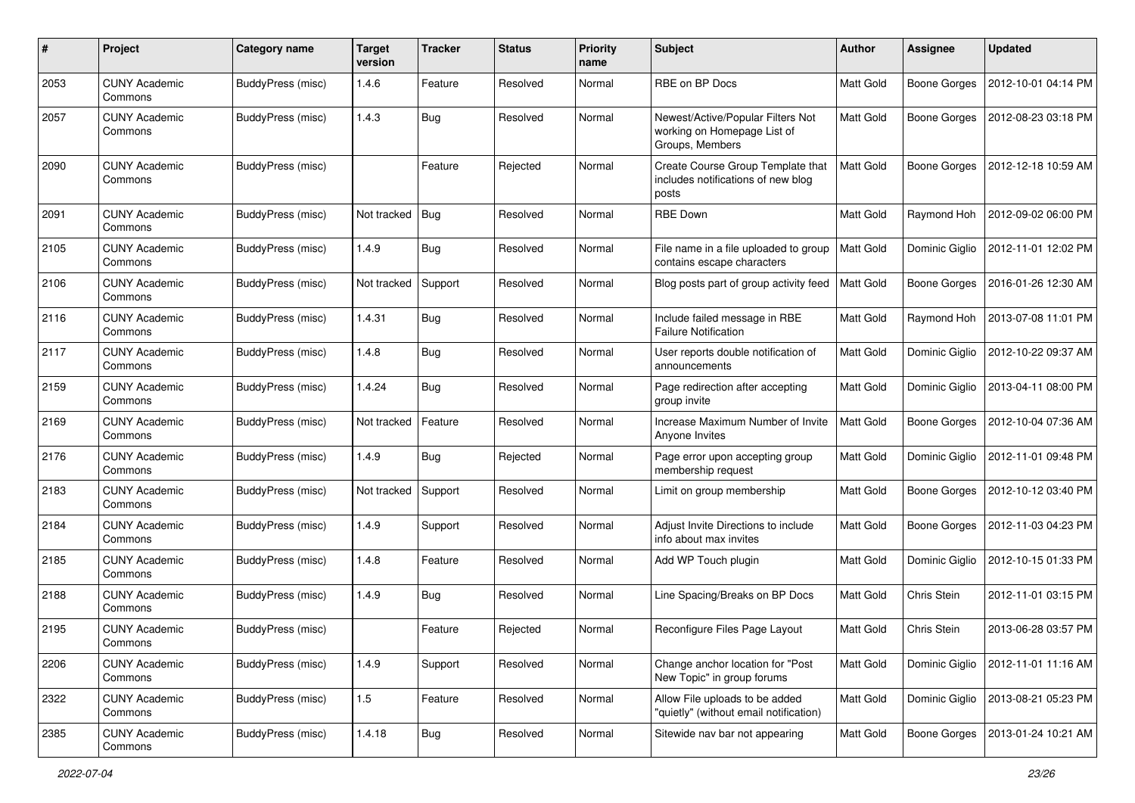| $\#$ | Project                         | Category name     | <b>Target</b><br>version | <b>Tracker</b> | <b>Status</b> | <b>Priority</b><br>name | <b>Subject</b>                                                                      | <b>Author</b>    | <b>Assignee</b>     | <b>Updated</b>      |
|------|---------------------------------|-------------------|--------------------------|----------------|---------------|-------------------------|-------------------------------------------------------------------------------------|------------------|---------------------|---------------------|
| 2053 | <b>CUNY Academic</b><br>Commons | BuddyPress (misc) | 1.4.6                    | Feature        | Resolved      | Normal                  | RBE on BP Docs                                                                      | Matt Gold        | <b>Boone Gorges</b> | 2012-10-01 04:14 PM |
| 2057 | <b>CUNY Academic</b><br>Commons | BuddyPress (misc) | 1.4.3                    | <b>Bug</b>     | Resolved      | Normal                  | Newest/Active/Popular Filters Not<br>working on Homepage List of<br>Groups, Members | Matt Gold        | <b>Boone Gorges</b> | 2012-08-23 03:18 PM |
| 2090 | <b>CUNY Academic</b><br>Commons | BuddyPress (misc) |                          | Feature        | Rejected      | Normal                  | Create Course Group Template that<br>includes notifications of new blog<br>posts    | <b>Matt Gold</b> | <b>Boone Gorges</b> | 2012-12-18 10:59 AM |
| 2091 | <b>CUNY Academic</b><br>Commons | BuddyPress (misc) | Not tracked              | Bug            | Resolved      | Normal                  | <b>RBE Down</b>                                                                     | <b>Matt Gold</b> | Raymond Hoh         | 2012-09-02 06:00 PM |
| 2105 | <b>CUNY Academic</b><br>Commons | BuddyPress (misc) | 1.4.9                    | <b>Bug</b>     | Resolved      | Normal                  | File name in a file uploaded to group<br>contains escape characters                 | Matt Gold        | Dominic Giglio      | 2012-11-01 12:02 PM |
| 2106 | <b>CUNY Academic</b><br>Commons | BuddyPress (misc) | Not tracked              | Support        | Resolved      | Normal                  | Blog posts part of group activity feed                                              | <b>Matt Gold</b> | <b>Boone Gorges</b> | 2016-01-26 12:30 AM |
| 2116 | <b>CUNY Academic</b><br>Commons | BuddyPress (misc) | 1.4.31                   | <b>Bug</b>     | Resolved      | Normal                  | Include failed message in RBE<br><b>Failure Notification</b>                        | Matt Gold        | Raymond Hoh         | 2013-07-08 11:01 PM |
| 2117 | <b>CUNY Academic</b><br>Commons | BuddyPress (misc) | 1.4.8                    | <b>Bug</b>     | Resolved      | Normal                  | User reports double notification of<br>announcements                                | Matt Gold        | Dominic Giglio      | 2012-10-22 09:37 AM |
| 2159 | <b>CUNY Academic</b><br>Commons | BuddyPress (misc) | 1.4.24                   | Bug            | Resolved      | Normal                  | Page redirection after accepting<br>group invite                                    | Matt Gold        | Dominic Giglio      | 2013-04-11 08:00 PM |
| 2169 | <b>CUNY Academic</b><br>Commons | BuddyPress (misc) | Not tracked              | Feature        | Resolved      | Normal                  | Increase Maximum Number of Invite<br>Anyone Invites                                 | <b>Matt Gold</b> | <b>Boone Gorges</b> | 2012-10-04 07:36 AM |
| 2176 | <b>CUNY Academic</b><br>Commons | BuddyPress (misc) | 1.4.9                    | <b>Bug</b>     | Rejected      | Normal                  | Page error upon accepting group<br>membership request                               | Matt Gold        | Dominic Giglio      | 2012-11-01 09:48 PM |
| 2183 | <b>CUNY Academic</b><br>Commons | BuddyPress (misc) | Not tracked              | Support        | Resolved      | Normal                  | Limit on group membership                                                           | Matt Gold        | <b>Boone Gorges</b> | 2012-10-12 03:40 PM |
| 2184 | <b>CUNY Academic</b><br>Commons | BuddyPress (misc) | 1.4.9                    | Support        | Resolved      | Normal                  | Adjust Invite Directions to include<br>info about max invites                       | Matt Gold        | Boone Gorges        | 2012-11-03 04:23 PM |
| 2185 | <b>CUNY Academic</b><br>Commons | BuddyPress (misc) | 1.4.8                    | Feature        | Resolved      | Normal                  | Add WP Touch plugin                                                                 | Matt Gold        | Dominic Giglio      | 2012-10-15 01:33 PM |
| 2188 | <b>CUNY Academic</b><br>Commons | BuddyPress (misc) | 1.4.9                    | <b>Bug</b>     | Resolved      | Normal                  | Line Spacing/Breaks on BP Docs                                                      | Matt Gold        | Chris Stein         | 2012-11-01 03:15 PM |
| 2195 | <b>CUNY Academic</b><br>Commons | BuddyPress (misc) |                          | Feature        | Rejected      | Normal                  | Reconfigure Files Page Layout                                                       | Matt Gold        | Chris Stein         | 2013-06-28 03:57 PM |
| 2206 | <b>CUNY Academic</b><br>Commons | BuddyPress (misc) | 1.4.9                    | Support        | Resolved      | Normal                  | Change anchor location for "Post<br>New Topic" in group forums                      | Matt Gold        | Dominic Giglio      | 2012-11-01 11:16 AM |
| 2322 | <b>CUNY Academic</b><br>Commons | BuddyPress (misc) | $1.5$                    | Feature        | Resolved      | Normal                  | Allow File uploads to be added<br>"quietly" (without email notification)            | Matt Gold        | Dominic Giglio      | 2013-08-21 05:23 PM |
| 2385 | <b>CUNY Academic</b><br>Commons | BuddyPress (misc) | 1.4.18                   | <b>Bug</b>     | Resolved      | Normal                  | Sitewide nav bar not appearing                                                      | Matt Gold        | Boone Gorges        | 2013-01-24 10:21 AM |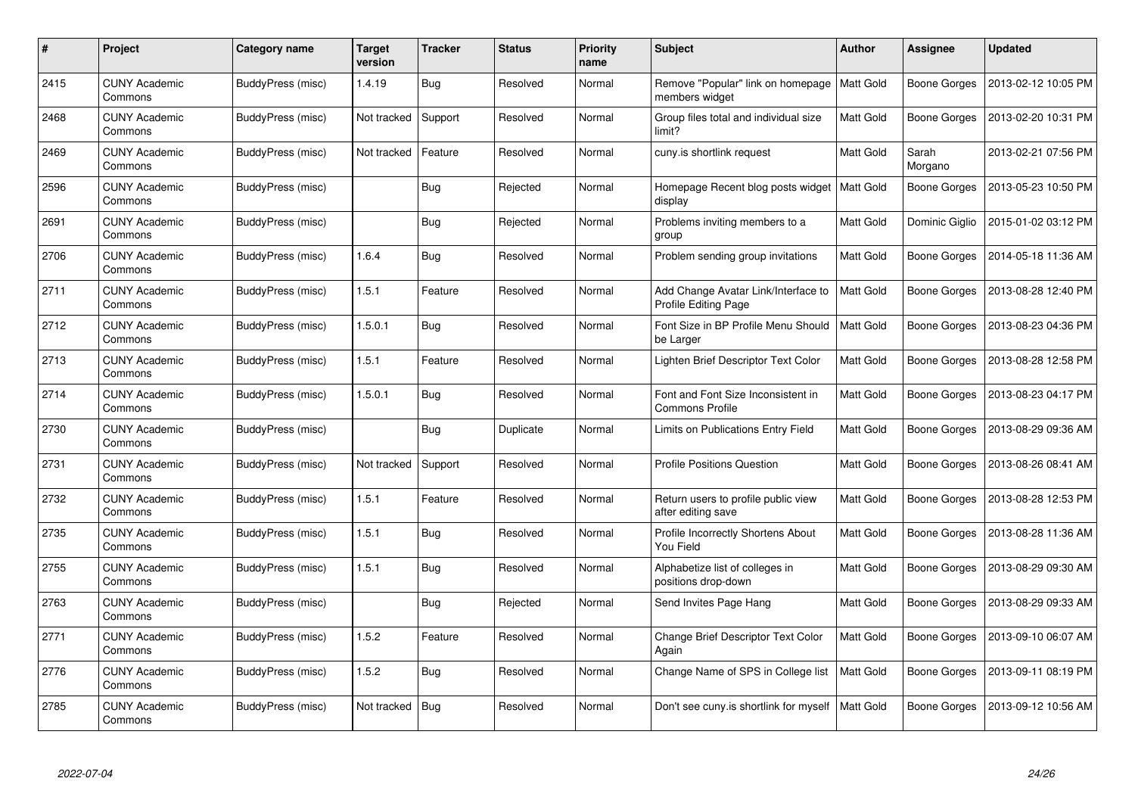| #    | Project                         | <b>Category name</b> | Target<br>version | <b>Tracker</b> | <b>Status</b> | <b>Priority</b><br>name | <b>Subject</b>                                               | <b>Author</b>    | <b>Assignee</b>     | <b>Updated</b>      |
|------|---------------------------------|----------------------|-------------------|----------------|---------------|-------------------------|--------------------------------------------------------------|------------------|---------------------|---------------------|
| 2415 | <b>CUNY Academic</b><br>Commons | BuddyPress (misc)    | 1.4.19            | <b>Bug</b>     | Resolved      | Normal                  | Remove "Popular" link on homepage<br>members widget          | <b>Matt Gold</b> | Boone Gorges        | 2013-02-12 10:05 PM |
| 2468 | <b>CUNY Academic</b><br>Commons | BuddyPress (misc)    | Not tracked       | Support        | Resolved      | Normal                  | Group files total and individual size<br>limit?              | Matt Gold        | Boone Gorges        | 2013-02-20 10:31 PM |
| 2469 | <b>CUNY Academic</b><br>Commons | BuddyPress (misc)    | Not tracked       | Feature        | Resolved      | Normal                  | cuny.is shortlink request                                    | Matt Gold        | Sarah<br>Morgano    | 2013-02-21 07:56 PM |
| 2596 | <b>CUNY Academic</b><br>Commons | BuddyPress (misc)    |                   | <b>Bug</b>     | Rejected      | Normal                  | Homepage Recent blog posts widget<br>display                 | <b>Matt Gold</b> | Boone Gorges        | 2013-05-23 10:50 PM |
| 2691 | <b>CUNY Academic</b><br>Commons | BuddyPress (misc)    |                   | <b>Bug</b>     | Rejected      | Normal                  | Problems inviting members to a<br>group                      | Matt Gold        | Dominic Giglio      | 2015-01-02 03:12 PM |
| 2706 | <b>CUNY Academic</b><br>Commons | BuddyPress (misc)    | 1.6.4             | <b>Bug</b>     | Resolved      | Normal                  | Problem sending group invitations                            | Matt Gold        | <b>Boone Gorges</b> | 2014-05-18 11:36 AM |
| 2711 | <b>CUNY Academic</b><br>Commons | BuddyPress (misc)    | 1.5.1             | Feature        | Resolved      | Normal                  | Add Change Avatar Link/Interface to<br>Profile Editing Page  | Matt Gold        | Boone Gorges        | 2013-08-28 12:40 PM |
| 2712 | <b>CUNY Academic</b><br>Commons | BuddyPress (misc)    | 1.5.0.1           | Bug            | Resolved      | Normal                  | Font Size in BP Profile Menu Should<br>be Larger             | Matt Gold        | <b>Boone Gorges</b> | 2013-08-23 04:36 PM |
| 2713 | <b>CUNY Academic</b><br>Commons | BuddyPress (misc)    | 1.5.1             | Feature        | Resolved      | Normal                  | Lighten Brief Descriptor Text Color                          | Matt Gold        | <b>Boone Gorges</b> | 2013-08-28 12:58 PM |
| 2714 | <b>CUNY Academic</b><br>Commons | BuddyPress (misc)    | 1.5.0.1           | <b>Bug</b>     | Resolved      | Normal                  | Font and Font Size Inconsistent in<br><b>Commons Profile</b> | Matt Gold        | <b>Boone Gorges</b> | 2013-08-23 04:17 PM |
| 2730 | <b>CUNY Academic</b><br>Commons | BuddyPress (misc)    |                   | <b>Bug</b>     | Duplicate     | Normal                  | Limits on Publications Entry Field                           | Matt Gold        | Boone Gorges        | 2013-08-29 09:36 AM |
| 2731 | <b>CUNY Academic</b><br>Commons | BuddyPress (misc)    | Not tracked       | Support        | Resolved      | Normal                  | <b>Profile Positions Question</b>                            | Matt Gold        | Boone Gorges        | 2013-08-26 08:41 AM |
| 2732 | <b>CUNY Academic</b><br>Commons | BuddyPress (misc)    | 1.5.1             | Feature        | Resolved      | Normal                  | Return users to profile public view<br>after editing save    | Matt Gold        | Boone Gorges        | 2013-08-28 12:53 PM |
| 2735 | <b>CUNY Academic</b><br>Commons | BuddyPress (misc)    | 1.5.1             | Bug            | Resolved      | Normal                  | Profile Incorrectly Shortens About<br>You Field              | Matt Gold        | <b>Boone Gorges</b> | 2013-08-28 11:36 AM |
| 2755 | <b>CUNY Academic</b><br>Commons | BuddyPress (misc)    | 1.5.1             | <b>Bug</b>     | Resolved      | Normal                  | Alphabetize list of colleges in<br>positions drop-down       | Matt Gold        | Boone Gorges        | 2013-08-29 09:30 AM |
| 2763 | <b>CUNY Academic</b><br>Commons | BuddyPress (misc)    |                   | <b>Bug</b>     | Rejected      | Normal                  | Send Invites Page Hang                                       | Matt Gold        | Boone Gorges        | 2013-08-29 09:33 AM |
| 2771 | <b>CUNY Academic</b><br>Commons | BuddyPress (misc)    | 1.5.2             | Feature        | Resolved      | Normal                  | Change Brief Descriptor Text Color<br>Again                  | Matt Gold        | <b>Boone Gorges</b> | 2013-09-10 06:07 AM |
| 2776 | <b>CUNY Academic</b><br>Commons | BuddyPress (misc)    | 1.5.2             | Bug            | Resolved      | Normal                  | Change Name of SPS in College list                           | Matt Gold        | Boone Gorges        | 2013-09-11 08:19 PM |
| 2785 | <b>CUNY Academic</b><br>Commons | BuddyPress (misc)    | Not tracked       | <b>Bug</b>     | Resolved      | Normal                  | Don't see cuny.is shortlink for myself                       | Matt Gold        | Boone Gorges        | 2013-09-12 10:56 AM |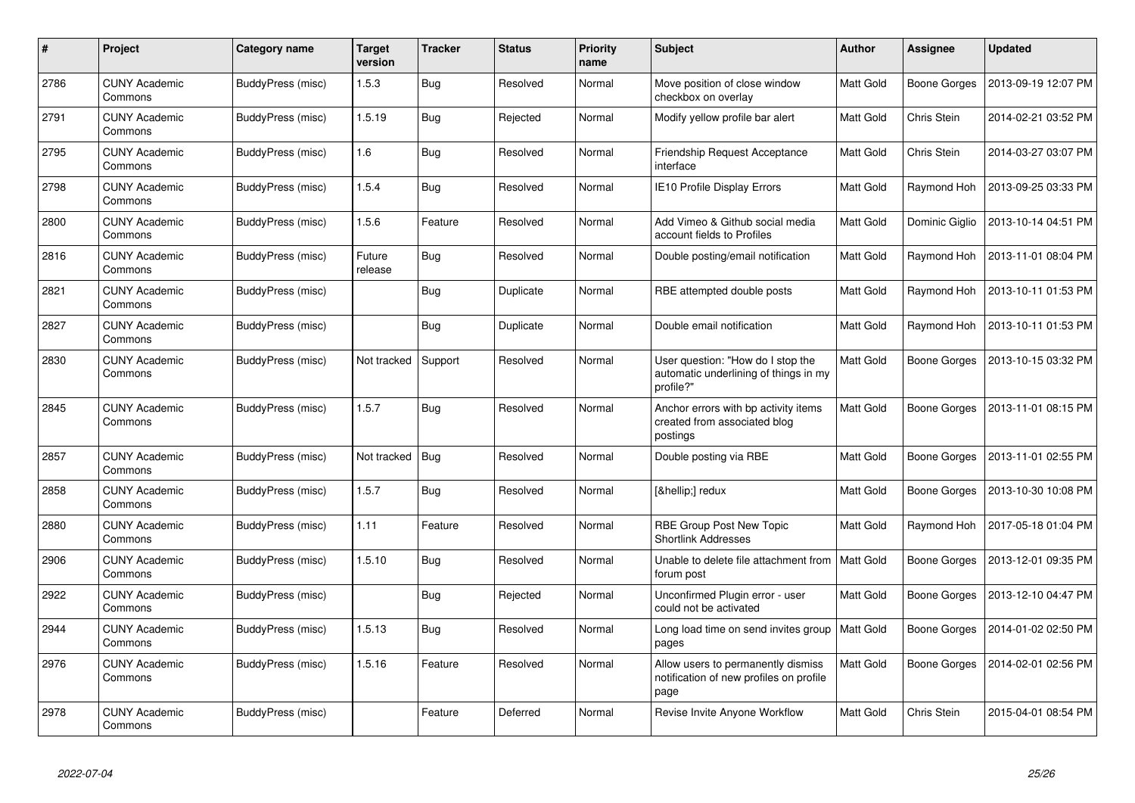| #    | Project                         | <b>Category name</b> | <b>Target</b><br>version | <b>Tracker</b> | <b>Status</b> | <b>Priority</b><br>name | <b>Subject</b>                                                                          | <b>Author</b>    | <b>Assignee</b>     | <b>Updated</b>      |
|------|---------------------------------|----------------------|--------------------------|----------------|---------------|-------------------------|-----------------------------------------------------------------------------------------|------------------|---------------------|---------------------|
| 2786 | <b>CUNY Academic</b><br>Commons | BuddyPress (misc)    | 1.5.3                    | <b>Bug</b>     | Resolved      | Normal                  | Move position of close window<br>checkbox on overlay                                    | <b>Matt Gold</b> | Boone Gorges        | 2013-09-19 12:07 PM |
| 2791 | <b>CUNY Academic</b><br>Commons | BuddyPress (misc)    | 1.5.19                   | Bug            | Rejected      | Normal                  | Modify yellow profile bar alert                                                         | Matt Gold        | Chris Stein         | 2014-02-21 03:52 PM |
| 2795 | <b>CUNY Academic</b><br>Commons | BuddyPress (misc)    | 1.6                      | <b>Bug</b>     | Resolved      | Normal                  | Friendship Request Acceptance<br>interface                                              | Matt Gold        | Chris Stein         | 2014-03-27 03:07 PM |
| 2798 | <b>CUNY Academic</b><br>Commons | BuddyPress (misc)    | 1.5.4                    | <b>Bug</b>     | Resolved      | Normal                  | IE10 Profile Display Errors                                                             | Matt Gold        | Raymond Hoh         | 2013-09-25 03:33 PM |
| 2800 | <b>CUNY Academic</b><br>Commons | BuddyPress (misc)    | 1.5.6                    | Feature        | Resolved      | Normal                  | Add Vimeo & Github social media<br>account fields to Profiles                           | Matt Gold        | Dominic Giglio      | 2013-10-14 04:51 PM |
| 2816 | <b>CUNY Academic</b><br>Commons | BuddyPress (misc)    | Future<br>release        | Bug            | Resolved      | Normal                  | Double posting/email notification                                                       | Matt Gold        | Raymond Hoh         | 2013-11-01 08:04 PM |
| 2821 | <b>CUNY Academic</b><br>Commons | BuddyPress (misc)    |                          | <b>Bug</b>     | Duplicate     | Normal                  | RBE attempted double posts                                                              | Matt Gold        | Raymond Hoh         | 2013-10-11 01:53 PM |
| 2827 | <b>CUNY Academic</b><br>Commons | BuddyPress (misc)    |                          | <b>Bug</b>     | Duplicate     | Normal                  | Double email notification                                                               | <b>Matt Gold</b> | Raymond Hoh         | 2013-10-11 01:53 PM |
| 2830 | <b>CUNY Academic</b><br>Commons | BuddyPress (misc)    | Not tracked              | Support        | Resolved      | Normal                  | User question: "How do I stop the<br>automatic underlining of things in my<br>profile?" | <b>Matt Gold</b> | <b>Boone Gorges</b> | 2013-10-15 03:32 PM |
| 2845 | <b>CUNY Academic</b><br>Commons | BuddyPress (misc)    | 1.5.7                    | Bug            | Resolved      | Normal                  | Anchor errors with bp activity items<br>created from associated blog<br>postings        | Matt Gold        | Boone Gorges        | 2013-11-01 08:15 PM |
| 2857 | <b>CUNY Academic</b><br>Commons | BuddyPress (misc)    | Not tracked              | Bug            | Resolved      | Normal                  | Double posting via RBE                                                                  | Matt Gold        | Boone Gorges        | 2013-11-01 02:55 PM |
| 2858 | <b>CUNY Academic</b><br>Commons | BuddyPress (misc)    | 1.5.7                    | <b>Bug</b>     | Resolved      | Normal                  | […] redux                                                                               | Matt Gold        | <b>Boone Gorges</b> | 2013-10-30 10:08 PM |
| 2880 | <b>CUNY Academic</b><br>Commons | BuddyPress (misc)    | 1.11                     | Feature        | Resolved      | Normal                  | RBE Group Post New Topic<br><b>Shortlink Addresses</b>                                  | <b>Matt Gold</b> | Raymond Hoh         | 2017-05-18 01:04 PM |
| 2906 | <b>CUNY Academic</b><br>Commons | BuddyPress (misc)    | 1.5.10                   | <b>Bug</b>     | Resolved      | Normal                  | Unable to delete file attachment from<br>forum post                                     | <b>Matt Gold</b> | <b>Boone Gorges</b> | 2013-12-01 09:35 PM |
| 2922 | <b>CUNY Academic</b><br>Commons | BuddyPress (misc)    |                          | <b>Bug</b>     | Rejected      | Normal                  | Unconfirmed Plugin error - user<br>could not be activated                               | Matt Gold        | Boone Gorges        | 2013-12-10 04:47 PM |
| 2944 | <b>CUNY Academic</b><br>Commons | BuddyPress (misc)    | 1.5.13                   | Bug            | Resolved      | Normal                  | Long load time on send invites group<br>pages                                           | <b>Matt Gold</b> | Boone Gorges        | 2014-01-02 02:50 PM |
| 2976 | <b>CUNY Academic</b><br>Commons | BuddyPress (misc)    | 1.5.16                   | Feature        | Resolved      | Normal                  | Allow users to permanently dismiss<br>notification of new profiles on profile<br>page   | Matt Gold        | Boone Gorges        | 2014-02-01 02:56 PM |
| 2978 | <b>CUNY Academic</b><br>Commons | BuddyPress (misc)    |                          | Feature        | Deferred      | Normal                  | Revise Invite Anyone Workflow                                                           | <b>Matt Gold</b> | Chris Stein         | 2015-04-01 08:54 PM |